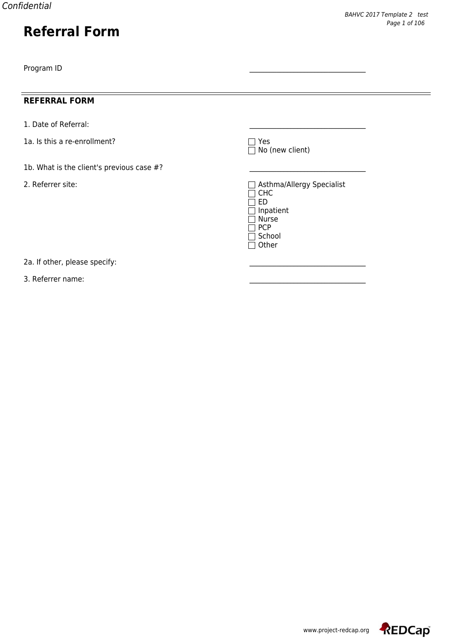## **REFERRAL FORM**

- 1. Date of Referral:
- 1a. Is this a re-enrollment?
- 1b. What is the client's previous case  $#?$
- 

□ Yes<br>□ No (new client)

2. Referrer site:  $\Box$  Asthma/Allergy Specialist CHC ED Inpatient  $\Box$  Nurse  $\overline{\Box}$  PCP  $\overline{\square}$  School  $\overline{\Box}$  Other

2a. If other, please specify:

3. Referrer name:

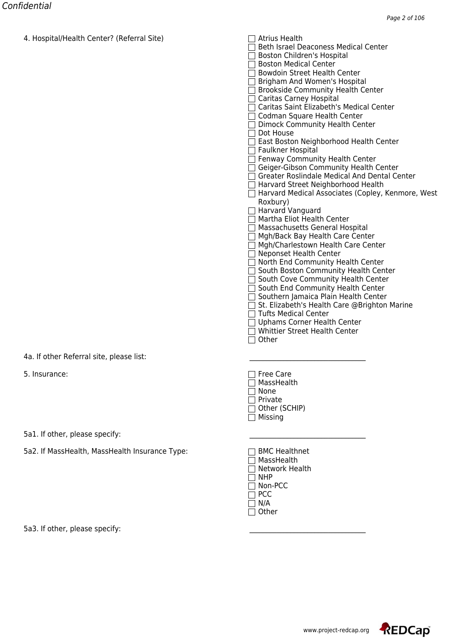| <del>4. Hospital/Health Center : (Reierral Site)</del> | <del>s altrius neaith</del>                                                                 |
|--------------------------------------------------------|---------------------------------------------------------------------------------------------|
|                                                        | Beth Israel Deaconess Medical Center                                                        |
|                                                        | Boston Children's Hospital                                                                  |
|                                                        | □ Boston Medical Center                                                                     |
|                                                        | <b>Bowdoin Street Health Center</b>                                                         |
|                                                        | □ Brigham And Women's Hospital                                                              |
|                                                        | □ Brookside Community Health Center<br>□ Caritas Carney Hospital                            |
|                                                        | □ Caritas Saint Elizabeth's Medical Center                                                  |
|                                                        | □ Codman Square Health Center                                                               |
|                                                        | Dimock Community Health Center                                                              |
|                                                        | Dot House                                                                                   |
|                                                        | □ East Boston Neighborhood Health Center                                                    |
|                                                        | Faulkner Hospital                                                                           |
|                                                        | Fenway Community Health Center                                                              |
|                                                        | □ Geiger-Gibson Community Health Center                                                     |
|                                                        | $\Box$ Greater Roslindale Medical And Dental Center                                         |
|                                                        | □ Harvard Street Neighborhood Health<br>□ Harvard Medical Associates (Copley, Kenmore, West |
|                                                        | Roxbury)                                                                                    |
|                                                        | □ Harvard Vanguard                                                                          |
|                                                        | $\Box$ Martha Eliot Health Center                                                           |
|                                                        | □ Massachusetts General Hospital                                                            |
|                                                        | □ Mgh/Back Bay Health Care Center                                                           |
|                                                        | □ Mgh/Charlestown Health Care Center                                                        |
|                                                        | □ Neponset Health Center                                                                    |
|                                                        | □ North End Community Health Center                                                         |
|                                                        | □ South Boston Community Health Center                                                      |
|                                                        | □ South Cove Community Health Center<br>□ South End Community Health Center                 |
|                                                        | □ Southern Jamaica Plain Health Center                                                      |
|                                                        | $\Box$ St. Elizabeth's Health Care @Brighton Marine                                         |
|                                                        | $\Box$ Tufts Medical Center                                                                 |
|                                                        | □ Uphams Corner Health Center                                                               |
|                                                        | $\sqsupset$ Whittier Street Health Center                                                   |
|                                                        | Other                                                                                       |
| 4a. If other Referral site, please list:               |                                                                                             |
| 5. Insurance:                                          | <b>Free Care</b>                                                                            |
|                                                        | MassHealth                                                                                  |
|                                                        | None                                                                                        |
|                                                        | Private                                                                                     |
|                                                        | Other (SCHIP)                                                                               |
|                                                        | $\sqsupset$ Missing                                                                         |
| 5a1. If other, please specify:                         |                                                                                             |
| 5a2. If MassHealth, MassHealth Insurance Type:         | <b>BMC Healthnet</b>                                                                        |
|                                                        | MassHealth                                                                                  |
|                                                        | Network Health                                                                              |
|                                                        | <b>NHP</b>                                                                                  |
|                                                        | 7 Non-PCC                                                                                   |
|                                                        | 1 PCC                                                                                       |
|                                                        | $\exists$ N/A                                                                               |
|                                                        | $\exists$ Other                                                                             |
| 5a3. If other, please specify:                         |                                                                                             |
|                                                        |                                                                                             |

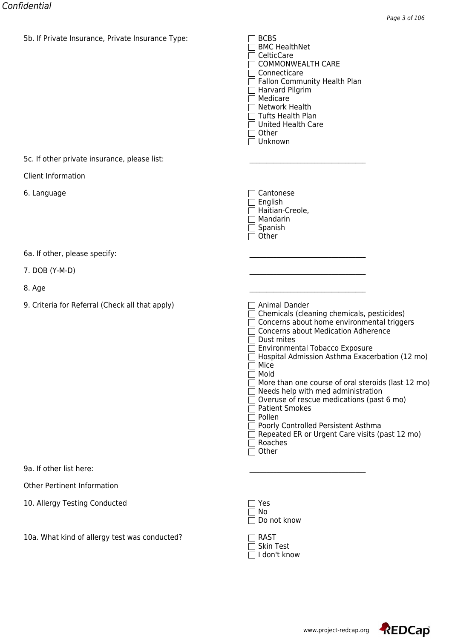| ou. Il Private insurance, Private insurance Type: | <b>BMC HealthNet</b><br>$\Box$ CelticCare<br>$\Box$ COMMONWEALTH CARE<br>$\Box$ Connecticare<br>Fallon Community Health Plan<br>$\Box$ Harvard Pilgrim<br>Medicare<br>$\Box$ Network Health<br>$\Box$ Tufts Health Plan<br>$\Box$ United Health Care<br>$\Box$ Other<br>$\Box$ Unknown                                                                                                                                                                                                                                                                                                                                                                   |
|---------------------------------------------------|----------------------------------------------------------------------------------------------------------------------------------------------------------------------------------------------------------------------------------------------------------------------------------------------------------------------------------------------------------------------------------------------------------------------------------------------------------------------------------------------------------------------------------------------------------------------------------------------------------------------------------------------------------|
| 5c. If other private insurance, please list:      |                                                                                                                                                                                                                                                                                                                                                                                                                                                                                                                                                                                                                                                          |
| Client Information                                |                                                                                                                                                                                                                                                                                                                                                                                                                                                                                                                                                                                                                                                          |
| 6. Language                                       | $\Box$ Cantonese<br>$\Box$ English<br>□ Haitian-Creole,<br>$\Box$ Mandarin<br>$\Box$ Spanish<br>$\Box$ Other                                                                                                                                                                                                                                                                                                                                                                                                                                                                                                                                             |
| 6a. If other, please specify:                     |                                                                                                                                                                                                                                                                                                                                                                                                                                                                                                                                                                                                                                                          |
| 7. DOB (Y-M-D)                                    |                                                                                                                                                                                                                                                                                                                                                                                                                                                                                                                                                                                                                                                          |
| 8. Age                                            |                                                                                                                                                                                                                                                                                                                                                                                                                                                                                                                                                                                                                                                          |
| 9. Criteria for Referral (Check all that apply)   | $\Box$ Animal Dander<br>$\Box$ Chemicals (cleaning chemicals, pesticides)<br>□ Concerns about home environmental triggers<br><b>Concerns about Medication Adherence</b><br>$\Box$ Dust mites<br>Environmental Tobacco Exposure<br>Hospital Admission Asthma Exacerbation (12 mo)<br>Mice<br>$\Box$<br>Mold<br>$\mathbf{L}$<br>More than one course of oral steroids (last 12 mo)<br>$\Box$ Needs help with med administration<br>Overuse of rescue medications (past 6 mo)<br><b>Patient Smokes</b><br>$\Box$ Pollen<br>□ Poorly Controlled Persistent Asthma<br>$\Box$ Repeated ER or Urgent Care visits (past 12 mo)<br>$\Box$ Roaches<br>$\Box$ Other |
| 9a. If other list here:                           |                                                                                                                                                                                                                                                                                                                                                                                                                                                                                                                                                                                                                                                          |
| <b>Other Pertinent Information</b>                |                                                                                                                                                                                                                                                                                                                                                                                                                                                                                                                                                                                                                                                          |
| 10. Allergy Testing Conducted                     | Yes<br>No<br>Do not know                                                                                                                                                                                                                                                                                                                                                                                                                                                                                                                                                                                                                                 |
| 10a. What kind of allergy test was conducted?     | <b>RAST</b><br><b>Skin Test</b><br>I don't know                                                                                                                                                                                                                                                                                                                                                                                                                                                                                                                                                                                                          |

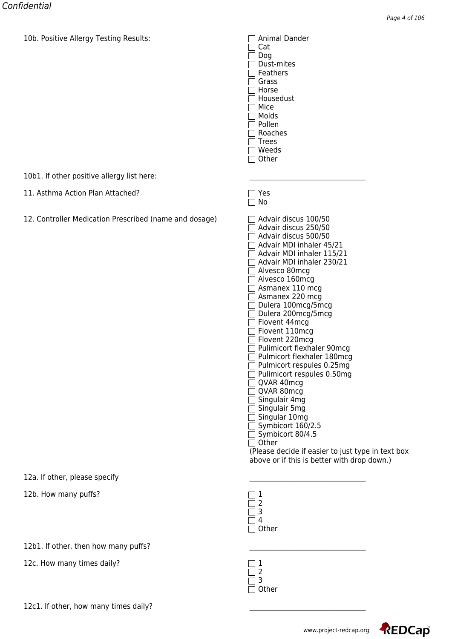10b. Positive Allergy Testing Results:  $\Box$  Animal Dander

 $\Box$  Cat Dog Dust-mites □ Feathers □ Grass  $\Box$  Horse  $\overline{\Box}$  Housedust  $\overline{\Box}$  Mice Molds □ Pollen Roaches  $\Box$  Trees Weeds  $\Box$  Other

 $\Box$  Yes<br> $\Box$  No

10b1. If other positive allergy list here:

- 11. Asthma Action Plan Attached?
- 12. Controller Medication Prescribed (name and dosage)

| Advair discus 100/50                              |
|---------------------------------------------------|
| Advair discus 250/50                              |
| $\sqcap$ Advair discus 500/50                     |
| Advair MDI inhaler 45/21                          |
| Advair MDI inhaler 115/21                         |
| Advair MDI inhaler 230/21                         |
| Alvesco 80mcg                                     |
| Alvesco 160mcg                                    |
|                                                   |
| $\Box$ Asmanex 110 mcg                            |
| $\sqsupset$ Asmanex 220 mcg                       |
| □ Dulera 100mcg/5mcg                              |
| Dulera 200mcg/5mcg                                |
| Flovent 44mcg                                     |
| Flovent 110mcg                                    |
| Flovent 220mcg                                    |
| □ Pulimicort flexhaler 90mcg                      |
| Pulmicort flexhaler 180mcg                        |
| $\supset$ Pulmicort respules 0.25mg               |
| Pulimicort respules 0.50mg                        |
| $\sqsupset$ QVAR 40mcg                            |
| QVAR 80mcg                                        |
| Singulair 4mg                                     |
| □ Singulair 5mg                                   |
| □ Singular 10mg                                   |
| $\Box$ Symbicort 160/2.5                          |
| $\exists$ Symbicort 80/4.5                        |
| Other                                             |
| (Please decide if easier to just type in text box |
| above or if this is better with drop down.)       |
|                                                   |

12a. If other, please specify

12b. How many puffs?

12b1. If other, then how many puffs?

12c. How many times daily?

| 12c1. If other, how many times daily? |  |
|---------------------------------------|--|
|                                       |  |

| ther<br>ί, |
|------------|

| n         |
|-----------|
| ۱th<br>C. |





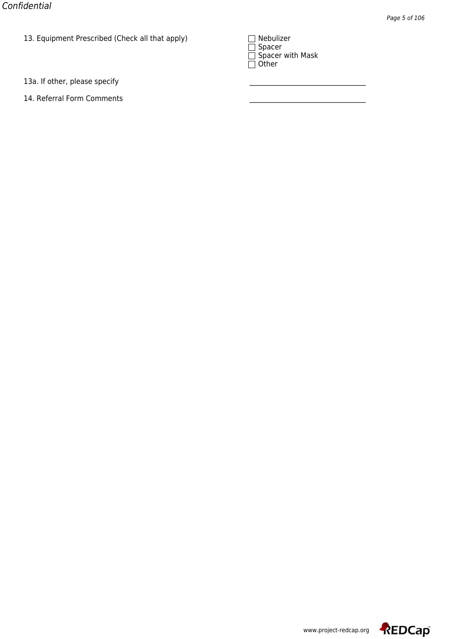13. Equipment Prescribed (Check all that apply)<br>| Nebulai 2016<br>| Nebulai 2017<br>| Nebulizer Scholar 2017

| <b>INEDUILLE</b>  |  |
|-------------------|--|
| $\exists$ Spacer  |  |
| Spacer with Mask  |  |
| $\supseteq$ Other |  |

13a. If other, please specify

14. Referral Form Comments



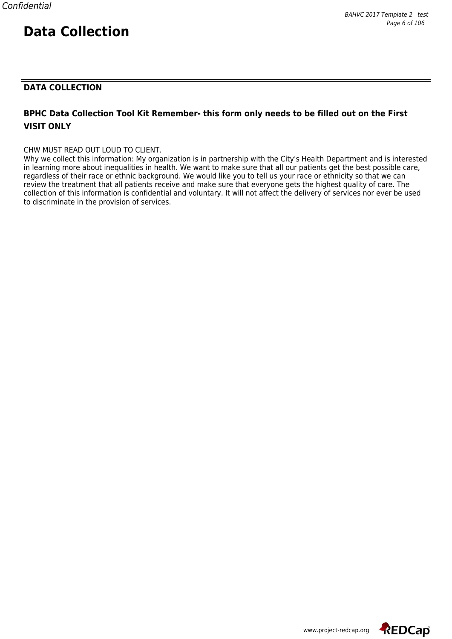## **DATA COLLECTION**

## **BPHC Data Collection Tool Kit Remember- this form only needs to be filled out on the First VISIT ONLY**

#### CHW MUST READ OUT LOUD TO CLIENT.

Why we collect this information: My organization is in partnership with the City's Health Department and is interested in learning more about inequalities in health. We want to make sure that all our patients get the best possible care, regardless of their race or ethnic background. We would like you to tell us your race or ethnicity so that we can review the treatment that all patients receive and make sure that everyone gets the highest quality of care. The collection of this information is confidential and voluntary. It will not affect the delivery of services nor ever be used to discriminate in the provision of services.

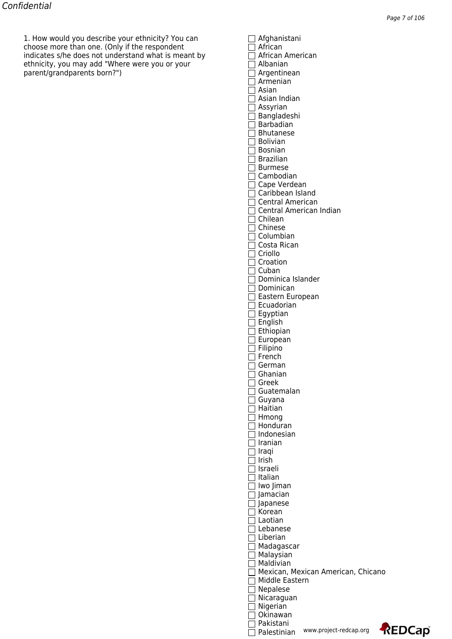1. How would you describe your ethnicity? You can Afghanistani choose more than one. (Only if the respondent  $\Box$  African indicates s/he does not understand what is meant by  $\hskip10mm \fbox{1.6mm}$  African American ethnicity, you may add "Where were you or your  $\hskip10mm \square$  Albanian parent/grandparents born?") Argentinean

| 1 African<br>  African American     |      |
|-------------------------------------|------|
|                                     |      |
| Albanian                            |      |
| ] Argentinean                       |      |
| Armenian                            |      |
| Asian                               |      |
| Asian Indian                        |      |
| Assyrian                            |      |
| ] Bangladeshi                       |      |
| 1 Barbadian                         |      |
| Bhutanese                           |      |
| ∃ Bolivian                          |      |
| Bosnian                             |      |
| Brazilian                           |      |
| Burmese                             |      |
| Cambodian                           |      |
| ] Cape Verdean                      |      |
| Caribbean Island                    |      |
| <b>Central American</b>             |      |
| 1 Central American Indian           |      |
| 7 Chilean                           |      |
| l Chinese                           |      |
| Columbian                           |      |
| Costa Rican                         |      |
| Criollo                             |      |
| Croation                            |      |
| Cuban                               |      |
| Dominica Islander                   |      |
| Dominican                           |      |
| Eastern European                    |      |
| ] Ecuadorian                        |      |
| ] Egyptian                          |      |
| ] English                           |      |
| ] Ethiopian                         |      |
| ] European                          |      |
| ] Filipino<br>1 French              |      |
|                                     |      |
|                                     |      |
| German                              |      |
| Ghanian                             |      |
| Greek                               |      |
| Guatemalan                          |      |
| Guyana                              |      |
| Haitian                             |      |
| Hmong<br>Honduran                   |      |
| Indonesian                          |      |
| Iranian                             |      |
| ] Iraqi                             |      |
| l Irish                             |      |
| Israeli                             |      |
| Italian                             |      |
| lwo Jiman                           |      |
| ] Jamacian                          |      |
| Japanese                            |      |
| Korean                              |      |
| 1 Laotian                           |      |
| Lebanese                            |      |
| 1 Liberian                          |      |
| Madagascar                          |      |
| Malaysian                           |      |
| Maldivian                           |      |
| Mexican, Mexican American, Chicano  |      |
| Middle Eastern                      |      |
| Nepalese                            |      |
| Nicaraguan                          |      |
| Nigerian<br>Okinawan                |      |
| Pakistani<br>www.project-redcap.org | REDC |

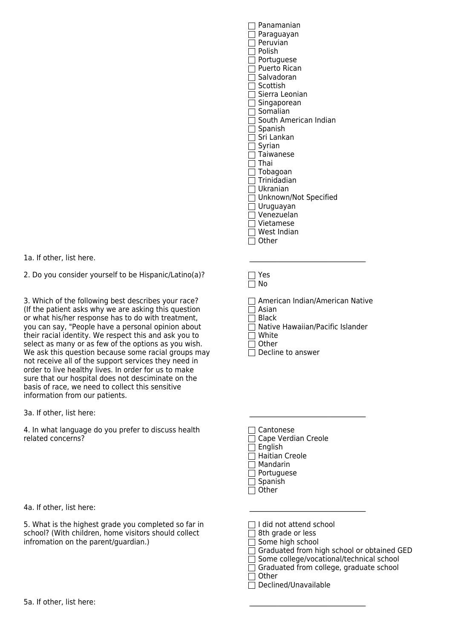| Panamanian            |
|-----------------------|
| Paraguayan            |
| Peruvian              |
| Polish                |
| Portuguese            |
| <b>Puerto Rican</b>   |
| Salvadoran            |
| Scottish              |
| Sierra Leonian        |
| Singaporean           |
| Somalian              |
| South American Indian |
| Spanish               |
| Sri Lankan            |
| Syrian                |
| Taiwanese             |
| Thai                  |
| Tobagoan              |
| Trinidadian           |
| Ukranian              |
| Unknown/Not Specified |
| Uruguayan             |
| Venezuelan            |
| Vietamese             |
| West Indian           |
| Other                 |
|                       |

1a. If other, list here.

2. Do you consider yourself to be Hispanic/Latino(a)?  $\Box$  Yes

3. Which of the following best describes your race?  $\Box$  American Indian/American Native (If the patient asks why we are asking this question  $\Box$  Asian (If the patient asks why we are asking this question or what his/her response has to do with treatment,  $\Box$  Black you can say, "People have a personal opinion about  $\Box$  Native Hawaiian/Pacific Islander their racial identity. We respect this and ask you to  $\square$  White select as many or as few of the options as you wish. select as many or as few of the options as you wish.<br>We ask this question because some racial groups may  $\Box$  Decline to answer We ask this question because some racial groups may not receive all of the support services they need in order to live healthy lives. In order for us to make sure that our hospital does not desciminate on the basis of race, we need to collect this sensitive information from our patients.

3a. If other, list here:

4. In what language do you prefer to discuss health  $\Box$  Cantonese related concerns? Cape Verdian Creole

4a. If other, list here:

5. What is the highest grade you completed so far in  $\Box$  I did not attend school school? (With children, home visitors should collect  $\Box$  8th grade or less school? (With children, home visitors should collect infromation on the parent/guardian.)  $\Box$  Some high school

 $\Box$  No

- 
- 
- 
- 
- 

- 
- 
- $\Box$  English Haitian Creole
- Mandarin
- □ Portuguese
- $\Box$  Spanish
- $\Box$  Other

- 
- 

 $\Box$  Graduated from high school or obtained GED

 $\Box$  Some college/vocational/technical school

 $\Box$  Graduated from college, graduate school

 $\Box$  Other  $\overline{\Box}$  Declined/Unavailable

5a. If other, list here: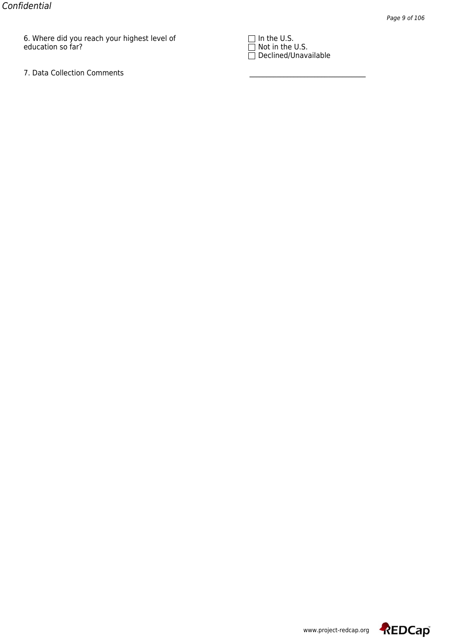$\sigma$ . Where did you reach your highest level of Indian in the U.S.  $\Box$  in the U.S. education so far? Note that the U.S. In the U.S. In the U.S. In the U.S. In the U.S.

7. Data Collection Comments

 $\square$  in the U.S.<br> $\square$  Not in the U.S.<br> $\square$  Declined/Unavailable



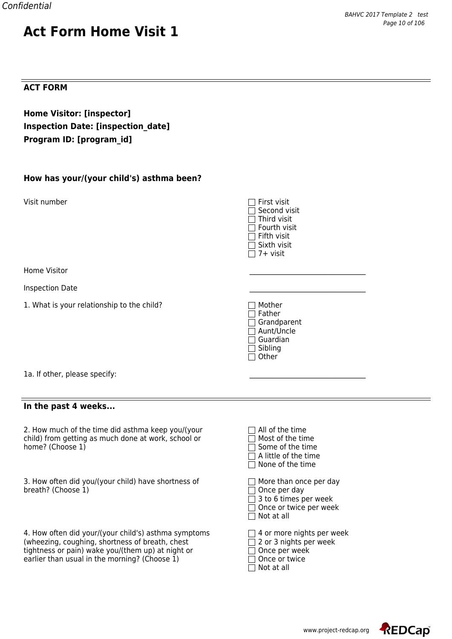## **ACT FORM**

## **Home Visitor: [inspector] Inspection Date: [inspection\_date] Program ID: [program\_id]**

| How has your/(your child's) asthma been? |  |  |
|------------------------------------------|--|--|
|                                          |  |  |

Visit number

Home Visitor \_\_\_\_\_\_\_\_\_\_\_\_\_\_\_\_\_\_\_\_\_\_\_\_\_\_\_\_\_\_\_\_\_\_

Inspection Date \_\_\_\_\_\_\_\_\_\_\_\_\_\_\_\_\_\_\_\_\_\_\_\_\_\_\_\_\_\_\_\_\_\_

| First visit<br>Second visit<br>Third visit<br>Fourth visit<br>Fifth visit<br>Sixth visit<br>7+ visit |  |
|------------------------------------------------------------------------------------------------------|--|
| Mother<br>Father<br>Grandparent<br>Aunt/Uncle<br>Guardian<br>Sibling<br>Other                        |  |
| All of the time<br>Most of the time<br>Some of the time<br>A little of the time<br>None of the time  |  |

1a. If other, please specify:

1. What is your relationship to the child?

#### **In the past 4 weeks...**

2. How much of the time did asthma keep you/(your child) from getting as much done at work, school or home? (Choose  $1)$ 

3. How often did you/(your child) have shortness of breath? (Choose  $1$ )

4. How often did your/(your child's) asthma symptoms  $\Box$  4 or more nights per week (wheezing, coughing, shortness of breath, chest  $\Box$  2 or 3 nights per week (wheezing, coughing, shortness of breath, chest tightness or pain) wake you/(them up) at night or  $\Box$  Once per weel<br>earlier than usual in the morning? (Choose 1)  $\Box$  Once or twice earlier than usual in the morning? (Choose 1)

| $\Box$ More than once per day                          |
|--------------------------------------------------------|
| $\Box$ Once per day                                    |
| $\Box$ 3 to 6 times per week                           |
| □ Once or twice per week                               |
| $\Box$ Not at all                                      |
|                                                        |
| لمرزر وتمسير مطمأته أمراه موسم ممرورها<br>$\mathbf{1}$ |

| 1 Once per week |  |  |  |
|-----------------|--|--|--|

| $\Box$ Not at all |  |  |
|-------------------|--|--|
|-------------------|--|--|

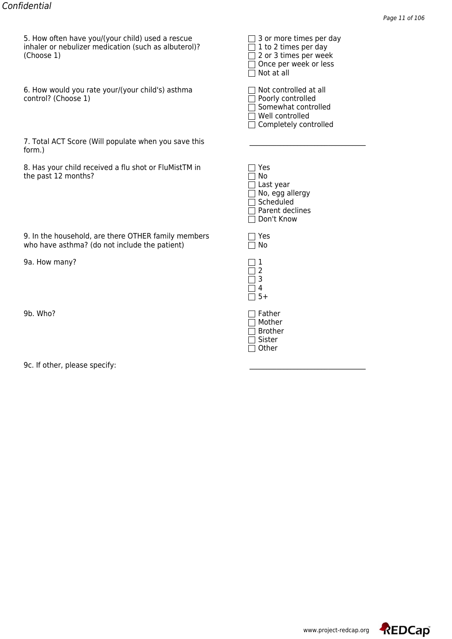5. How often have you/(your child) used a rescue<br>inhaler or nebulizer medication (such as albuterol)?<br>(Choose 1)<br> $\Box$  2 or 3 times per day<br> $\Box$  2 or 3 times per week<br> $\Box$  Not at all inhaler or nebulizer medication (such as albuterol)?  $(Choose 1)$ 

6. How would you rate your/(your child's) asthma  $\hskip10mm \Box$  Not controlled at all control? (Choose 1) Poorly controlled and the poorly controlled

| 7. Total ACT Score (Will populate when you save this |  |
|------------------------------------------------------|--|
| form.)                                               |  |

8. Has your child received a flu shot or FluMistTM in the past 12 months?

| 9. In the household, are there OTHER family members | $\Box$ Yes |
|-----------------------------------------------------|------------|
| who have asthma? (do not include the patient)       | $\Box$ No  |

9a. How many? 1

9b. Who?

9c. If other, please specify:

| יס היו וווח באווור איז הייטור ווי |
|-----------------------------------|
| $\exists$ 1 to 2 times per day    |
| $\sqsupset$ 2 or 3 times per week |
| Once per week or less             |
| $\sqcap$ Not at all               |
|                                   |
| $\top$ Not controllod at all      |

| <b>NOC CONCIONED</b> at an |
|----------------------------|
| ] Poorly controlled        |
| Somewhat controlled        |
| 7 Well controlled          |
| Completely controlled      |

|                | Yes              |
|----------------|------------------|
|                | No               |
|                | $\Box$ Last year |
|                | No, egg allergy  |
|                | Scheduled        |
|                | Parent declines  |
| $\blacksquare$ | Don't Know       |
|                |                  |
|                |                  |

| $\mathbf{I}$<br>$\mathbb{R}$ | No |
|------------------------------|----|
|                              | 1  |
|                              |    |
|                              | 5  |

4 5+

| Father  |
|---------|
| Mother  |
| Brother |
| Sister  |
| Other   |

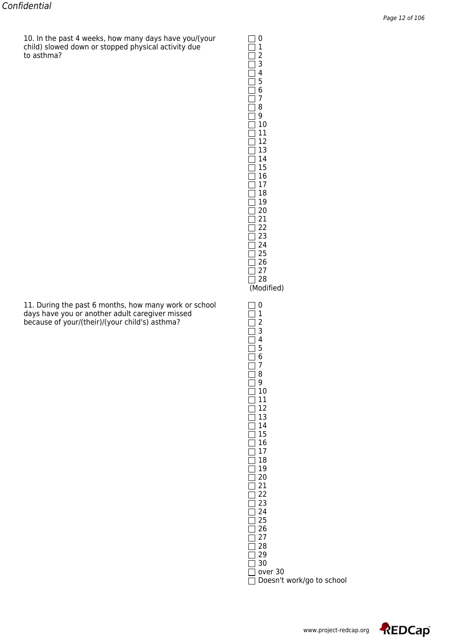10. In the past 4 weeks, how many days have you/(your  $\Box$  0 child) slowed down or stopped physical activity due  $\hskip10mm \square \, 1$ to asthma?  $\Box$  2

| 11. During the past 6 months, how many work or school | $\Box$ 0                 |
|-------------------------------------------------------|--------------------------|
| days have you or another adult caregiver missed       | $\Box$ 1                 |
| because of your/(their)/(your child's) asthma?        | $\Box$ 2                 |
|                                                       | $\overline{\phantom{a}}$ |

| $\frac{1}{2}$<br>3456<br>1<br>1<br>1<br>7<br>8<br>9<br>10<br>11<br>12<br>13<br>14<br>15<br>16<br>17<br>18<br>19<br>20<br>21<br>22<br>23<br>24<br>25<br>26<br>27<br>28<br>(Modified)                          |                           |
|--------------------------------------------------------------------------------------------------------------------------------------------------------------------------------------------------------------|---------------------------|
| 012345678<br>$\overline{\phantom{a}}$<br>1<br>1<br>1<br>׀<br>9<br>I<br>10<br>11<br>12<br>13<br>14<br>15<br>16<br>17<br>18<br>19<br>20<br>21<br>22<br>23<br>24<br>25<br>26<br>27<br>28<br>29<br>30<br>over 30 | Doesn't work/go to school |

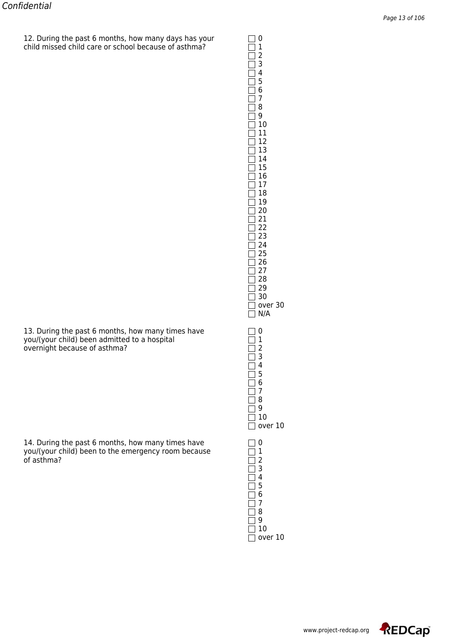$12.$  During the past 6 months, how many days has your  $\Box$  0 child missed child care or school because of asthma? 1

> $\overline{\Box}$  4 5 6 7  $\overline{\Box}$  8  $\overline{\Box}$  9  $\Box$  10  $\Box$  11  $\overline{\Box}$  12 13 14  $\overline{\Box}$  15  $\overline{\Box}$  16  $\Box$  17  $\overline{\Box}$  18 19 20  $\Box$  21  $\overline{\Box}$  22  $\overline{\square}$  23  $\overline{\Box}$  24  $\overline{\Box}$  25  $\overline{2}$  26  $\Box$  27  $\square$  28  $\Box$  29  $\Box$  30  $\Box$  over 30  $\overline{\Box}$  N/A  $\overline{\Box}$  3  $\Box$  4 5 6 7  $\overline{\Box}$  8  $\overline{\Box}$  9  $\Box$  10  $\Box$  over 10  $\overline{\square}$  2<br> $\overline{\square}$  3  $\overline{\Box}$  4 5 6 7 8 9  $\overline{\Box}$  10  $\Box$  over 10

2 3

13. During the past 6 months, how many times have  $\Box$  0 you/(your child) been admitted to a hospital  $\Box$  1 you/(your child) been admitted to a hospital  $\Box$  1<br>overnight because of asthma? overnight because of asthma? 2

14. During the past 6 months, how many times have  $\Box$  0 you/(your child) been to the emergency room because  $\Box$  1 you/(your child) been to the emergency room because  $\hskip1cm \fbox{1}$ of asthma?  $\Box$  2



www.project-redcap.org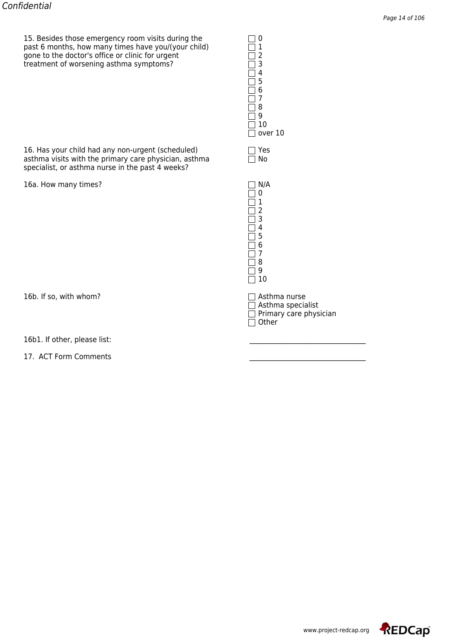15. Besides those emergency room visits during the  $\Box$  0<br>past 6 months, how many times have you/(your child)  $\Box$  1<br>gone to the doctor's office or clinic for urgent  $\Box$  2 past 6 months, how many times have you/(your child)  $\hskip10mm \square \, 1$ gone to the doctor's office or clinic for urgent  $\hskip10mm \square$  2 treatment of worsening asthma symptoms?  $\Box$ 

16. Has your child had any non-urgent (scheduled)  $\square$  Yes asthma visits with the primary care physician, asthma  $\square$  No asthma visits with the primary care physician, asthma specialist, or asthma nurse in the past 4 weeks?

16a. How many times?

16b. If so, with whom?  $\Box$  Asthma nurse

16b1. If other, please list:

17. ACT Form Comments

 $\Box$  4 5 6 7  $\overline{\Box}$  8  $\overline{\Box}$  9  $\Box$  10  $\Box$  over 10

| N/A                     |
|-------------------------|
| 0                       |
| 1                       |
| $\overline{\mathbf{c}}$ |
| 3                       |
| 4                       |
| 5                       |
| 6                       |
| 7                       |
| 8                       |
| g                       |
| 10                      |

 $\Box$  Asthma specialist Primary care physician Other

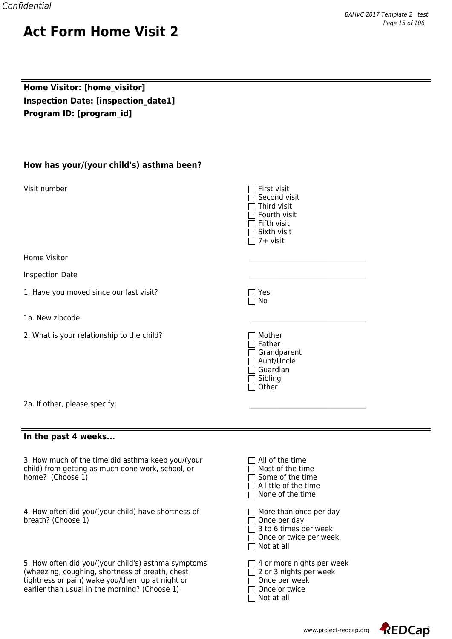## **Home Visitor: [home\_visitor] Inspection Date: [inspection\_date1] Program ID: [program\_id]**

|  | How has your/(your child's) asthma been? |  |  |  |
|--|------------------------------------------|--|--|--|
|--|------------------------------------------|--|--|--|

| Visit number                               | First visit<br>Second visit<br>Third visit<br>Fourth visit<br>Fifth visit<br>Sixth visit<br>7+ visit |
|--------------------------------------------|------------------------------------------------------------------------------------------------------|
| Home Visitor                               |                                                                                                      |
| <b>Inspection Date</b>                     |                                                                                                      |
| 1. Have you moved since our last visit?    | Yes<br>No                                                                                            |
| 1a. New zipcode                            |                                                                                                      |
| 2. What is your relationship to the child? | Mother<br>Father<br>Grandparent<br>Aunt/Uncle<br>Guardian<br>Sibling<br>Other                        |
| 2a. If other, please specify:              |                                                                                                      |
|                                            |                                                                                                      |

# 1a. New zipcode

**In the past 4 weeks...**

3. How much of the time did asthma keep you/(your child) from getting as much done work, school, or home? (Choose  $1$ )

4. How often did you/(your child) have shortness of  $\Box$  More than once per day breath? (Choose  $1$ )

5. How often did you/(your child's) asthma symptoms  $\Box$  4 or more nights per week (wheezing, coughing, shortness of breath, chest  $\Box$  2 or 3 nights per week (wheezing, coughing, shortness of breath, chest  $\square$  2 or 3 nights per veek tightness or pain) wake you/them up at night or  $\square$  Once per week tightness or pain) wake you/them up at night or earlier than usual in the morning? (Choose  $1$ )  $\Box$  Once or twice

| $\Box$ All of the time<br>Most of the time<br>$\Box$<br>$\Box$ Some of the time<br>$\Box$ A little of the time<br>$\Box$ None of the time |
|-------------------------------------------------------------------------------------------------------------------------------------------|
| $\Box$ More than once per day<br>$\Box$ Once per day<br>$\Box$ 3 to 6 times per week<br>□ Once or twice per week                          |

 $\overline{\Box}$  Not at all

 $\Box$  Not at all

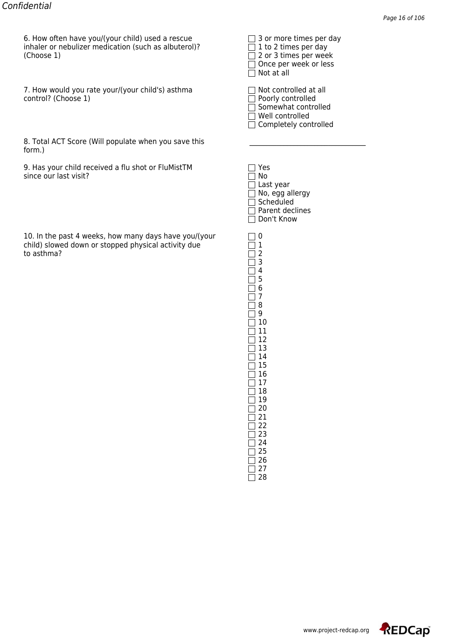6. How often have you/(your child) used a rescue 3 or more times per day inhaler or nebulizer medication (such as albuterol)? inhaler or nebulizer medication (such as albuterol)?  $\Box$  1 to 2 times per day (Choose 1)

7. How would you rate your/(your child's) asthma  $\Box$  Not controlled at all control? (Choose 1)

| 8. Total ACT Score (Will populate when you save this |  |
|------------------------------------------------------|--|
| form.)                                               |  |

9. Has your child received a flu shot or FluMistTM since our last visit?

10. In the past 4 weeks, how many days have you/(your  $\Box$  0 child) slowed down or stopped physical activity due  $\Box$  1 child) slowed down or stopped physical activity due 1 to asthma?

 $\Box$  Once per week or less  $\Box$  Not at all

| $\frac{1}{2}$ Not controlled at all |
|-------------------------------------|
| Poorly controlled                   |
| Somewhat controlled                 |
| 7 Well controlled                   |
| Completely controlled               |

| Yes             |
|-----------------|
| No              |
| Last year       |
| No, egg allergy |
| Scheduled       |
| Parent declines |
| Don't Know      |

 $\overline{\square}$  3  $\Box$  4  $\Box$  5  $\Box$  6  $\Box$  7  $\Box$  8 9 10 11  $\overline{\Box}$  12  $\overline{\Box}$  13  $\Box$  14  $\Box$  15 16 17 18  $\overline{\Box}$  19  $\Box$  20  $\Box$  21  $\Box$  22  $\overline{\Box}$  23 24 25  $\square$  26  $\overline{\square}$  27

 $\Box$  28

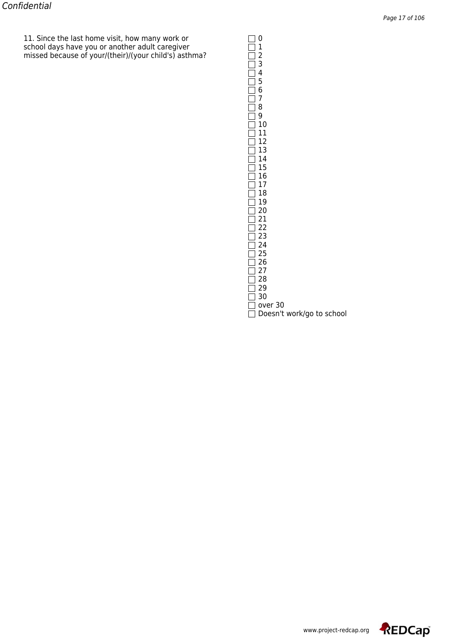11. Since the last home visit, how many work or  $\Box$  0 school days have you or another adult caregiver  $\hskip10mm \square \, 1$ missed because of your/(their)/(your child's) asthma?  $\hfill\Box$  2

| 23456789                  |
|---------------------------|
|                           |
|                           |
|                           |
|                           |
|                           |
|                           |
| 10                        |
| 11                        |
| 12                        |
| 13                        |
| 14                        |
| 15                        |
| 16                        |
| 17                        |
| 18                        |
| 19                        |
| 20<br>21                  |
|                           |
| 22<br>23                  |
| 24                        |
| 25                        |
| 26                        |
| 27                        |
| 28                        |
| 29                        |
| 30                        |
| over 30                   |
| Doesn't work/go to school |

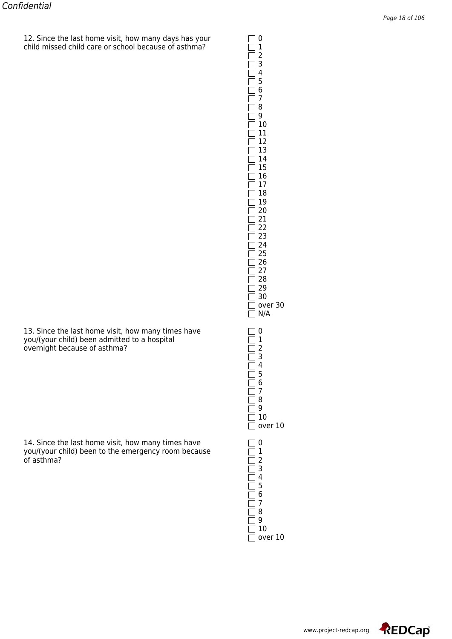$12.$  Since the last home visit, how many days has your  $\Box$  0 child missed child care or school because of asthma? 1

| $\bar{=}$<br>Ì<br>Ĕ<br>$\overline{\phantom{a}}$<br>$\overline{\mathbb{I}}$<br>I<br>$\Box$<br>$\Box$<br>$\Box$<br>Ì<br>$\Box$<br>$\Box$<br>$\exists$<br>⊒<br>$\Box$<br>1<br>l | 4<br>5<br>6<br>7<br>8<br>9<br>- 10 11 12 13 14 15 16<br>16<br>17<br>10<br>18<br>19<br>20<br>21<br>22<br>-<br>23<br>24<br>25<br>26<br>27<br>28<br>29<br>30<br>over 30<br>N/A |  |
|------------------------------------------------------------------------------------------------------------------------------------------------------------------------------|-----------------------------------------------------------------------------------------------------------------------------------------------------------------------------|--|
| I<br>l<br>ן<br>I<br>1                                                                                                                                                        | 0<br>1234<br>567<br>8<br>9<br>10<br>over 10                                                                                                                                 |  |
| Ì<br>I<br>┨<br>1<br>l<br>1                                                                                                                                                   | 0<br>$\mathbf 1$<br>$\frac{2}{3}$<br>5<br>6<br>7<br>8<br>9<br>10<br>over 10                                                                                                 |  |

13. Since the last home visit, how many times have  $\Box$  0 you/(your child) been admitted to a hospital  $\hskip10mm \Box$  1 overnight because of asthma?  $\Box$  2

14. Since the last home visit, how many times have  $\Box$  0 you/(your child) been to the emergency room because  $\hskip1cm \fbox{1}$ of asthma?  $\Box$  2

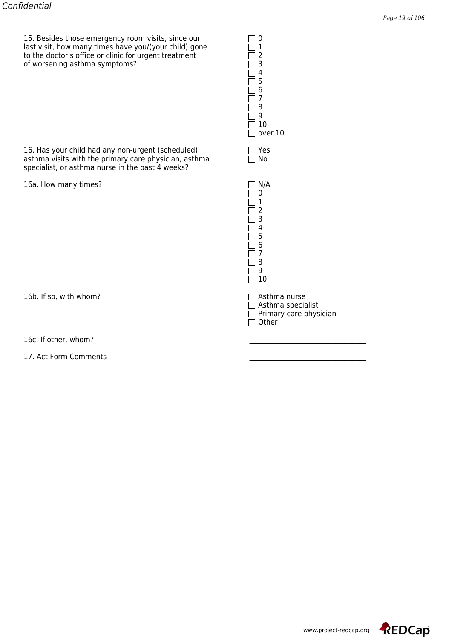15. Besides those emergency room visits, since our  $\Box$  0<br>last visit, how many times have you/(your child) gone  $\Box$  1<br>to the doctor's office or clinic for urgent treatment  $\Box$ last visit, how many times have you/(your child) gone  $\hskip10mm \square \, 1$ to the doctor's office or clinic for urgent treatment  $\hskip10mm \square$ of worsening asthma symptoms?  $\Box$ 

16. Has your child had any non-urgent (scheduled)  $\square$  Yes asthma visits with the primary care physician, asthma  $\square$  No asthma visits with the primary care physician, asthma specialist, or asthma nurse in the past 4 weeks?

16a. How many times? N/A

16b. If so, with whom? <br>
Asthma nurse

16c. If other, whom?

17. Act Form Comments

 $\Box$  4 5 6 7  $\overline{\Box}$  8  $\overline{\Box}$  9  $\Box$  10  $\Box$  over 10

 $\overline{\Box}$  0  $\overline{\square}$  1  $\Box$  2  $\Box$  3 4  $\Box$ 5  $\overline{\Box}$  6 7 8  $\Box$  9  $\Box$  10

 $\Box$  Asthma specialist Primary care physician Other

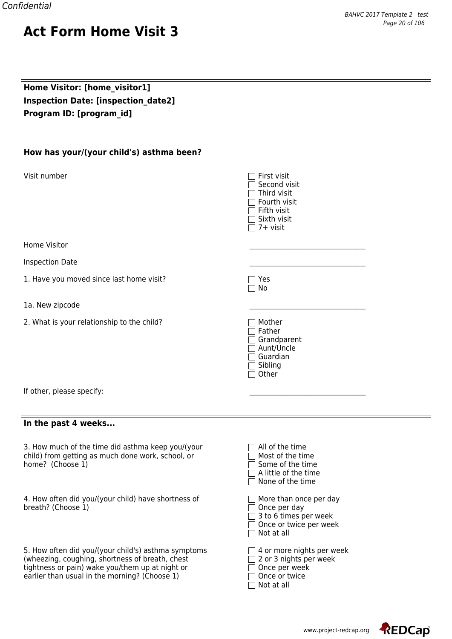## **Home Visitor: [home\_visitor1] Inspection Date: [inspection\_date2] Program ID: [program\_id]**

| How has your/(your child's) asthma been?                                                                                                                                                                                                                                             |                                                                                                             |
|--------------------------------------------------------------------------------------------------------------------------------------------------------------------------------------------------------------------------------------------------------------------------------------|-------------------------------------------------------------------------------------------------------------|
| Visit number                                                                                                                                                                                                                                                                         | First visit<br>Second visit<br>Third visit<br>Fourth visit<br>Fifth visit<br>Sixth visit<br>$\top$ 7+ visit |
| Home Visitor                                                                                                                                                                                                                                                                         |                                                                                                             |
| <b>Inspection Date</b>                                                                                                                                                                                                                                                               |                                                                                                             |
| 1. Have you moved since last home visit?                                                                                                                                                                                                                                             | Yes<br>No                                                                                                   |
| 1a. New zipcode                                                                                                                                                                                                                                                                      |                                                                                                             |
| 2. What is your relationship to the child?                                                                                                                                                                                                                                           | Mother<br>Father<br>Grandparent<br>Aunt/Uncle<br>Guardian<br>Sibling<br>Other                               |
| If other, please specify:                                                                                                                                                                                                                                                            |                                                                                                             |
| In the past 4 weeks                                                                                                                                                                                                                                                                  |                                                                                                             |
| $\sim$ 10 $\sim$ 10 $\sim$ 10 $\sim$ 10 $\sim$ 10 $\sim$ 10 $\sim$ 10 $\sim$ 10 $\sim$ 10 $\sim$ 10 $\sim$ 10 $\sim$ 10 $\sim$ 10 $\sim$ 10 $\sim$ 10 $\sim$ 10 $\sim$ 10 $\sim$ 10 $\sim$ 10 $\sim$ 10 $\sim$ 10 $\sim$ 10 $\sim$ 10 $\sim$ 10 $\sim$ 10 $\sim$ 10 $\sim$ 10 $\sim$ | $\Box$ All City it                                                                                          |

3. How much of the time did asthma keep you/(your  $\Box$  All of the time child) from getting as much done work, school, or home? (Choose  $1$ )

4. How often did you/(your child) have shortness of  $\hskip1cm \Box$  More than once per day breath? (Choose 1) Once per day

5. How often did you/(your child's) asthma symptoms  $\Box$  4 or more nights per week (wheezing, coughing, shortness of breath, chest  $\Box$  2 or 3 nights per week (wheezing, coughing, shortness of breath, chest  $\Box$  2 or 3 nights per tightness or pain) wake you/them up at night or  $\Box$  Once per week tightness or pain) wake you/them up at night or  $\square$  Once per week earlier than usual in the morning? (Choose 1) earlier than usual in the morning? (Choose 1)

| AII VI UIT UIIIT<br>Most of the time<br>$\Box$ Some of the time<br>$\Box$ A little of the time<br>$\Box$ None of the time        |
|----------------------------------------------------------------------------------------------------------------------------------|
| $\Box$ More than once per day<br>$\Box$ Once per day<br>□ 3 to 6 times per week<br>□ Once or twice per week<br>$\Box$ Not at all |

| ו ו טוועכ טו נאוני |  |  |
|--------------------|--|--|
| $\Box$ Not at all  |  |  |

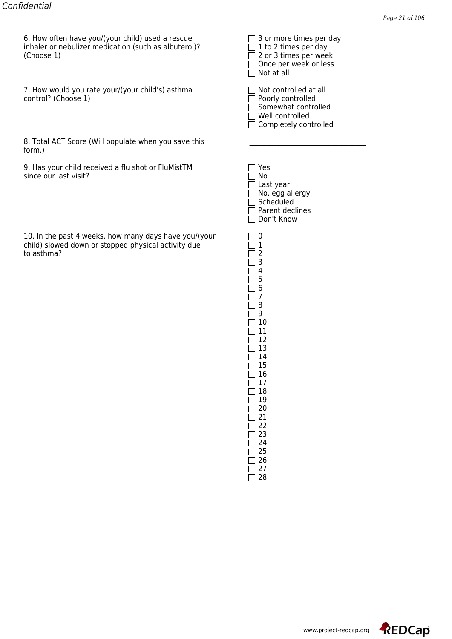6. How often have you/(your child) used a rescue 3 or more times per day inhaler or nebulizer medication (such as albuterol)? inhaler or nebulizer medication (such as albuterol)?  $\Box$  1 to 2 times per day (Choose 1)

7. How would you rate your/(your child's) asthma  $\Box$  Not controlled at all control? (Choose 1)

| 8. Total ACT Score (Will populate when you save this |  |
|------------------------------------------------------|--|
| form.)                                               |  |

9. Has your child received a flu shot or FluMistTM since our last visit?

10. In the past 4 weeks, how many days have you/(your  $\Box$  0 child) slowed down or stopped physical activity due  $\Box$  1 child) slowed down or stopped physical activity due 1 to asthma?

 $\Box$  Once per week or less  $\Box$  Not at all

| $\frac{1}{2}$ Not controlled at all |
|-------------------------------------|
| Poorly controlled                   |
| Somewhat controlled                 |
| 7 Well controlled                   |
| Completely controlled               |

| Yes             |
|-----------------|
| No              |
| Last year       |
| No, egg allergy |
| Scheduled       |
| Parent declines |
| Don't Know      |

 $\overline{\square}$  3  $\Box$  4  $\Box$  5  $\Box$  6  $\Box$  7  $\Box$  8 9 10 11  $\overline{\Box}$  12  $\overline{\Box}$  13  $\Box$  14  $\Box$  15 16 17 18  $\overline{\Box}$  19  $\Box$  20  $\Box$  21  $\Box$  22  $\overline{\Box}$  23 24 25  $\square$  26  $\overline{\square}$  27

 $\Box$  28

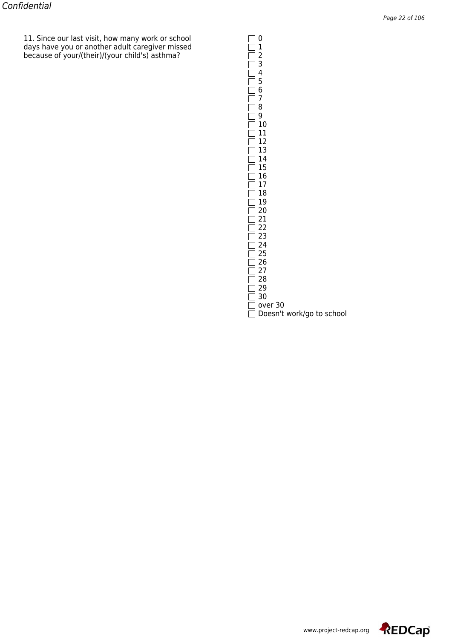11. Since our last visit, how many work or school  $\Box$  0 days have you or another adult caregiver missed  $\hskip10mm \square \, 1$ because of your/(their)/(your child's) asthma? 2

| $\frac{1}{2}$ 3 4 5 6 7 8 9 10 |
|--------------------------------|
|                                |
|                                |
|                                |
|                                |
|                                |
|                                |
|                                |
| 11                             |
| 12                             |
| 13                             |
| 14                             |
| 15                             |
| 16                             |
| 17                             |
| 18                             |
| 19                             |
| 20<br>21                       |
|                                |
| 22                             |
| 23                             |
| 24                             |
| 25                             |
| 26                             |
| 27                             |
| 28                             |
| 29                             |
| 30                             |
| over 30                        |
| Doesn't work/go to school      |
|                                |

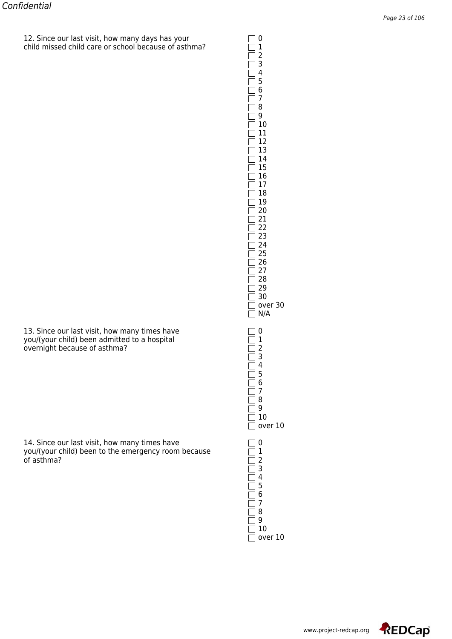$12.$  Since our last visit, how many days has your  $\Box$  0 child missed child care or school because of asthma?  $\hfill\Box$   $1$ 

| ∃<br>$\mathbf{I}$<br>$\overline{\phantom{a}}$<br>I<br>l<br>I<br>┓<br>$\overline{\phantom{a}}$<br>I<br>1<br>1<br>1<br>1<br>1<br>Ξ<br>1<br>1<br>$\overline{\phantom{a}}$<br>⅂<br>1<br>]<br>1<br>1<br>]<br>$\overline{\phantom{a}}$<br>]<br>$\overline{\phantom{a}}$<br>٦<br>I<br>]<br>]<br>]<br>1<br>$\rfloor$<br>l | 4<br>5<br>6<br>7<br>8<br>9<br>10<br>11<br>12<br>13<br>14<br>15<br>16<br>$\frac{17}{1}$<br>18<br>-<br>19<br>--<br>20<br>22<br>23<br>24<br>25<br>26<br>$\frac{1}{27}$<br>28<br>29<br>30<br>over<br>30<br>N/A |
|-------------------------------------------------------------------------------------------------------------------------------------------------------------------------------------------------------------------------------------------------------------------------------------------------------------------|------------------------------------------------------------------------------------------------------------------------------------------------------------------------------------------------------------|
| l<br>I<br>1<br>I<br>1<br>1<br>1<br>1<br>]<br>1<br>l<br>1<br>I<br>1                                                                                                                                                                                                                                                | 0<br>$\mathbf{1}$<br>$\overline{c}$<br>3<br>4<br>$\overline{5}$<br>6<br>7<br>-<br>8<br>9<br>10<br>over 10                                                                                                  |
| ┃<br>I<br>]<br>l<br>I<br>1<br>1<br>1<br>1<br>1<br>I<br>1<br>I<br>1<br>1<br>1                                                                                                                                                                                                                                      | 0<br>$\begin{array}{c} 1 \\ 2 \\ 3 \end{array}$<br>4<br>5<br>6<br>7<br>8<br>9<br>10<br>over 10                                                                                                             |

 

13. Since our last visit, how many times have  $\Box$  0 you/(your child) been admitted to a hospital  $\hskip10mm \Box$  1 overnight because of asthma?  $\Box$  2

14. Since our last visit, how many times have  $\Box$  0 you/(your child) been to the emergency room because  $\hskip1cm \fbox{1}$ of asthma?  $\Box$  2

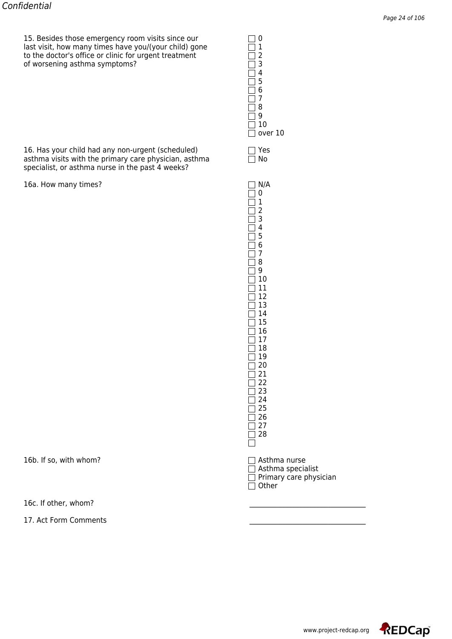15. Besides those emergency room visits since our  $\Box$ last visit, how many times have you/(your child) gone  $\hskip10mm \square \, 1$ to the doctor's office or clinic for urgent treatment  $\hskip10mm \square$ of worsening asthma symptoms?  $\Box$ 

16. Has your child had any non-urgent (scheduled)  $\Box$  Yes asthma visits with the primary care physician, asthma  $\Box$  No asthma visits with the primary care physician, asthma specialist, or asthma nurse in the past 4 weeks?

16a. How many times?  $\Box$  N/A

16b. If so, with whom? <br>
Asthma nurse

16c. If other, whom?

17. Act Form Comments

| 2       |  |
|---------|--|
| 3       |  |
| 4       |  |
| 5       |  |
| 6       |  |
| 7       |  |
| 8       |  |
| 9       |  |
| 10      |  |
| over 10 |  |
|         |  |
|         |  |

| $\mathsf{l}$<br>$\overline{\phantom{a}}$    |  |
|---------------------------------------------|--|
|                                             |  |
| <u>הברבה ביתוני</u><br> <br> <br> <br> <br> |  |
|                                             |  |
|                                             |  |
|                                             |  |
|                                             |  |
|                                             |  |
|                                             |  |
| [<br>[                                      |  |
|                                             |  |
|                                             |  |
|                                             |  |
|                                             |  |
|                                             |  |
|                                             |  |
|                                             |  |
|                                             |  |
| コココココココココ                                   |  |
|                                             |  |
| l                                           |  |
|                                             |  |
|                                             |  |
|                                             |  |
|                                             |  |
|                                             |  |
| COCOCOCOCOCO                                |  |
|                                             |  |
|                                             |  |
|                                             |  |
|                                             |  |
| [<br> <br> -                                |  |
|                                             |  |
|                                             |  |
|                                             |  |

 $\Box$  Asthma specialist  $\Box$  Primary care physician  $\overline{\Box}$  Other



www.project-redcap.org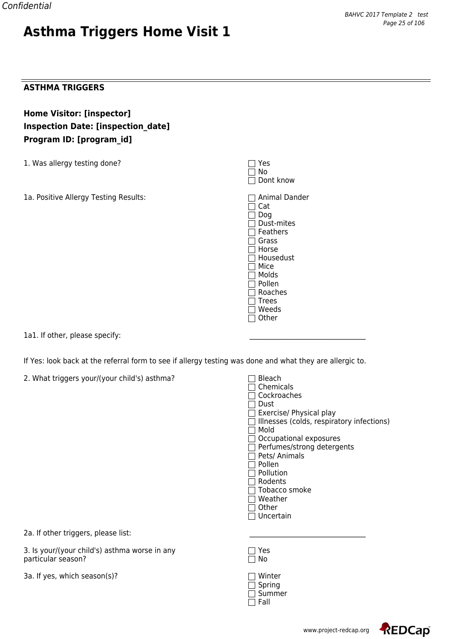#### **ASTHMA TRIGGERS**

**Home Visitor: [inspector] Inspection Date: [inspection\_date] Program ID: [program\_id]**

1. Was allergy testing done?

1a. Positive Allergy Testing Results: Animal Dander

| Yes<br>No<br>Dont know                                                                                                                               |
|------------------------------------------------------------------------------------------------------------------------------------------------------|
| Animal Dande<br>Cat<br>Dog<br>Dust-mites<br>Feathers<br>Grass<br>Horse<br>Housedust<br>Mice<br>Molds<br>Pollen<br>Roaches<br>Trees<br>Weeds<br>Other |

1a1. If other, please specify:

If Yes: look back at the referral form to see if allergy testing was done and what they are allergic to.

2. What triggers your/(your child's) asthma?

| Bleach<br>Chemicals<br>Cockroaches        |
|-------------------------------------------|
| Dust                                      |
| Exercise/ Physical play                   |
| Illnesses (colds, respiratory infections) |
| Mold                                      |
| Occupational exposures                    |
| Perfumes/strong detergents                |
| Pets/ Animals                             |
| Pollen                                    |
| Pollution                                 |
| Rodents                                   |
| Tobacco smoke                             |
| Weather                                   |
| Other                                     |
| Uncertain                                 |
|                                           |
|                                           |

2a. If other triggers, please list:

3. Is your/(your child's) asthma worse in any  $\Box$  Yes particular season? No

3a. If yes, which season(s)?

| 1 Winter |
|----------|
| Spring   |
| Summer   |
| Fall     |



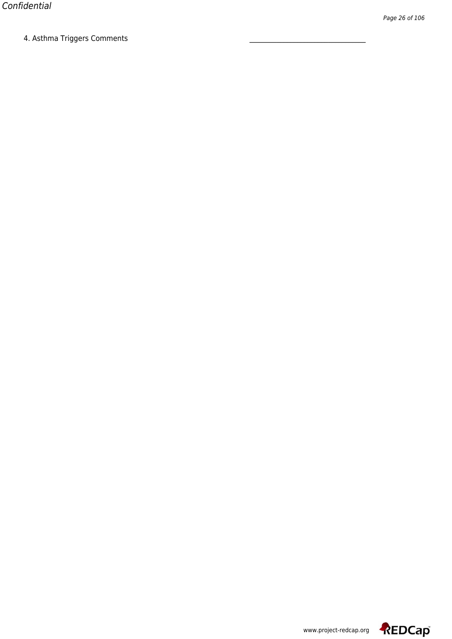4. Astrinia Triggers Comments

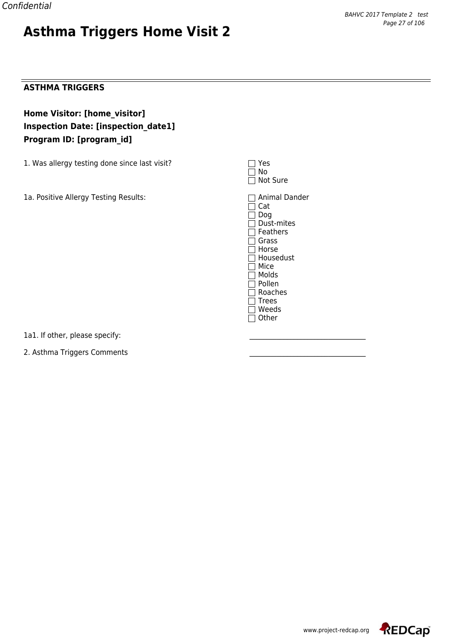

#### **ASTHMA TRIGGERS**

**Home Visitor: [home\_visitor] Inspection Date: [inspection\_date1] Program ID: [program\_id]**

1. Was allergy testing done since last visit?  $\square$  Yesser  $\square$  Yesser

1a. Positive Allergy Testing Results: Animal Dander

| l Tres<br>l I No<br>∏ Not Sure |  |
|--------------------------------|--|
| $\Box$ Animal D<br>l ICat      |  |

Cat Dog Dust-mites  $\Box$  Feathers □ Grass  $\Box$  Horse  $\Box$  Housedust □ Mice  $\overline{\Box}$  Molds  $\overline{\Box}$  Pollen  $\overline{\Box}$  Roaches  $\Box$  Trees Weeds  $\Box$  Other

1a1. If other, please specify:

2. Asthma Triggers Comments

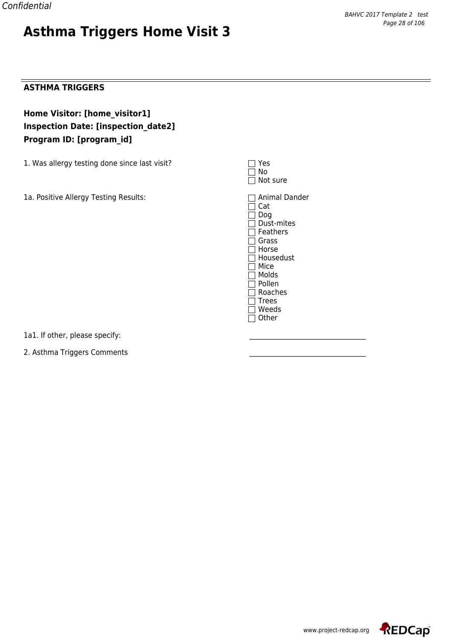#### **ASTHMA TRIGGERS**

**Home Visitor: [home\_visitor1] Inspection Date: [inspection\_date2] Program ID: [program\_id]**

1. Was allergy testing done since last visit?  $\square$  Yesser  $\square$  Yesser

1a. Positive Allergy Testing Results: Animal Dander

| res<br>i i No<br>$\Box$ Not sure |  |
|----------------------------------|--|
| $\Box$ Animal D<br>C`at          |  |

Cat Dog Dust-mites  $\Box$  Feathers □ Grass  $\Box$  Horse  $\Box$  Housedust □ Mice  $\overline{\Box}$  Molds  $\overline{\Box}$  Pollen  $\overline{\Box}$  Roaches  $\Box$  Trees Weeds  $\Box$  Other

1a1. If other, please specify:

2. Asthma Triggers Comments

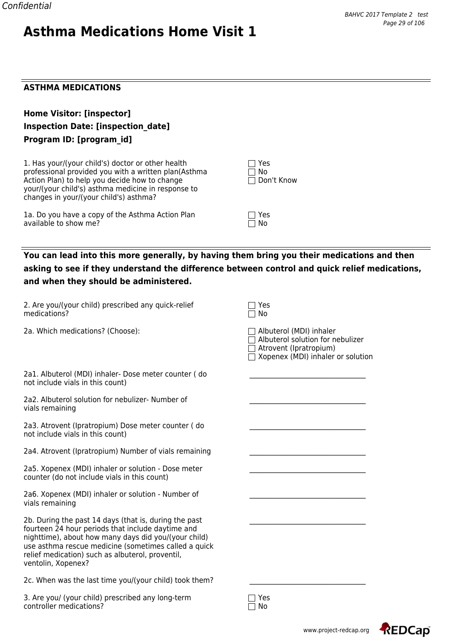## **ASTHMA MEDICATIONS**

| <b>Home Visitor: [inspector]</b>          |
|-------------------------------------------|
| <b>Inspection Date: [inspection date]</b> |
| Program ID: [program id]                  |

1. Has your/(your child's) doctor or other health professional provided you with a written plan(Asthma Action Plan) to help you decide how to change  $\Box$  Don't Know your/(your child's) asthma medicine in response to changes in your/(your child's) asthma?

1a. Do you have a copy of the Asthma Action Plan  $\Box$  Yes available to show me? available to show me?

| $\perp$ T Yes |  |
|---------------|--|
| ∣ I No        |  |
| □ Don't Know  |  |

## **You can lead into this more generally, by having them bring you their medications and then asking to see if they understand the difference between control and quick relief medications, and when they should be administered.**

| 2. Are you/(your child) prescribed any quick-relief<br>medications?                                                                                                                                                                                                                                  | Yes<br>No                                                                                                                         |
|------------------------------------------------------------------------------------------------------------------------------------------------------------------------------------------------------------------------------------------------------------------------------------------------------|-----------------------------------------------------------------------------------------------------------------------------------|
| 2a. Which medications? (Choose):                                                                                                                                                                                                                                                                     | Albuterol (MDI) inhaler<br>Albuterol solution for nebulizer<br>Atrovent (Ipratropium)<br>$\Box$ Xopenex (MDI) inhaler or solution |
| 2a1. Albuterol (MDI) inhaler- Dose meter counter (do<br>not include vials in this count)                                                                                                                                                                                                             |                                                                                                                                   |
| 2a2. Albuterol solution for nebulizer- Number of<br>vials remaining                                                                                                                                                                                                                                  |                                                                                                                                   |
| 2a3. Atrovent (Ipratropium) Dose meter counter (do<br>not include vials in this count)                                                                                                                                                                                                               |                                                                                                                                   |
| 2a4. Atrovent (Ipratropium) Number of vials remaining                                                                                                                                                                                                                                                |                                                                                                                                   |
| 2a5. Xopenex (MDI) inhaler or solution - Dose meter<br>counter (do not include vials in this count)                                                                                                                                                                                                  |                                                                                                                                   |
| 2a6. Xopenex (MDI) inhaler or solution - Number of<br>vials remaining                                                                                                                                                                                                                                |                                                                                                                                   |
| 2b. During the past 14 days (that is, during the past<br>fourteen 24 hour periods that include daytime and<br>nighttime), about how many days did you/(your child)<br>use asthma rescue medicine (sometimes called a quick<br>relief medication) such as albuterol, proventil,<br>ventolin, Xopenex? |                                                                                                                                   |
| 2c. When was the last time you/(your child) took them?                                                                                                                                                                                                                                               |                                                                                                                                   |
| 3. Are you/ (your child) prescribed any long-term<br>controller medications?                                                                                                                                                                                                                         | Yes<br>No                                                                                                                         |



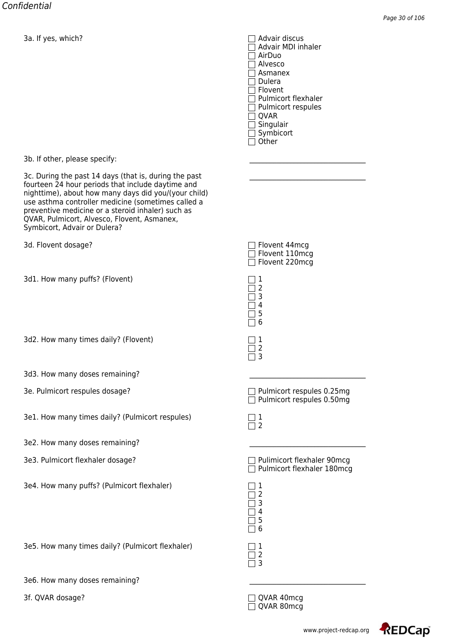Advair MDI inhaler AirDuo Alvesco Asmanex  $\Box$  Dulera  $\Box$  Flovent □ Pulmicort flexhaler  $\Box$  Pulmicort respules  $\Box$  QVAR  $\Box$  Singulair  $\Box$  Symbicort  $\Box$  Other

3b. If other, please specify:

3c. During the past 14 days (that is, during the past fourteen 24 hour periods that include daytime and nighttime), about how many days did you/(your child) use asthma controller medicine (sometimes called a preventive medicine or a steroid inhaler) such as QVAR, Pulmicort, Alvesco, Flovent, Asmanex, Symbicort, Advair or Dulera?

3d. Flovent dosage? Flower that the state of the state of the state of the state of the state of the state of the state of the state of the state of the state of the state of the state of the state of the state of the stat

3d1. How many puffs? (Flovent) 1

3d2. How many times daily? (Flovent)  $\Box$  1

- 3d3. How many doses remaining?
- 3e. Pulmicort respules dosage? Pulmicort respules 0.25mg
- 3e1. How many times daily? (Pulmicort respules) 1

3e2. How many doses remaining?

- 
- 3e4. How many puffs? (Pulmicort flexhaler)  $\Box$  1

3e5. How many times daily? (Pulmicort flexhaler) 1

3e6. How many doses remaining?

| $\Box$ Flovent 44mcg<br>$\Box$ Flovent 220mcg | Flovent 110mcg |
|-----------------------------------------------|----------------|
| l 11                                          |                |



 $\Box$  2  $\Box$  3

 $\Box$  Pulmicort respules 0.50mg

3e3. Pulmicort flexhaler dosage? Pulimicort flexhaler 90mcg  $\Box$  Pulmicort flexhaler 180mcg

| ĺ<br>ĺ                                             | 2<br>3                 |  |
|----------------------------------------------------|------------------------|--|
| ĺ<br>Ι<br>$\overline{\phantom{a}}$<br>$\mathbf{I}$ | 4<br>5<br>6            |  |
|                                                    | $\mathbf{1}$<br>2<br>Ξ |  |

3f. QVAR dosage? QVAR 40mcg  $\overline{\Box}$  QVAR 80mcg

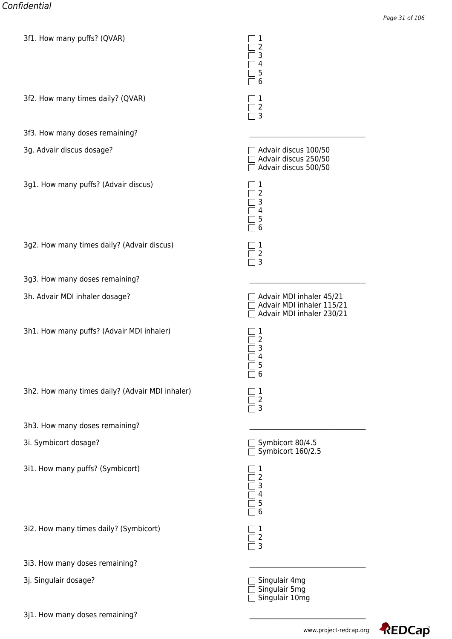| SIL. HOW Many pulls: (QVAR)                     | Ŧ<br>$\overline{2}$<br>3<br>4<br>5<br>6                                            |
|-------------------------------------------------|------------------------------------------------------------------------------------|
| 3f2. How many times daily? (QVAR)               | 1<br>$\overline{2}$<br>3                                                           |
| 3f3. How many doses remaining?                  |                                                                                    |
| 3g. Advair discus dosage?                       | Advair discus 100/50<br>Advair discus 250/50<br>Advair discus 500/50               |
| 3g1. How many puffs? (Advair discus)            | 1<br>2<br>3<br>4<br>5<br>6                                                         |
| 3g2. How many times daily? (Advair discus)      | 1<br>$\overline{2}$<br>3                                                           |
| 3g3. How many doses remaining?                  |                                                                                    |
| 3h. Advair MDI inhaler dosage?                  | Advair MDI inhaler 45/21<br>Advair MDI inhaler 115/21<br>Advair MDI inhaler 230/21 |
| 3h1. How many puffs? (Advair MDI inhaler)       | 1<br>2<br>3<br>4<br>5<br>6                                                         |
| 3h2. How many times daily? (Advair MDI inhaler) | 1<br>$\overline{2}$<br>3                                                           |
| 3h3. How many doses remaining?                  |                                                                                    |
| 3i. Symbicort dosage?                           | Symbicort 80/4.5<br>Symbicort 160/2.5                                              |
| 3i1. How many puffs? (Symbicort)                | 1<br>$\overline{2}$<br>3<br>4<br>5<br>6                                            |
| 3i2. How many times daily? (Symbicort)          | 1<br>$\overline{2}$<br>3                                                           |
| 3i3. How many doses remaining?                  |                                                                                    |
| 3j. Singulair dosage?                           | Singulair 4mg<br>Singulair 5mg<br>Singulair 10mg                                   |

3j1. How many doses remaining?

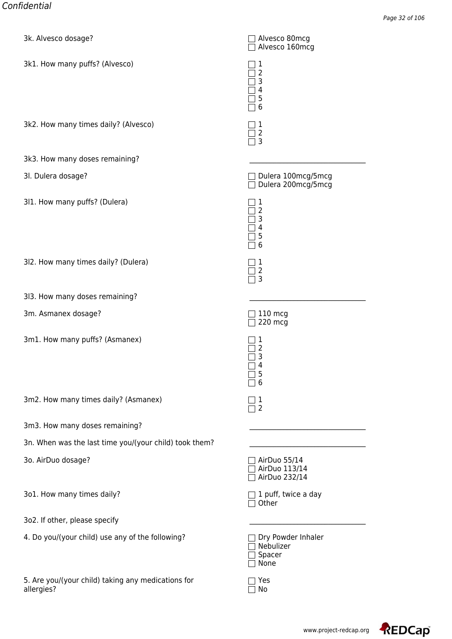| SK. Alvesco dosager                                              | $\Box$ Alvesco ourlicy<br>Alvesco 160mcg          |
|------------------------------------------------------------------|---------------------------------------------------|
| 3k1. How many puffs? (Alvesco)                                   | 1<br>2<br>3<br>4<br>5<br>6                        |
| 3k2. How many times daily? (Alvesco)                             | 1<br>2<br>3                                       |
| 3k3. How many doses remaining?                                   |                                                   |
| 3I. Dulera dosage?                                               | Dulera 100mcg/5mcg<br>Dulera 200mcg/5mcg          |
| 311. How many puffs? (Dulera)                                    | 1<br>2<br>3<br>4<br>5<br>6                        |
| 3l2. How many times daily? (Dulera)                              | 1<br>2<br>3                                       |
| 3l3. How many doses remaining?                                   |                                                   |
| 3m. Asmanex dosage?                                              | $110$ mcg<br>220 mcg                              |
| 3m1. How many puffs? (Asmanex)                                   | 1<br>2<br>3<br>4<br>5<br>ᅳ<br>6<br>$\blacksquare$ |
| 3m2. How many times daily? (Asmanex)                             | 1<br>$\overline{2}$                               |
| 3m3. How many doses remaining?                                   |                                                   |
| 3n. When was the last time you/(your child) took them?           |                                                   |
| 3o. AirDuo dosage?                                               | AirDuo 55/14<br>AirDuo 113/14<br>AirDuo 232/14    |
| 3o1. How many times daily?                                       | 1 puff, twice a day<br>Other                      |
| 3o2. If other, please specify                                    |                                                   |
| 4. Do you/(your child) use any of the following?                 | Dry Powder Inhaler<br>Nebulizer<br>Spacer<br>None |
| 5. Are you/(your child) taking any medications for<br>allergies? | Yes<br>No                                         |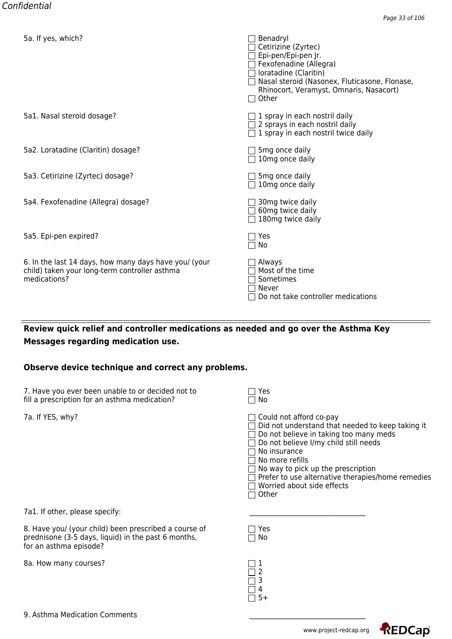| Jd. II yes, WHICH!                                                                                                     | benauryi<br>Cetirizine (Zyrtec)<br>Epi-pen/Epi-pen Jr.<br>Fexofenadine (Allegra)<br>loratadine (Claritin)<br>Nasal steroid (Nasonex, Fluticasone, Flonase,<br>Rhinocort, Veramyst, Omnaris, Nasacort)<br>Other |
|------------------------------------------------------------------------------------------------------------------------|----------------------------------------------------------------------------------------------------------------------------------------------------------------------------------------------------------------|
| 5a1. Nasal steroid dosage?                                                                                             | 1 spray in each nostril daily<br>2 sprays in each nostril daily<br>1 spray in each nostril twice daily                                                                                                         |
| 5a2. Loratadine (Claritin) dosage?                                                                                     | 5 <sub>mg</sub> once daily<br>10mg once daily                                                                                                                                                                  |
| 5a3. Cetirizine (Zyrtec) dosage?                                                                                       | 5 <sub>mg</sub> once daily<br>10mg once daily                                                                                                                                                                  |
| 5a4. Fexofenadine (Allegra) dosage?                                                                                    | 30 <sub>mg</sub> twice daily<br>60mg twice daily<br>180mg twice daily                                                                                                                                          |
| 5a5. Epi-pen expired?                                                                                                  | Yes<br>No                                                                                                                                                                                                      |
| 6. In the last 14 days, how many days have you/ (your<br>child) taken your long-term controller asthma<br>medications? | Always<br>Most of the time<br>Sometimes<br>Never<br>Do not take controller medications                                                                                                                         |

## **Review quick relief and controller medications as needed and go over the Asthma Key Messages regarding medication use.**

## **Observe device technique and correct any problems.**

7. Have you ever been unable to or decided not to  $\Box$  Yes fill a prescription for an asthma medication?

7a. If YES, why? Could not afford co-pay

| $\Box$ Did not understand that needed to keep taking it |  |  |  |
|---------------------------------------------------------|--|--|--|
|---------------------------------------------------------|--|--|--|

 $\Box$  Do not believe in taking too many meds

 $\Box$  Do not believe I/my child still needs

□ No insurance

 $\overline{\Box}$  No more refills

 $\Box$  No way to pick up the prescription

 $\Box$  Prefer to use alternative therapies/home remedies

 $\Box$  Worried about side effects

 $\overline{\Box}$  Other

7a1. If other, please specify:

8. Have you/ (your child) been prescribed a course of  $\Box$  Yes prednisone (3-5 days, liquid) in the past 6 months,  $\Box$  No for an asthma episode?

8a. How many courses? 1

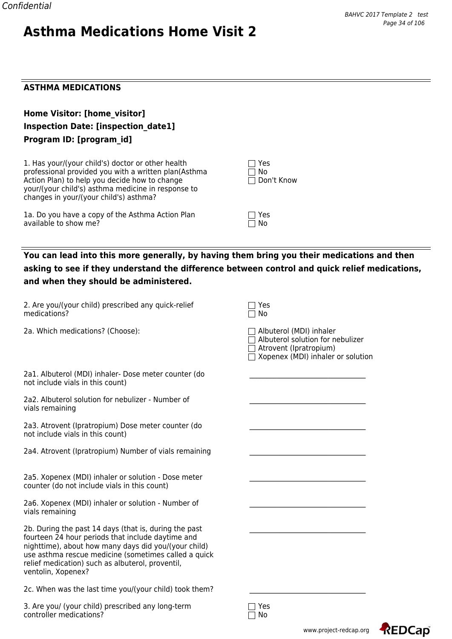## **ASTHMA MEDICATIONS**

| Home Visitor: [home visitor]               |
|--------------------------------------------|
| <b>Inspection Date: [inspection date1]</b> |
| Program ID: [program id]                   |

1. Has your/(your child's) doctor or other health professional provided you with a written plan(Asthma Action Plan) to help you decide how to change  $\Box$  Don't Know your/(your child's) asthma medicine in response to changes in your/(your child's) asthma?

1a. Do you have a copy of the Asthma Action Plan  $\Box$  Yes available to show me? available to show me?

|        | $  \rceil$ Yes    |  |
|--------|-------------------|--|
| l I No |                   |  |
|        | $\Box$ Don't Know |  |

## **You can lead into this more generally, by having them bring you their medications and then asking to see if they understand the difference between control and quick relief medications, and when they should be administered.**

| 2. Are you/(your child) prescribed any quick-relief<br>medications?                                                                                                                                                                                                                                  | Yes<br>No                                                                                                                  |
|------------------------------------------------------------------------------------------------------------------------------------------------------------------------------------------------------------------------------------------------------------------------------------------------------|----------------------------------------------------------------------------------------------------------------------------|
| 2a. Which medications? (Choose):                                                                                                                                                                                                                                                                     | Albuterol (MDI) inhaler<br>Albuterol solution for nebulizer<br>Atrovent (Ipratropium)<br>Xopenex (MDI) inhaler or solution |
| 2a1. Albuterol (MDI) inhaler- Dose meter counter (do<br>not include vials in this count)                                                                                                                                                                                                             |                                                                                                                            |
| 2a2. Albuterol solution for nebulizer - Number of<br>vials remaining                                                                                                                                                                                                                                 |                                                                                                                            |
| 2a3. Atrovent (Ipratropium) Dose meter counter (do<br>not include vials in this count)                                                                                                                                                                                                               |                                                                                                                            |
| 2a4. Atrovent (Ipratropium) Number of vials remaining                                                                                                                                                                                                                                                |                                                                                                                            |
| 2a5. Xopenex (MDI) inhaler or solution - Dose meter<br>counter (do not include vials in this count)                                                                                                                                                                                                  |                                                                                                                            |
| 2a6. Xopenex (MDI) inhaler or solution - Number of<br>vials remaining                                                                                                                                                                                                                                |                                                                                                                            |
| 2b. During the past 14 days (that is, during the past<br>fourteen 24 hour periods that include daytime and<br>nighttime), about how many days did you/(your child)<br>use asthma rescue medicine (sometimes called a quick<br>relief medication) such as albuterol, proventil,<br>ventolin, Xopenex? |                                                                                                                            |
| 2c. When was the last time you/(your child) took them?                                                                                                                                                                                                                                               |                                                                                                                            |
| 3. Are you/ (your child) prescribed any long-term                                                                                                                                                                                                                                                    | Yes                                                                                                                        |

 $\Box$  No controller medications?

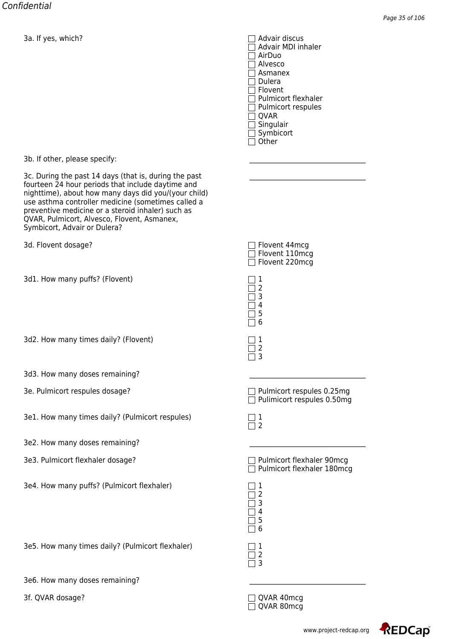Advair MDI inhaler AirDuo Alvesco Asmanex  $\Box$  Dulera □ Flovent □ Pulmicort flexhaler  $\Box$  Pulmicort respules  $\Box$  QVAR  $\Box$  Singulair  $\Box$  Symbicort  $\Box$  Other

3b. If other, please specify:

3c. During the past 14 days (that is, during the past fourteen 24 hour periods that include daytime and nighttime), about how many days did you/(your child) use asthma controller medicine (sometimes called a preventive medicine or a steroid inhaler) such as QVAR, Pulmicort, Alvesco, Flovent, Asmanex, Symbicort, Advair or Dulera?

3d. Flovent dosage?

3d1. How many puffs? (Flovent)  $\Box$  1

3d2. How many times daily? (Flovent)  $\Box$  1

- 3d3. How many doses remaining?
- 3e. Pulmicort respules dosage? example the pulmicort respulse 0.25mg
- 3e1. How many times daily? (Pulmicort respules) 1

3e2. How many doses remaining?

- 3e3. Pulmicort flexhaler dosage? Pulmicort flexhaler 90mcg
- 3e4. How many puffs? (Pulmicort flexhaler) 1

3e5. How many times daily? (Pulmicort flexhaler) 1

3e6. How many doses remaining?

| $\Box$ Flovent 44mcg  |
|-----------------------|
| $\Box$ Flovent 110mcg |
| $\Box$ Flovent 220mcg |
|                       |

|   | Ĩ, |  |
|---|----|--|
|   | З  |  |
|   | 4  |  |
|   | 5  |  |
| ı | 6  |  |
|   |    |  |
|   |    |  |

 $\Box$  2  $\Box$  3

 $\Box$  Pulimicort respules 0.50mg

| Ξ |
|---|
|   |

 $\Box$  Pulmicort flexhaler 180mcg

| Ç<br>Ć<br>I<br>Ç<br>٦<br>L | 2<br>3<br>4<br>5<br>6          |  |
|----------------------------|--------------------------------|--|
| $\vert$                    | $\mathbf{I}$<br>$\overline{c}$ |  |

3f. QVAR dosage? QVAR 40mcg  $\overline{\Box}$  QVAR 80mcg

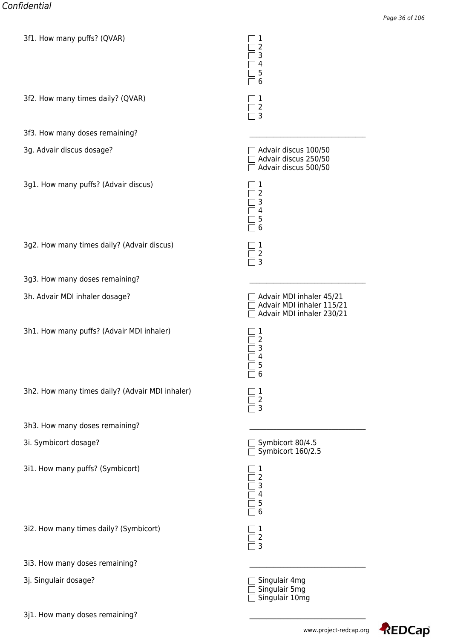| SIL. HOW Many pulls: (QVAR)                     | Ŧ<br>$\overline{2}$<br>3<br>4<br>5<br>6                                            |
|-------------------------------------------------|------------------------------------------------------------------------------------|
| 3f2. How many times daily? (QVAR)               | 1<br>$\overline{2}$<br>3                                                           |
| 3f3. How many doses remaining?                  |                                                                                    |
| 3g. Advair discus dosage?                       | Advair discus 100/50<br>Advair discus 250/50<br>Advair discus 500/50               |
| 3g1. How many puffs? (Advair discus)            | 1<br>2<br>3<br>4<br>5<br>6                                                         |
| 3g2. How many times daily? (Advair discus)      | 1<br>$\overline{2}$<br>3                                                           |
| 3g3. How many doses remaining?                  |                                                                                    |
| 3h. Advair MDI inhaler dosage?                  | Advair MDI inhaler 45/21<br>Advair MDI inhaler 115/21<br>Advair MDI inhaler 230/21 |
| 3h1. How many puffs? (Advair MDI inhaler)       | 1<br>2<br>3<br>4<br>5<br>6                                                         |
| 3h2. How many times daily? (Advair MDI inhaler) | 1<br>$\overline{2}$<br>3                                                           |
| 3h3. How many doses remaining?                  |                                                                                    |
| 3i. Symbicort dosage?                           | Symbicort 80/4.5<br>Symbicort 160/2.5                                              |
| 3i1. How many puffs? (Symbicort)                | 1<br>$\overline{2}$<br>3<br>4<br>5<br>6                                            |
| 3i2. How many times daily? (Symbicort)          | 1<br>$\overline{2}$<br>3                                                           |
| 3i3. How many doses remaining?                  |                                                                                    |
| 3j. Singulair dosage?                           | Singulair 4mg<br>Singulair 5mg<br>Singulair 10mg                                   |

3j1. How many doses remaining?

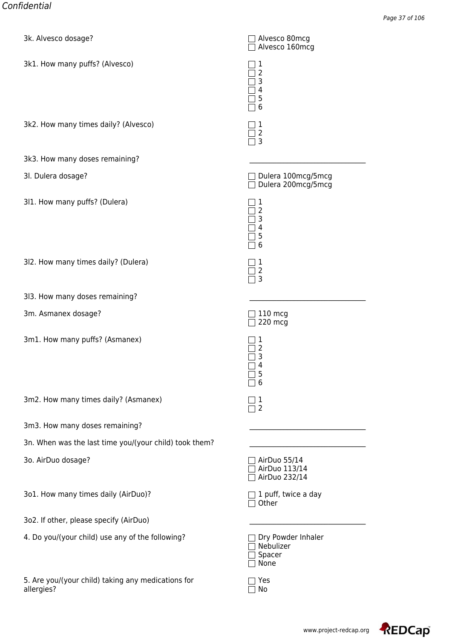| SK. Alvesco dosage?                                              | $\Box$ Alvesco ourlicy<br>Alvesco 160mcg          |
|------------------------------------------------------------------|---------------------------------------------------|
| 3k1. How many puffs? (Alvesco)                                   | 1<br>2<br>3<br>4<br>5<br>6                        |
| 3k2. How many times daily? (Alvesco)                             | 1<br>2<br>3                                       |
| 3k3. How many doses remaining?                                   |                                                   |
| 3I. Dulera dosage?                                               | Dulera 100mcg/5mcg<br>Dulera 200mcg/5mcg          |
| 311. How many puffs? (Dulera)                                    | 1<br>2<br>3<br>4<br>5<br>6                        |
| 3l2. How many times daily? (Dulera)                              | 1<br>2<br>3                                       |
| 313. How many doses remaining?                                   |                                                   |
| 3m. Asmanex dosage?                                              | 110 mcg<br>220 mcg                                |
| 3m1. How many puffs? (Asmanex)                                   | 1<br>2<br>3<br>4<br>5<br>ᅳ<br>6<br>$\mathsf{L}$   |
| 3m2. How many times daily? (Asmanex)                             | 1<br>$\overline{2}$                               |
| 3m3. How many doses remaining?                                   |                                                   |
| 3n. When was the last time you/(your child) took them?           |                                                   |
| 3o. AirDuo dosage?                                               | AirDuo 55/14<br>AirDuo 113/14<br>AirDuo 232/14    |
| 3o1. How many times daily (AirDuo)?                              | 1 puff, twice a day<br>Other                      |
| 3o2. If other, please specify (AirDuo)                           |                                                   |
| 4. Do you/(your child) use any of the following?                 | Dry Powder Inhaler<br>Nebulizer<br>Spacer<br>None |
| 5. Are you/(your child) taking any medications for<br>allergies? | Yes<br>No                                         |

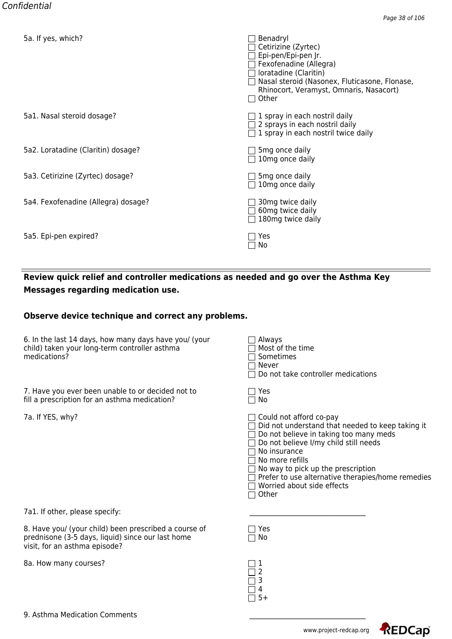| <u>ba. ir yes, which?</u>           | <b>Denauryi</b><br>Cetirizine (Zyrtec)<br>Epi-pen/Epi-pen Jr.<br>Fexofenadine (Allegra)<br>loratadine (Claritin)<br>Nasal steroid (Nasonex, Fluticasone, Flonase,<br>Rhinocort, Veramyst, Omnaris, Nasacort)<br>Other |
|-------------------------------------|-----------------------------------------------------------------------------------------------------------------------------------------------------------------------------------------------------------------------|
| 5a1. Nasal steroid dosage?          | 1 spray in each nostril daily<br>2 sprays in each nostril daily<br>$\Box$ 1 spray in each nostril twice daily                                                                                                         |
| 5a2. Loratadine (Claritin) dosage?  | 5 <sub>mg</sub> once daily<br>10mg once daily                                                                                                                                                                         |
| 5a3. Cetirizine (Zyrtec) dosage?    | 5 <sub>mg</sub> once daily<br>$\Box$ 10mg once daily                                                                                                                                                                  |
| 5a4. Fexofenadine (Allegra) dosage? | 30mg twice daily<br>60mg twice daily<br>180mg twice daily                                                                                                                                                             |
| 5a5. Epi-pen expired?               | Yes<br>No                                                                                                                                                                                                             |

## **Review quick relief and controller medications as needed and go over the Asthma Key Messages regarding medication use.**

### **Observe device technique and correct any problems.**

| 6. In the last 14 days, how many days have you/ (your | $\Box$ Always           |
|-------------------------------------------------------|-------------------------|
| child) taken your long-term controller asthma         | $\Box$ Most of the time |
| medications?                                          | $\Box$ Sometimes        |

7. Have you ever been unable to or decided not to fill a prescription for an asthma medication?

7a. If YES, why?

| Always<br>l Most of the time<br>l Sometimes<br>Never<br>Do not take controller medications                                                                                                                                                                                                                                 |
|----------------------------------------------------------------------------------------------------------------------------------------------------------------------------------------------------------------------------------------------------------------------------------------------------------------------------|
| Yes<br>No                                                                                                                                                                                                                                                                                                                  |
| Could not afford co-pay<br>Did not understand that needed to keep taking it<br>Do not believe in taking too many meds<br>Do not believe I/my child still needs<br>No insurance<br>No more refills<br>No way to pick up the prescription<br>Prefer to use alternative therapies/home remedies<br>Worried about side effects |

 $\Box$  Other

7a1. If other, please specify:

8. Have you/ (your child) been prescribed a course of  $\hskip10mm \square$  Yes prednisone (3-5 days, liquid) since our last home  $\Box$  No visit, for an asthma episode?

8a. How many courses? 1

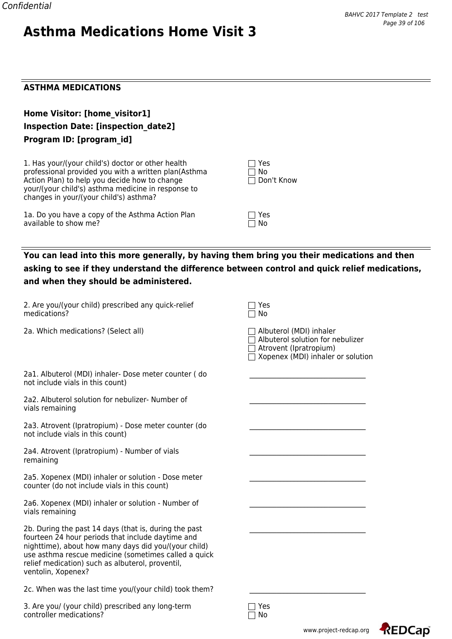#### **ASTHMA MEDICATIONS**

| Home Visitor: [home visitor1]              |
|--------------------------------------------|
| <b>Inspection Date: [inspection date2]</b> |
| Program ID: [program id]                   |

1. Has your/(your child's) doctor or other health professional provided you with a written plan(Asthma Action Plan) to help you decide how to change Don't Know your/(your child's) asthma medicine in response to changes in your/(your child's) asthma?

1a. Do you have a copy of the Asthma Action Plan  $\Box$  Yes available to show me? available to show me?

|        | $\vert \ \vert$ Yes |  |
|--------|---------------------|--|
| ∣ I No |                     |  |
|        | □ Don't Know        |  |

## **You can lead into this more generally, by having them bring you their medications and then asking to see if they understand the difference between control and quick relief medications, and when they should be administered.**

| 2. Are you/(your child) prescribed any quick-relief<br>medications?                                                                                                                                                                                                                                  | Yes<br>No                                                                                                                  |
|------------------------------------------------------------------------------------------------------------------------------------------------------------------------------------------------------------------------------------------------------------------------------------------------------|----------------------------------------------------------------------------------------------------------------------------|
| 2a. Which medications? (Select all)                                                                                                                                                                                                                                                                  | Albuterol (MDI) inhaler<br>Albuterol solution for nebulizer<br>Atrovent (Ipratropium)<br>Xopenex (MDI) inhaler or solution |
| 2a1. Albuterol (MDI) inhaler- Dose meter counter (do<br>not include vials in this count)                                                                                                                                                                                                             |                                                                                                                            |
| 2a2. Albuterol solution for nebulizer- Number of<br>vials remaining                                                                                                                                                                                                                                  |                                                                                                                            |
| 2a3. Atrovent (Ipratropium) - Dose meter counter (do<br>not include vials in this count)                                                                                                                                                                                                             |                                                                                                                            |
| 2a4. Atrovent (Ipratropium) - Number of vials<br>remaining                                                                                                                                                                                                                                           |                                                                                                                            |
| 2a5. Xopenex (MDI) inhaler or solution - Dose meter<br>counter (do not include vials in this count)                                                                                                                                                                                                  |                                                                                                                            |
| 2a6. Xopenex (MDI) inhaler or solution - Number of<br>vials remaining                                                                                                                                                                                                                                |                                                                                                                            |
| 2b. During the past 14 days (that is, during the past<br>fourteen 24 hour periods that include daytime and<br>nighttime), about how many days did you/(your child)<br>use asthma rescue medicine (sometimes called a quick<br>relief medication) such as albuterol, proventil,<br>ventolin, Xopenex? |                                                                                                                            |
| 2c. When was the last time you/(your child) took them?                                                                                                                                                                                                                                               |                                                                                                                            |
| 3. Are you/ (your child) prescribed any long-term                                                                                                                                                                                                                                                    | Yes                                                                                                                        |

 $\Box$  No  $\Box$  No  $\Box$  No  $\Box$  No  $\Box$  No  $\Box$  No  $\Box$  No  $\Box$  No  $\Box$  No  $\Box$  No  $\Box$  No  $\Box$  No  $\Box$  No  $\Box$  No  $\Box$  No  $\Box$  No  $\Box$  No  $\Box$  No  $\Box$  No  $\Box$  No  $\Box$  No  $\Box$  No  $\Box$  No  $\Box$  No  $\Box$  No  $\Box$  No  $\Box$  No  $\Box$ 



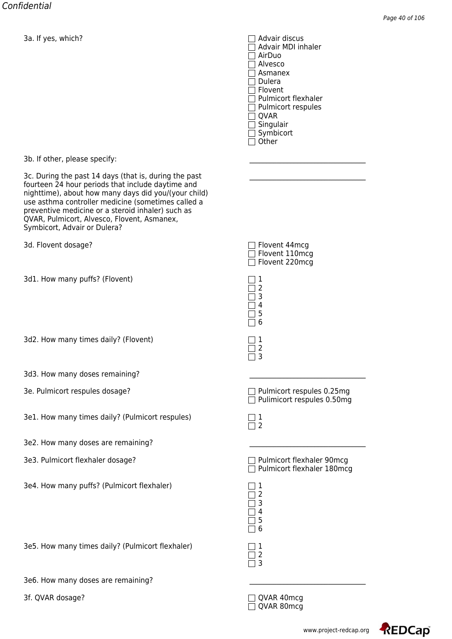Advair MDI inhaler AirDuo Alvesco Asmanex  $\Box$  Dulera  $\Box$  Flovent □ Pulmicort flexhaler  $\Box$  Pulmicort respules  $\Box$  QVAR  $\Box$  Singulair  $\Box$  Symbicort  $\Box$  Other

3b. If other, please specify:

3c. During the past 14 days (that is, during the past fourteen 24 hour periods that include daytime and nighttime), about how many days did you/(your child) use asthma controller medicine (sometimes called a preventive medicine or a steroid inhaler) such as QVAR, Pulmicort, Alvesco, Flovent, Asmanex, Symbicort, Advair or Dulera?

3d. Flovent dosage?

3d1. How many puffs? (Flovent) 1

3d2. How many times daily? (Flovent)  $\Box$  1

- 3d3. How many doses remaining?
- 3e. Pulmicort respules dosage? example the pulmicort respulse 0.25mg
- 3e1. How many times daily? (Pulmicort respules) 1

3e2. How many doses are remaining?

3e3. Pulmicort flexhaler dosage? Pulmicort flexhaler 90mcg

3e4. How many puffs? (Pulmicort flexhaler) 1

3e5. How many times daily? (Pulmicort flexhaler) 1

3e6. How many doses are remaining?

3f. QVAR dosage? QVAR 40mcg

| $\Box$ Flovent 44mcg |                       |
|----------------------|-----------------------|
|                      | $\Box$ Flovent 110mcg |
|                      | $\Box$ Flovent 220mcg |

| b |  |
|---|--|
| 4 |  |
| 5 |  |
| 6 |  |
|   |  |
|   |  |

 $\Box$  2  $\Box$  3

 $\Box$  Pulimicort respules 0.50mg

| Ξ |
|---|

 $\Box$  Pulmicort flexhaler 180mcg

| l.<br>$\overline{\phantom{a}}$ | 2<br>3<br>4<br>5<br>6          |  |
|--------------------------------|--------------------------------|--|
|                                | $\mathbf{I}$<br>$\overline{c}$ |  |

 $\overline{\Box}$  QVAR 80mcg

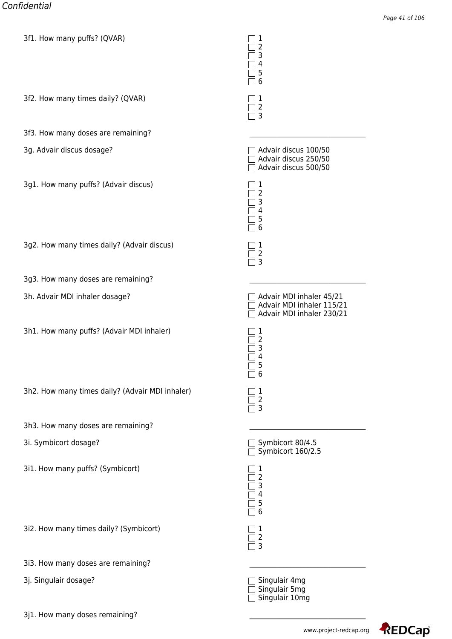| SIL. HOW Many pulls: (QVAR)                     | Ŧ<br>2<br>3<br>4<br>5<br>6                                                         |
|-------------------------------------------------|------------------------------------------------------------------------------------|
| 3f2. How many times daily? (QVAR)               | 1<br>$\mathbf 2$<br>3                                                              |
| 3f3. How many doses are remaining?              |                                                                                    |
| 3g. Advair discus dosage?                       | Advair discus 100/50<br>Advair discus 250/50<br>Advair discus 500/50               |
| 3g1. How many puffs? (Advair discus)            | 1<br>2<br>3<br>4<br>5<br>6                                                         |
| 3g2. How many times daily? (Advair discus)      | 1<br>$\overline{2}$<br>3                                                           |
| 3g3. How many doses are remaining?              |                                                                                    |
| 3h. Advair MDI inhaler dosage?                  | Advair MDI inhaler 45/21<br>Advair MDI inhaler 115/21<br>Advair MDI inhaler 230/21 |
| 3h1. How many puffs? (Advair MDI inhaler)       | 1<br>$\overline{c}$<br>3<br>4<br>5<br>6                                            |
| 3h2. How many times daily? (Advair MDI inhaler) | 1<br>2<br>3                                                                        |
| 3h3. How many doses are remaining?              |                                                                                    |
| 3i. Symbicort dosage?                           | Symbicort 80/4.5<br>$\overline{\Box}$ Symbicort 160/2.5                            |
| 3i1. How many puffs? (Symbicort)                | 1<br>2<br>3<br>4<br>5<br>$6\phantom{1}6$                                           |
| 3i2. How many times daily? (Symbicort)          | 1<br>$\overline{2}$<br>3                                                           |
| 3i3. How many doses are remaining?              |                                                                                    |
| 3j. Singulair dosage?                           | Singulair 4mg<br>Singulair 5mg                                                     |

3j1. How many doses remaining?

Singulair 10mg

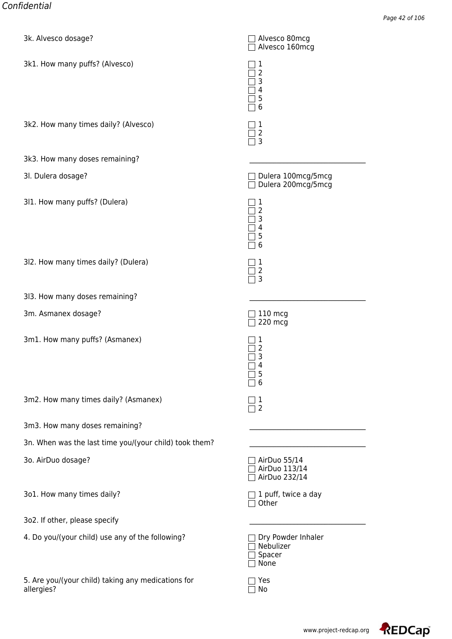| SK. Alvesco dosager                                              | $\Box$ Alvesco ourlicy<br>Alvesco 160mcg          |
|------------------------------------------------------------------|---------------------------------------------------|
| 3k1. How many puffs? (Alvesco)                                   | 1<br>2<br>3<br>4<br>5<br>6                        |
| 3k2. How many times daily? (Alvesco)                             | 1<br>2<br>3                                       |
| 3k3. How many doses remaining?                                   |                                                   |
| 3I. Dulera dosage?                                               | Dulera 100mcg/5mcg<br>Dulera 200mcg/5mcg          |
| 311. How many puffs? (Dulera)                                    | 1<br>2<br>3<br>4<br>5<br>6                        |
| 3l2. How many times daily? (Dulera)                              | 1<br>2<br>3                                       |
| 3l3. How many doses remaining?                                   |                                                   |
| 3m. Asmanex dosage?                                              | $110$ mcg<br>220 mcg                              |
| 3m1. How many puffs? (Asmanex)                                   | 1<br>2<br>3<br>4<br>5<br>ᅳ<br>6<br>$\blacksquare$ |
| 3m2. How many times daily? (Asmanex)                             | 1<br>$\overline{2}$                               |
| 3m3. How many doses remaining?                                   |                                                   |
| 3n. When was the last time you/(your child) took them?           |                                                   |
| 3o. AirDuo dosage?                                               | AirDuo 55/14<br>AirDuo 113/14<br>AirDuo 232/14    |
| 3o1. How many times daily?                                       | 1 puff, twice a day<br>Other                      |
| 3o2. If other, please specify                                    |                                                   |
| 4. Do you/(your child) use any of the following?                 | Dry Powder Inhaler<br>Nebulizer<br>Spacer<br>None |
| 5. Are you/(your child) taking any medications for<br>allergies? | Yes<br>No                                         |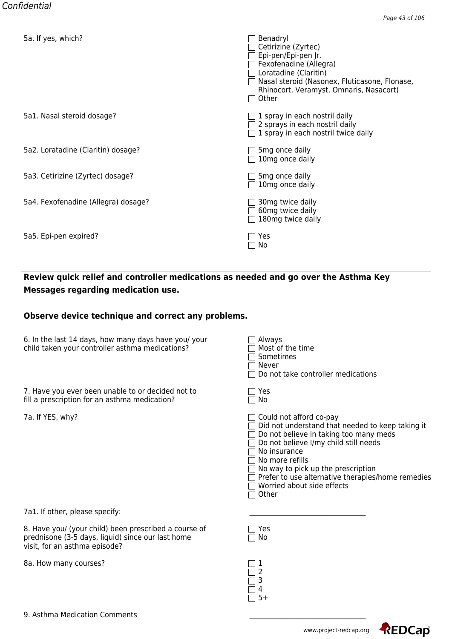| <u>ba. ir yes, which?</u>           | <b>Denauryi</b><br>Cetirizine (Zyrtec)<br>Epi-pen/Epi-pen Jr.<br>Fexofenadine (Allegra)<br>Loratadine (Claritin)<br>Nasal steroid (Nasonex, Fluticasone, Flonase,<br>Rhinocort, Veramyst, Omnaris, Nasacort)<br>Other |
|-------------------------------------|-----------------------------------------------------------------------------------------------------------------------------------------------------------------------------------------------------------------------|
| 5a1. Nasal steroid dosage?          | 1 spray in each nostril daily<br>2 sprays in each nostril daily<br>$\Box$ 1 spray in each nostril twice daily                                                                                                         |
| 5a2. Loratadine (Claritin) dosage?  | 5 <sub>mg</sub> once daily<br>10mg once daily                                                                                                                                                                         |
| 5a3. Cetirizine (Zyrtec) dosage?    | 5 <sub>mg</sub> once daily<br>$\Box$ 10mg once daily                                                                                                                                                                  |
| 5a4. Fexofenadine (Allegra) dosage? | 30mg twice daily<br>60mg twice daily<br>180mg twice daily                                                                                                                                                             |
| 5a5. Epi-pen expired?               | Yes<br>No                                                                                                                                                                                                             |

## **Review quick relief and controller medications as needed and go over the Asthma Key Messages regarding medication use.**

#### **Observe device technique and correct any problems.**

| 6. In the last 14 days, how many days have you/ your | $\Box$ Always           |
|------------------------------------------------------|-------------------------|
| child taken your controller asthma medications?      | $\Box$ Most of the time |

7. Have you ever been unable to or decided not to  $\Box$  Yes fill a prescription for an asthma medication?  $\Box$  No

7a. If YES, why?

| Always<br>Most of the time<br>Sometimes<br>Never<br>Do not take controller medications                                                                                                                                                                                                       |
|----------------------------------------------------------------------------------------------------------------------------------------------------------------------------------------------------------------------------------------------------------------------------------------------|
| Yes<br>No                                                                                                                                                                                                                                                                                    |
| Could not afford co-pay<br>Did not understand that needed to keep taking it<br>Do not believe in taking too many meds<br>Do not believe I/my child still needs<br>No insurance<br>No more refills<br>No way to pick up the prescription<br>Prefer to use alternative therapies/home remedies |
| Worried about side effects                                                                                                                                                                                                                                                                   |

 $\overline{\Box}$  Other

7a1. If other, please specify:

8. Have you/ (your child) been prescribed a course of  $\hskip10mm \square$  Yes prednisone (3-5 days, liquid) since our last home  $\Box$  No visit, for an asthma episode?

8a. How many courses? 1

| ı      |
|--------|
| Ξ      |
| 3      |
| Ľ<br>5 |

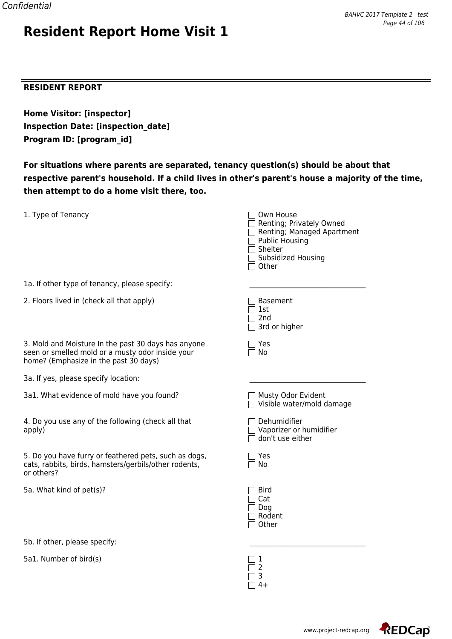#### **RESIDENT REPORT**

**Home Visitor: [inspector] Inspection Date: [inspection\_date] Program ID: [program\_id]**

**Resident Report Home Visit 1**

**For situations where parents are separated, tenancy question(s) should be about that respective parent's household. If a child lives in other's parent's house a majority of the time, then attempt to do a home visit there, too.**

| 1. Type of Tenancy                                                                                                                               | Own House<br>Renting; Privately Owned<br>Renting; Managed Apartment<br><b>Public Housing</b><br>Shelter<br>Subsidized Housing<br>Other |
|--------------------------------------------------------------------------------------------------------------------------------------------------|----------------------------------------------------------------------------------------------------------------------------------------|
| 1a. If other type of tenancy, please specify:                                                                                                    |                                                                                                                                        |
| 2. Floors lived in (check all that apply)                                                                                                        | <b>Basement</b><br>1st<br>2 <sub>nd</sub><br>3rd or higher                                                                             |
| 3. Mold and Moisture In the past 30 days has anyone<br>seen or smelled mold or a musty odor inside your<br>home? (Emphasize in the past 30 days) | Yes<br>No                                                                                                                              |
| 3a. If yes, please specify location:                                                                                                             |                                                                                                                                        |
| 3a1. What evidence of mold have you found?                                                                                                       | Musty Odor Evident<br>Visible water/mold damage                                                                                        |
| 4. Do you use any of the following (check all that<br>apply)                                                                                     | Dehumidifier<br>Vaporizer or humidifier<br>don't use either                                                                            |
| 5. Do you have furry or feathered pets, such as dogs,<br>cats, rabbits, birds, hamsters/gerbils/other rodents,<br>or others?                     | Yes<br>No                                                                                                                              |
| 5a. What kind of pet(s)?                                                                                                                         | <b>Bird</b><br>Cat<br>Dog<br>Rodent<br>Other                                                                                           |
| 5b. If other, please specify:                                                                                                                    |                                                                                                                                        |

 $\Box$  2  $\overline{\Box}$  3  $\Box$  4+

5a1. Number of bird(s)  $\Box$  1

www.project-redcap.org

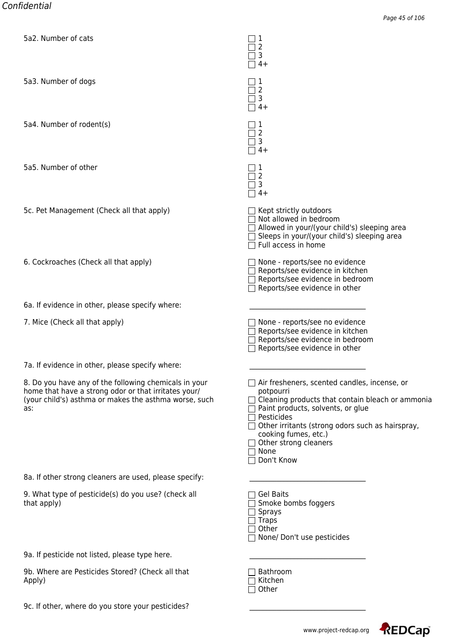| <u> Gaz. Number or cats</u>                                                                                                                                                   | $\Box$<br>2<br>3<br>$4+$                                                                                                                                                                                                                                                                                  |
|-------------------------------------------------------------------------------------------------------------------------------------------------------------------------------|-----------------------------------------------------------------------------------------------------------------------------------------------------------------------------------------------------------------------------------------------------------------------------------------------------------|
| 5a3. Number of dogs                                                                                                                                                           | 1<br>2<br>3<br>$4+$                                                                                                                                                                                                                                                                                       |
| 5a4. Number of rodent(s)                                                                                                                                                      | 1<br>2<br>3<br>$4+$                                                                                                                                                                                                                                                                                       |
| 5a5. Number of other                                                                                                                                                          | 2<br>3<br>$4+$                                                                                                                                                                                                                                                                                            |
| 5c. Pet Management (Check all that apply)                                                                                                                                     | $\Box$ Kept strictly outdoors<br>$\Box$ Not allowed in bedroom<br>$\Box$ Allowed in your/(your child's) sleeping area<br>Sleeps in your/(your child's) sleeping area<br>Full access in home                                                                                                               |
| 6. Cockroaches (Check all that apply)                                                                                                                                         | None - reports/see no evidence<br>Reports/see evidence in kitchen<br>Reports/see evidence in bedroom<br>Reports/see evidence in other                                                                                                                                                                     |
| 6a. If evidence in other, please specify where:                                                                                                                               |                                                                                                                                                                                                                                                                                                           |
| 7. Mice (Check all that apply)                                                                                                                                                | None - reports/see no evidence<br>Reports/see evidence in kitchen<br>Reports/see evidence in bedroom<br>Reports/see evidence in other                                                                                                                                                                     |
| 7a. If evidence in other, please specify where:                                                                                                                               |                                                                                                                                                                                                                                                                                                           |
| 8. Do you have any of the following chemicals in your<br>home that have a strong odor or that irritates your/<br>(your child's) asthma or makes the asthma worse, such<br>as: | $\Box$ Air fresheners, scented candles, incense, or<br>potpourri<br>Cleaning products that contain bleach or ammonia<br>Paint products, solvents, or glue<br>Pesticides<br>Other irritants (strong odors such as hairspray,<br>cooking fumes, etc.)<br>Other strong cleaners<br>$\Box$ None<br>Don't Know |
| 8a. If other strong cleaners are used, please specify:                                                                                                                        |                                                                                                                                                                                                                                                                                                           |
| 9. What type of pesticide(s) do you use? (check all<br>that apply)                                                                                                            | <b>Gel Baits</b><br>Smoke bombs foggers<br>$\sqsupset$ Sprays<br>$\Box$ Traps<br>Other<br>None/ Don't use pesticides                                                                                                                                                                                      |
| 9a. If pesticide not listed, please type here.                                                                                                                                |                                                                                                                                                                                                                                                                                                           |
| 9b. Where are Pesticides Stored? (Check all that<br>Apply)                                                                                                                    | Bathroom<br>Kitchen<br>Other                                                                                                                                                                                                                                                                              |
| 9c. If other, where do you store your pesticides?                                                                                                                             |                                                                                                                                                                                                                                                                                                           |

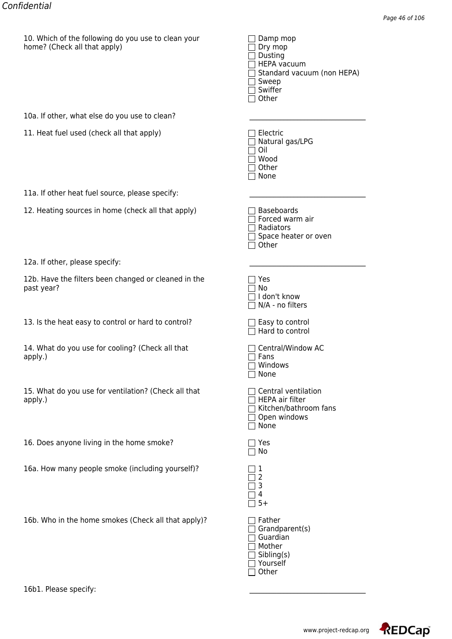| $\Box$ Dry mop                    |
|-----------------------------------|
| $\Box$ Dusting                    |
| $\Box$ HEPA vacuum                |
| $\Box$ Standard vacuum (non HEPA) |
| $\Box$ Sweep                      |
| $\Box$ Swiffer                    |
| $\Box$ Other                      |
|                                   |

| 12a. If other, please specify: |  |  |
|--------------------------------|--|--|
|--------------------------------|--|--|

|                                                                    | ו⊐יט ⊔                                                                                  |
|--------------------------------------------------------------------|-----------------------------------------------------------------------------------------|
| 10a. If other, what else do you use to clean?                      |                                                                                         |
| 11. Heat fuel used (check all that apply)                          | Electric<br>Natural gas/LPG<br>Oil<br>Wood<br>Other<br>None                             |
| 11a. If other heat fuel source, please specify:                    |                                                                                         |
| 12. Heating sources in home (check all that apply)                 | <b>Baseboards</b><br>Forced warm air<br>Radiators<br>Space heater or oven<br>Other      |
| 12a. If other, please specify:                                     |                                                                                         |
| 12b. Have the filters been changed or cleaned in the<br>past year? | Yes<br>No<br>I don't know<br>N/A - no filters                                           |
| 13. Is the heat easy to control or hard to control?                | $\Box$ Easy to control<br>Hard to control                                               |
| 14. What do you use for cooling? (Check all that<br>apply.)        | Central/Window AC<br>Fans<br>Windows<br>None                                            |
| 15. What do you use for ventilation? (Check all that<br>apply.)    | Central ventilation<br>HEPA air filter<br>Kitchen/bathroom fans<br>Open windows<br>None |
| 16. Does anyone living in the home smoke?                          | Yes<br>No                                                                               |
| 16a. How many people smoke (including yourself)?                   | 1<br>2<br>3<br>4<br>$5+$                                                                |
| 16b. Who in the home smokes (Check all that apply)?                | Father<br>Grandparent(s)<br>Guardian<br>Mother<br>Sibling(s)                            |

□ Yourself □ Other

16b1. Please specify:

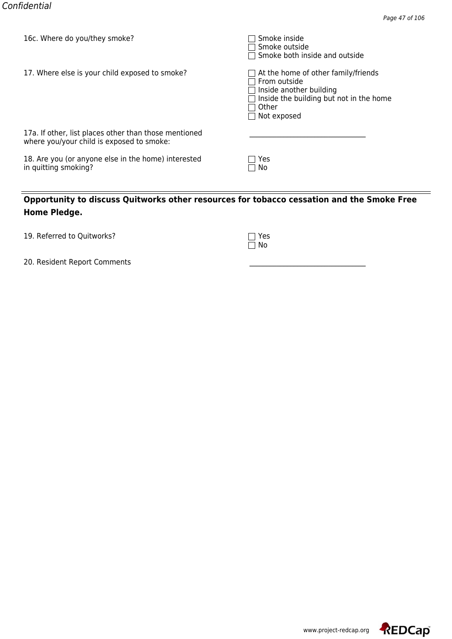| TOC. MILLELE AND ANNITIEM SILLOKE!                                                                 | <b>SHOKE HISIGE</b><br>∃ Smoke outside<br>$\Box$ Smoke both inside and outside                                                                                                  |
|----------------------------------------------------------------------------------------------------|---------------------------------------------------------------------------------------------------------------------------------------------------------------------------------|
| 17. Where else is your child exposed to smoke?                                                     | $\Box$ At the home of other family/friends<br>$\sqcap$ From outside<br>$\Box$ Inside another building<br>Inside the building but not in the home<br>Other<br>$\Box$ Not exposed |
| 17a. If other, list places other than those mentioned<br>where you/your child is exposed to smoke: |                                                                                                                                                                                 |
| 18. Are you (or anyone else in the home) interested<br>in quitting smoking?                        | Yes<br>□ No                                                                                                                                                                     |

| 19. Referred to Quitworks? | $\Box$ Yes |
|----------------------------|------------|
|                            |            |

| ı | ŗ |
|---|---|
| ı |   |

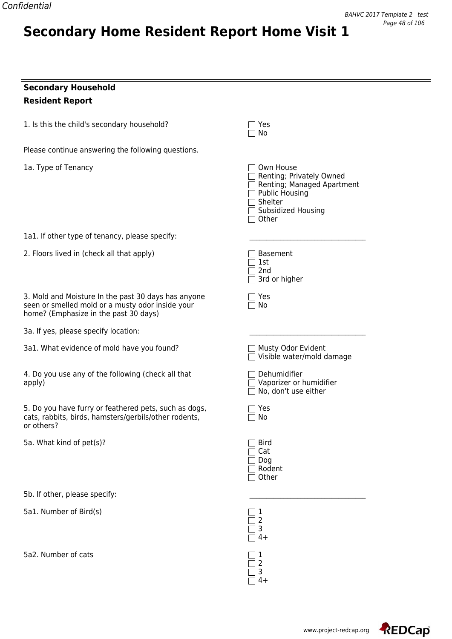## **Secondary Household Resident Report**

1. Is this the child's secondary household?  $\Box$  Yes

Please continue answering the following questions.

**Secondary Home Resident Report Home Visit 1**

1a. Type of Tenancy

1a1. If other type of tenancy, please specify:

2. Floors lived in (check all that apply)

3. Mold and Moisture In the past 30 days has anyone seen or smelled mold or a musty odor inside your home? (Emphasize in the past 30 days)

3a. If yes, please specify location:

3a1. What evidence of mold have you found?

4. Do you use any of the following (check all that apply) Vaporizer or humidifier

5. Do you have furry or feathered pets, such as dogs, cats, rabbits, birds, hamsters/gerbils/other rodents, or others?

5a. What kind of pet(s)?

5b. If other, please specify:

5a1. Number of Bird(s) 1

5a2. Number of cats  $\Box$  1

| $\sqcap$ Own House<br>Renting; Privately Owned<br>Renting; Managed Apartment<br>Public Housing<br>□ Shelter<br>□ Subsidized Housing<br>$\Box$ Other |
|-----------------------------------------------------------------------------------------------------------------------------------------------------|
| Basement<br>$\Box$ 1st<br>$\overline{\Box}$ 2nd<br>3rd or higher                                                                                    |
| $\exists$ Yes<br>$\sqcap$ No                                                                                                                        |
|                                                                                                                                                     |
| □ Musty Odor Evident<br>Visible water/mold damage                                                                                                   |
| $\sqsupset$ Dehumidifier<br>□ Vaporizer or humidifier<br>$\Box$ No, don't use either                                                                |
| ז Yes<br>7 No                                                                                                                                       |
| Bird<br>$\Box$ Cat<br>$\Box$ Dog<br>7 Rodent<br>$\Box$ Other                                                                                        |
|                                                                                                                                                     |
| 3                                                                                                                                                   |

 $\Box$  No

4+  $\Box$  2  $\Box$  3  $\Box$  4+

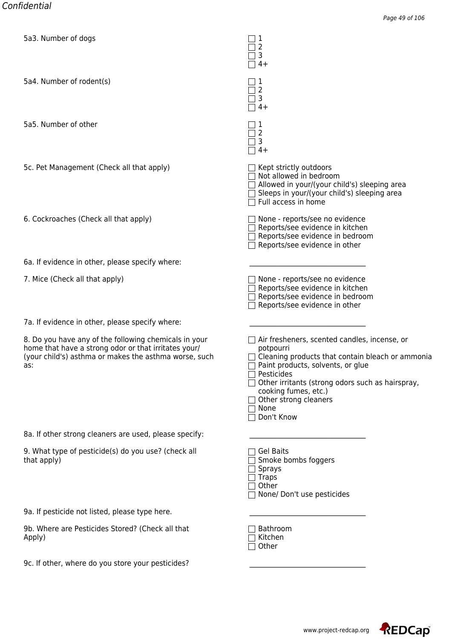| bas. Number of dogs                                                                                                                                                           | ▁┌工<br>$\overline{2}$<br>3<br>$4+$                                                                                                                                                                                                                                                                                                          |
|-------------------------------------------------------------------------------------------------------------------------------------------------------------------------------|---------------------------------------------------------------------------------------------------------------------------------------------------------------------------------------------------------------------------------------------------------------------------------------------------------------------------------------------|
| 5a4. Number of rodent(s)                                                                                                                                                      | 1<br>$\overline{2}$<br>3<br>$\Box$<br>$4+$                                                                                                                                                                                                                                                                                                  |
| 5a5. Number of other                                                                                                                                                          | $\sqsupset$ 1<br>2<br>3<br>$4+$<br>$\Box$                                                                                                                                                                                                                                                                                                   |
| 5c. Pet Management (Check all that apply)                                                                                                                                     | $\Box$ Kept strictly outdoors<br>$\Box$ Not allowed in bedroom<br>$\Box$ Allowed in your/(your child's) sleeping area<br>$\Box$ Sleeps in your/(your child's) sleeping area<br>$\Box$ Full access in home                                                                                                                                   |
| 6. Cockroaches (Check all that apply)                                                                                                                                         | None - reports/see no evidence<br>Reports/see evidence in kitchen<br>Reports/see evidence in bedroom<br>$\Box$ Reports/see evidence in other                                                                                                                                                                                                |
| 6a. If evidence in other, please specify where:                                                                                                                               |                                                                                                                                                                                                                                                                                                                                             |
| 7. Mice (Check all that apply)                                                                                                                                                | $\Box$ None - reports/see no evidence<br>Reports/see evidence in kitchen<br>Reports/see evidence in bedroom<br>Reports/see evidence in other                                                                                                                                                                                                |
| 7a. If evidence in other, please specify where:                                                                                                                               |                                                                                                                                                                                                                                                                                                                                             |
| 8. Do you have any of the following chemicals in your<br>home that have a strong odor or that irritates your/<br>(your child's) asthma or makes the asthma worse, such<br>as: | Air fresheners, scented candles, incense, or<br>$\mathsf{L}$<br>potpourri<br>$\Box$ Cleaning products that contain bleach or ammonia<br>Paint products, solvents, or glue<br>Pesticides<br>Other irritants (strong odors such as hairspray,<br>cooking fumes, etc.)<br>$\Box$ Other strong cleaners<br>None<br>$\blacksquare$<br>Don't Know |
| 8a. If other strong cleaners are used, please specify:                                                                                                                        |                                                                                                                                                                                                                                                                                                                                             |
| 9. What type of pesticide(s) do you use? (check all<br>that apply)                                                                                                            | <b>Gel Baits</b><br>Smoke bombs foggers<br>Sprays<br>$\exists$ Traps<br>Other<br>None/ Don't use pesticides                                                                                                                                                                                                                                 |
| 9a. If pesticide not listed, please type here.                                                                                                                                |                                                                                                                                                                                                                                                                                                                                             |
| 9b. Where are Pesticides Stored? (Check all that<br>Apply)                                                                                                                    | Bathroom<br>Kitchen<br>Other                                                                                                                                                                                                                                                                                                                |
| 9c. If other, where do you store your pesticides?                                                                                                                             |                                                                                                                                                                                                                                                                                                                                             |

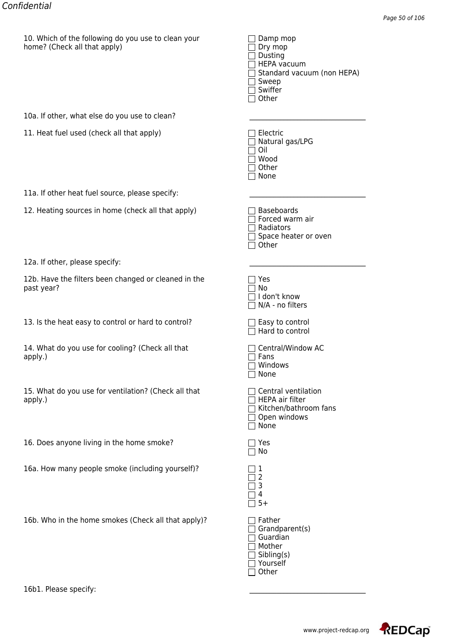| $\Box$ Dry mop                    |
|-----------------------------------|
| $\Box$ Dusting                    |
| $\Box$ HEPA vacuum                |
| $\Box$ Standard vacuum (non HEPA) |
| $\Box$ Sweep                      |
| $\Box$ Swiffer                    |
| $\Box$ Other                      |
|                                   |

| 12a. If other, please specify: |  |  |
|--------------------------------|--|--|
|--------------------------------|--|--|

|                                                                    | ו⊐יט ⊔                                                                                  |
|--------------------------------------------------------------------|-----------------------------------------------------------------------------------------|
| 10a. If other, what else do you use to clean?                      |                                                                                         |
| 11. Heat fuel used (check all that apply)                          | Electric<br>Natural gas/LPG<br>Oil<br>Wood<br>Other<br>None                             |
| 11a. If other heat fuel source, please specify:                    |                                                                                         |
| 12. Heating sources in home (check all that apply)                 | <b>Baseboards</b><br>Forced warm air<br>Radiators<br>Space heater or oven<br>Other      |
| 12a. If other, please specify:                                     |                                                                                         |
| 12b. Have the filters been changed or cleaned in the<br>past year? | Yes<br>No<br>I don't know<br>N/A - no filters                                           |
| 13. Is the heat easy to control or hard to control?                | $\Box$ Easy to control<br>Hard to control                                               |
| 14. What do you use for cooling? (Check all that<br>apply.)        | Central/Window AC<br>Fans<br>Windows<br>None                                            |
| 15. What do you use for ventilation? (Check all that<br>apply.)    | Central ventilation<br>HEPA air filter<br>Kitchen/bathroom fans<br>Open windows<br>None |
| 16. Does anyone living in the home smoke?                          | Yes<br>No                                                                               |
| 16a. How many people smoke (including yourself)?                   | 1<br>2<br>3<br>4<br>$5+$                                                                |
| 16b. Who in the home smokes (Check all that apply)?                | Father<br>Grandparent(s)<br>Guardian<br>Mother<br>Sibling(s)                            |

□ Yourself □ Other

16b1. Please specify:

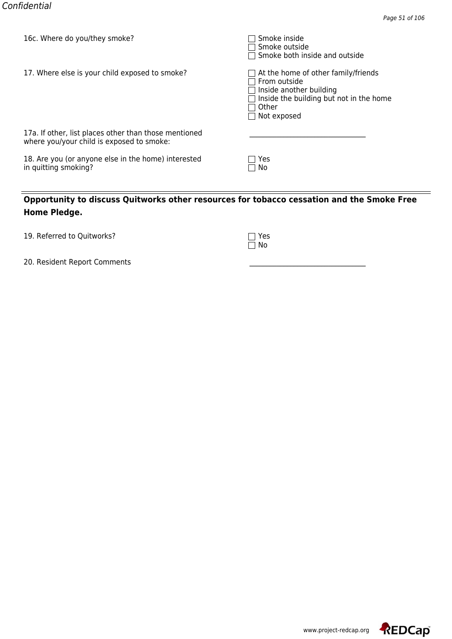| TOC. MILLELE AND ANNITIEM SILLOKE!                                                                 | <b>SHOKE HISIGE</b><br>∃ Smoke outside<br>$\Box$ Smoke both inside and outside                                                                                                  |
|----------------------------------------------------------------------------------------------------|---------------------------------------------------------------------------------------------------------------------------------------------------------------------------------|
| 17. Where else is your child exposed to smoke?                                                     | $\Box$ At the home of other family/friends<br>$\sqcap$ From outside<br>$\Box$ Inside another building<br>Inside the building but not in the home<br>Other<br>$\Box$ Not exposed |
| 17a. If other, list places other than those mentioned<br>where you/your child is exposed to smoke: |                                                                                                                                                                                 |
| 18. Are you (or anyone else in the home) interested<br>in quitting smoking?                        | Yes<br>□ No                                                                                                                                                                     |

| 19. Referred to Quitworks? | $\Box$ Yes |
|----------------------------|------------|
|                            |            |

| ı | ŗ |
|---|---|
| ı |   |

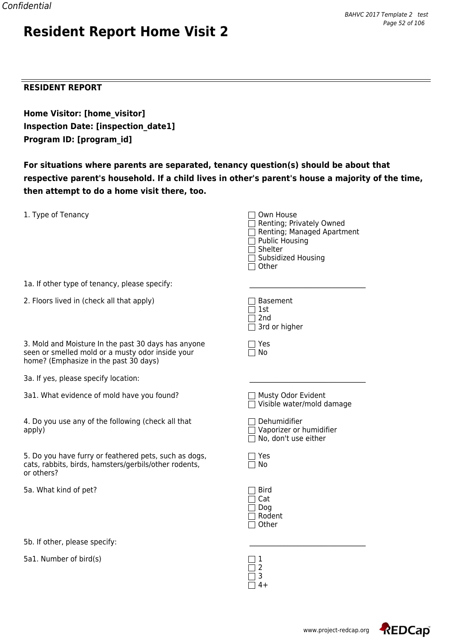#### **RESIDENT REPORT**

**Home Visitor: [home\_visitor] Inspection Date: [inspection\_date1] Program ID: [program\_id]**

**Resident Report Home Visit 2**

**For situations where parents are separated, tenancy question(s) should be about that respective parent's household. If a child lives in other's parent's house a majority of the time, then attempt to do a home visit there, too.**

| 1. Type of Tenancy                                                                                                                               | ∃ Own House<br>Renting; Privately Owned<br>Renting; Managed Apartment<br>$\Box$ Public Housing<br>Shelter<br>Subsidized Housing<br>Other |
|--------------------------------------------------------------------------------------------------------------------------------------------------|------------------------------------------------------------------------------------------------------------------------------------------|
| 1a. If other type of tenancy, please specify:                                                                                                    |                                                                                                                                          |
| 2. Floors lived in (check all that apply)                                                                                                        | <b>Basement</b><br>1st<br>2 <sub>nd</sub><br>3rd or higher                                                                               |
| 3. Mold and Moisture In the past 30 days has anyone<br>seen or smelled mold or a musty odor inside your<br>home? (Emphasize in the past 30 days) | Yes<br>No                                                                                                                                |
| 3a. If yes, please specify location:                                                                                                             |                                                                                                                                          |
| 3a1. What evidence of mold have you found?                                                                                                       | Musty Odor Evident<br>Visible water/mold damage                                                                                          |
| 4. Do you use any of the following (check all that<br>apply)                                                                                     | Dehumidifier<br>$\Box$ Vaporizer or humidifier<br>$\Box$ No, don't use either                                                            |
| 5. Do you have furry or feathered pets, such as dogs,<br>cats, rabbits, birds, hamsters/gerbils/other rodents,<br>or others?                     | Yes<br>No                                                                                                                                |
| 5a. What kind of pet?                                                                                                                            | Bird<br>Cat<br>Dog<br>Rodent<br>Other                                                                                                    |
| 5b. If other, please specify:                                                                                                                    |                                                                                                                                          |

 $\Box$  2  $\overline{\Box}$  3  $\Box$  4+

5a1. Number of bird(s)  $\Box$  1

www.project-redcap.org

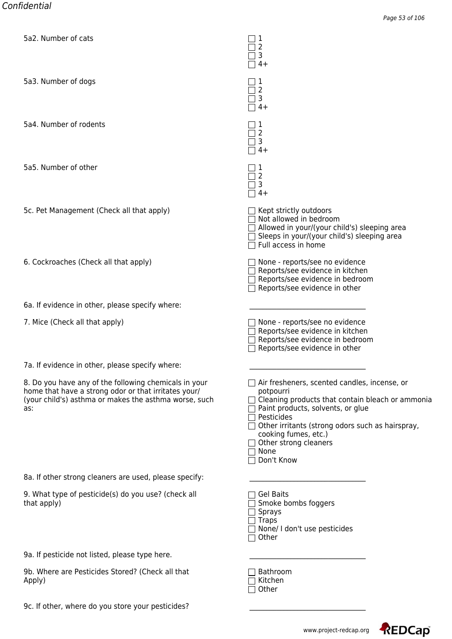| <u> Gaz. Number or cats</u>                                                                                                                                                   | $\mathbf{L}$<br>2<br>3<br>$4+$                                                                                                                                                                                                                                                                     |
|-------------------------------------------------------------------------------------------------------------------------------------------------------------------------------|----------------------------------------------------------------------------------------------------------------------------------------------------------------------------------------------------------------------------------------------------------------------------------------------------|
| 5a3. Number of dogs                                                                                                                                                           | 2<br>3<br>$4+$                                                                                                                                                                                                                                                                                     |
| 5a4. Number of rodents                                                                                                                                                        | 1<br>2<br>3<br>$4+$                                                                                                                                                                                                                                                                                |
| 5a5. Number of other                                                                                                                                                          | 2<br>3<br>$4+$                                                                                                                                                                                                                                                                                     |
| 5c. Pet Management (Check all that apply)                                                                                                                                     | $\Box$ Kept strictly outdoors<br>$\Box$ Not allowed in bedroom<br>Allowed in your/(your child's) sleeping area<br>Sleeps in your/(your child's) sleeping area<br>Full access in home                                                                                                               |
| 6. Cockroaches (Check all that apply)                                                                                                                                         | None - reports/see no evidence<br>Reports/see evidence in kitchen<br>Reports/see evidence in bedroom<br>Reports/see evidence in other                                                                                                                                                              |
| 6a. If evidence in other, please specify where:                                                                                                                               |                                                                                                                                                                                                                                                                                                    |
| 7. Mice (Check all that apply)                                                                                                                                                | None - reports/see no evidence<br>Reports/see evidence in kitchen<br>Reports/see evidence in bedroom<br>Reports/see evidence in other                                                                                                                                                              |
| 7a. If evidence in other, please specify where:                                                                                                                               |                                                                                                                                                                                                                                                                                                    |
| 8. Do you have any of the following chemicals in your<br>home that have a strong odor or that irritates your/<br>(your child's) asthma or makes the asthma worse, such<br>as: | $\Box$ Air fresheners, scented candles, incense, or<br>potpourri<br>Cleaning products that contain bleach or ammonia<br>Paint products, solvents, or glue<br>Pesticides<br>Other irritants (strong odors such as hairspray,<br>cooking fumes, etc.)<br>Other strong cleaners<br>None<br>Don't Know |
| 8a. If other strong cleaners are used, please specify:                                                                                                                        |                                                                                                                                                                                                                                                                                                    |
| 9. What type of pesticide(s) do you use? (check all<br>that apply)                                                                                                            | <b>Gel Baits</b><br>Smoke bombs foggers<br><b>Sprays</b><br><b>Traps</b><br>None/ I don't use pesticides<br>Other                                                                                                                                                                                  |
| 9a. If pesticide not listed, please type here.                                                                                                                                |                                                                                                                                                                                                                                                                                                    |
| 9b. Where are Pesticides Stored? (Check all that<br>Apply)                                                                                                                    | Bathroom<br>Kitchen<br>Other                                                                                                                                                                                                                                                                       |
| 9c. If other, where do you store your pesticides?                                                                                                                             |                                                                                                                                                                                                                                                                                                    |

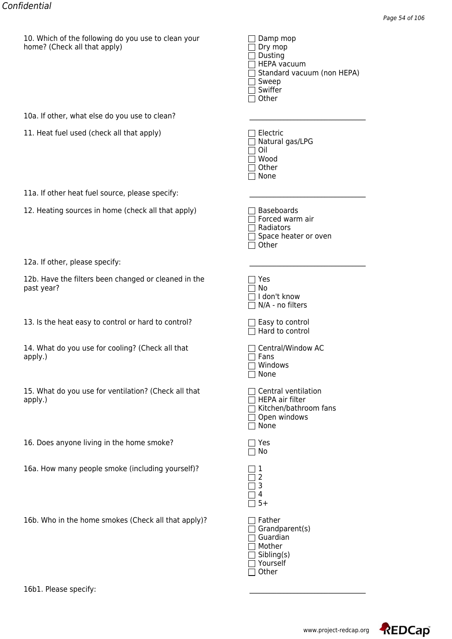| $\Box$ Dry mop                    |
|-----------------------------------|
| $\Box$ Dusting                    |
| $\Box$ HEPA vacuum                |
| $\Box$ Standard vacuum (non HEPA) |
| $\Box$ Sweep                      |
| $\Box$ Swiffer                    |
| $\Box$ Other                      |
|                                   |

| 12a. If other, please specify: |  |  |
|--------------------------------|--|--|
|--------------------------------|--|--|

|                                                                    | ו⊐יט ⊔                                                                                  |
|--------------------------------------------------------------------|-----------------------------------------------------------------------------------------|
| 10a. If other, what else do you use to clean?                      |                                                                                         |
| 11. Heat fuel used (check all that apply)                          | Electric<br>Natural gas/LPG<br>Oil<br>Wood<br>Other<br>None                             |
| 11a. If other heat fuel source, please specify:                    |                                                                                         |
| 12. Heating sources in home (check all that apply)                 | <b>Baseboards</b><br>Forced warm air<br>Radiators<br>Space heater or oven<br>Other      |
| 12a. If other, please specify:                                     |                                                                                         |
| 12b. Have the filters been changed or cleaned in the<br>past year? | Yes<br>No<br>I don't know<br>N/A - no filters                                           |
| 13. Is the heat easy to control or hard to control?                | $\Box$ Easy to control<br>Hard to control                                               |
| 14. What do you use for cooling? (Check all that<br>apply.)        | Central/Window AC<br>Fans<br>Windows<br>None                                            |
| 15. What do you use for ventilation? (Check all that<br>apply.)    | Central ventilation<br>HEPA air filter<br>Kitchen/bathroom fans<br>Open windows<br>None |
| 16. Does anyone living in the home smoke?                          | Yes<br>No                                                                               |
| 16a. How many people smoke (including yourself)?                   | 1<br>2<br>3<br>4<br>$5+$                                                                |
| 16b. Who in the home smokes (Check all that apply)?                | Father<br>Grandparent(s)<br>Guardian<br>Mother<br>Sibling(s)                            |

□ Yourself □ Other

16b1. Please specify:

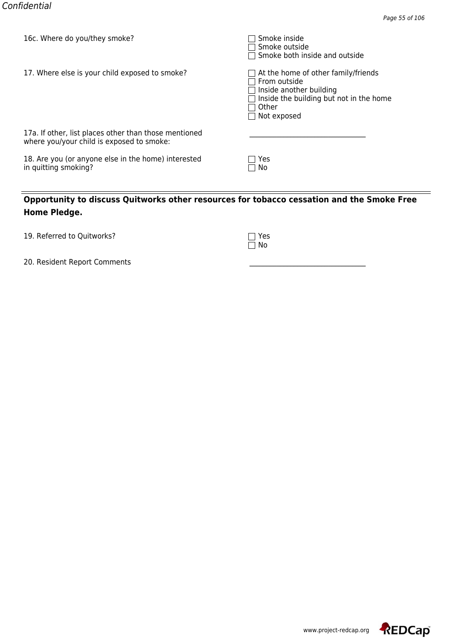| TOC. MILLELE AND ANNITIEM SILLOKE!                                                                 | <b>SHOKE HISIGE</b><br>∃ Smoke outside<br>$\Box$ Smoke both inside and outside                                                                                                  |
|----------------------------------------------------------------------------------------------------|---------------------------------------------------------------------------------------------------------------------------------------------------------------------------------|
| 17. Where else is your child exposed to smoke?                                                     | $\Box$ At the home of other family/friends<br>$\sqcap$ From outside<br>$\Box$ Inside another building<br>Inside the building but not in the home<br>Other<br>$\Box$ Not exposed |
| 17a. If other, list places other than those mentioned<br>where you/your child is exposed to smoke: |                                                                                                                                                                                 |
| 18. Are you (or anyone else in the home) interested<br>in quitting smoking?                        | Yes<br>□ No                                                                                                                                                                     |

| 19. Referred to Quitworks? | $\Box$ Yes |
|----------------------------|------------|
|                            |            |

| ı | ŗ |
|---|---|
| ı |   |

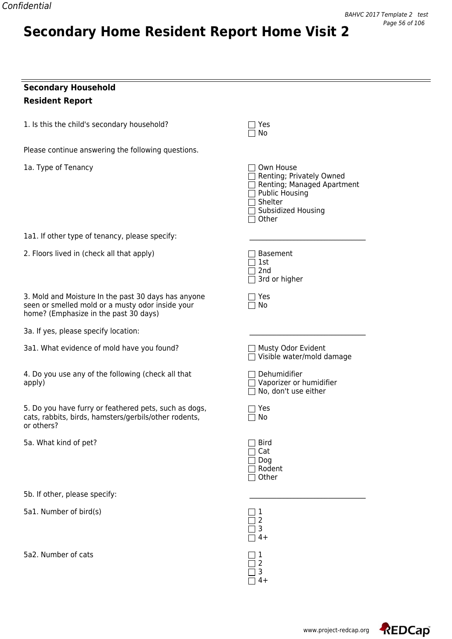## **Secondary Household Resident Report**

1. Is this the child's secondary household?  $\Box$  Yes

Please continue answering the following questions.

**Secondary Home Resident Report Home Visit 2**

1a. Type of Tenancy

1a1. If other type of tenancy, please specify:

2. Floors lived in (check all that apply)

3. Mold and Moisture In the past 30 days has anyone seen or smelled mold or a musty odor inside your home? (Emphasize in the past 30 days)

3a. If yes, please specify location:

3a1. What evidence of mold have you found?

4. Do you use any of the following (check all that apply) Vaporizer or humidifier

5. Do you have furry or feathered pets, such as dogs, cats, rabbits, birds, hamsters/gerbils/other rodents, or others?

5a. What kind of pet?

5b. If other, please specify:

5a1. Number of bird(s) 1

5a2. Number of cats  $\Box$  1

| $\sqcap$ Own House<br>Renting; Privately Owned<br>Renting; Managed Apartment<br>□ Public Housing<br>□ Shelter<br>□ Subsidized Housing<br>$\Box$ Other |
|-------------------------------------------------------------------------------------------------------------------------------------------------------|
| Basement<br>$\Box$ 1st<br>$\Box$ 2nd<br>$\overline{\rceil}$ 3rd or higher                                                                             |
| Yes<br>$\sqcap$ No                                                                                                                                    |
|                                                                                                                                                       |
| Musty Odor Evident<br>Visible water/mold damage                                                                                                       |
| $\sqsupset$ Dehumidifier<br>□ Vaporizer or humidifier<br>$\Box$ No, don't use either                                                                  |
| $\exists$ Yes<br>7 No                                                                                                                                 |
| <b>Bird</b><br>$\Box$ Cat<br>$\Box$ Dog<br>$\Box$ Rodent<br>$\Box$ Other                                                                              |
|                                                                                                                                                       |
| 3                                                                                                                                                     |

 $\Box$  No

4+  $\Box$  2  $\Box$  3  $\Box$  4+

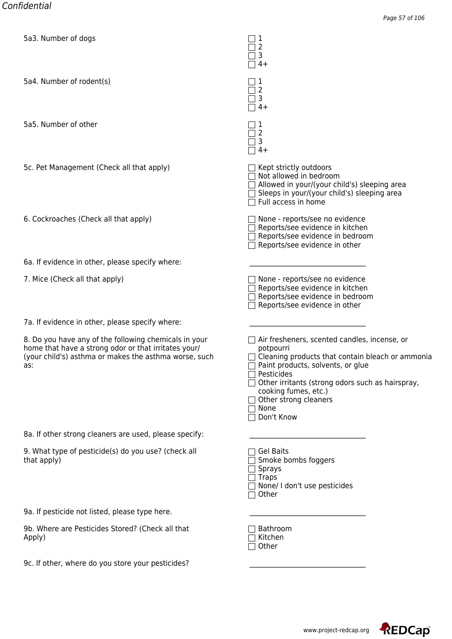| bas. Number or dogs                                                                                                                                                           | ▁▏┸<br>2<br>3<br>$4+$                                                                                                                                                                                                                                                                              |
|-------------------------------------------------------------------------------------------------------------------------------------------------------------------------------|----------------------------------------------------------------------------------------------------------------------------------------------------------------------------------------------------------------------------------------------------------------------------------------------------|
| 5a4. Number of rodent(s)                                                                                                                                                      | 1<br>$\overline{2}$<br>$\overline{3}$<br>$4+$                                                                                                                                                                                                                                                      |
| 5a5. Number of other                                                                                                                                                          | $\perp$<br>2<br>3<br>$4+$                                                                                                                                                                                                                                                                          |
| 5c. Pet Management (Check all that apply)                                                                                                                                     | $\Box$ Kept strictly outdoors<br>$\Box$ Not allowed in bedroom<br>$\Box$ Allowed in your/(your child's) sleeping area<br>$\Box$ Sleeps in your/(your child's) sleeping area<br>$\Box$ Full access in home                                                                                          |
| 6. Cockroaches (Check all that apply)                                                                                                                                         | None - reports/see no evidence<br>Reports/see evidence in kitchen<br>Reports/see evidence in bedroom<br>$\Box$ Reports/see evidence in other                                                                                                                                                       |
| 6a. If evidence in other, please specify where:                                                                                                                               |                                                                                                                                                                                                                                                                                                    |
| 7. Mice (Check all that apply)                                                                                                                                                | $\Box$ None - reports/see no evidence<br>Reports/see evidence in kitchen<br>Reports/see evidence in bedroom<br>Reports/see evidence in other                                                                                                                                                       |
| 7a. If evidence in other, please specify where:                                                                                                                               |                                                                                                                                                                                                                                                                                                    |
| 8. Do you have any of the following chemicals in your<br>home that have a strong odor or that irritates your/<br>(your child's) asthma or makes the asthma worse, such<br>as: | Air fresheners, scented candles, incense, or<br>potpourri<br>$\Box$ Cleaning products that contain bleach or ammonia<br>Paint products, solvents, or glue<br>Pesticides<br>Other irritants (strong odors such as hairspray,<br>cooking fumes, etc.)<br>Other strong cleaners<br>None<br>Don't Know |
| 8a. If other strong cleaners are used, please specify:                                                                                                                        |                                                                                                                                                                                                                                                                                                    |
| 9. What type of pesticide(s) do you use? (check all<br>that apply)                                                                                                            | <b>Gel Baits</b><br>Smoke bombs foggers<br><b>Sprays</b><br>$\exists$ Traps<br>None/ I don't use pesticides<br>Other                                                                                                                                                                               |
| 9a. If pesticide not listed, please type here.                                                                                                                                |                                                                                                                                                                                                                                                                                                    |
| 9b. Where are Pesticides Stored? (Check all that<br>Apply)                                                                                                                    | Bathroom<br>Kitchen<br>Other                                                                                                                                                                                                                                                                       |
| 9c. If other, where do you store your pesticides?                                                                                                                             |                                                                                                                                                                                                                                                                                                    |

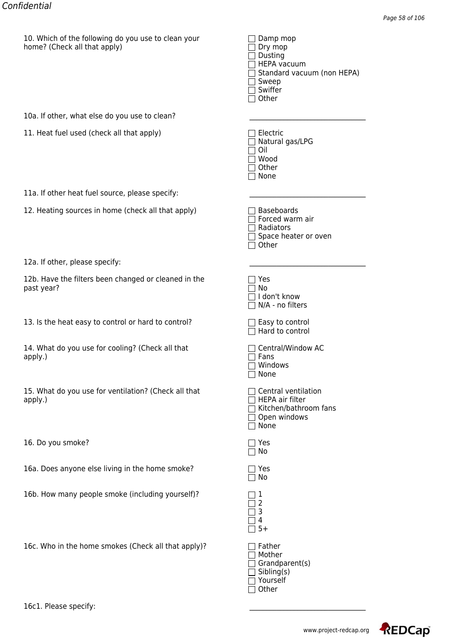| $\Box$ Dry mop                    |
|-----------------------------------|
| $\Box$ Dusting                    |
| $\Box$ HEPA vacuum                |
| $\Box$ Standard vacuum (non HEPA) |
| $\Box$ Sweep                      |
| $\Box$ Swiffer                    |
| $\Box$ Other                      |
|                                   |

| 10a. If other, what else do you use to clean? |  |
|-----------------------------------------------|--|
|                                               |  |

11. Heat fuel used (check all that apply)

11a. If other heat fuel source, please specify:

12. Heating sources in home (check all that apply)

| 12a. If other, please specify: |  |
|--------------------------------|--|
|                                |  |

12b. Have the filters been changed or cleaned in the past year?

13. Is the heat easy to control or hard to control?

14. What do you use for cooling? (Check all that apply.) Fans

15. What do you use for ventilation? (Check all that apply.) apply.) HEPA air filter

16. Do you smoke?

16a. Does anyone else living in the home smoke?

16b. How many people smoke (including yourself)? 1

16c. Who in the home smokes (Check all that apply)?

| $\mathbf{I}$ | Electric<br>Natural gas/LPG |
|--------------|-----------------------------|
|              | Oil                         |
|              | $\Box$ Wood                 |
|              | $\Box$ Other                |
|              | None                        |

| Baseboards               |
|--------------------------|
| $\sqcap$ Forced warm air |
| $\sqcap$ Radiators       |
| 1 Snace heater or c      |

| Space heater or oven |  |  |
|----------------------|--|--|
| l Other              |  |  |

| ×<br>۰, |  |
|---------|--|
|         |  |

| Yes<br>∩ No<br>□ I don't know<br>$\sqsupset$ N/A - no filters                                                |
|--------------------------------------------------------------------------------------------------------------|
| $\Box$ Easy to control<br>$\Box$ Hard to control                                                             |
| $\sqcap$ Central/Window AC<br>$\sqcap$ Fans<br>∩ Windows<br>□ None                                           |
| $\Box$ Central ventilation<br><b>HEPA air filter</b><br>$\Box$ Kitchen/bathroom fans<br>Open windows<br>None |
| Yes<br>No                                                                                                    |
| <b>Yes</b><br>N٥                                                                                             |
|                                                                                                              |

| Father               |
|----------------------|
| Mother               |
| Grandparent(s)       |
| $\exists$ Sibling(s) |
| 7 Yourself           |
| $\Box$ Other         |

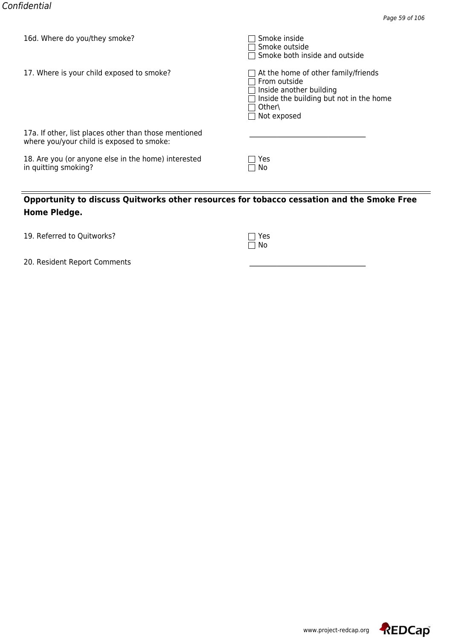| TOD: MILLE ON YOU THEY SHOKE!                                                                      | <b>SHOKE HISIGE</b><br>Smoke outside<br>$\Box$ Smoke both inside and outside                                                                       |
|----------------------------------------------------------------------------------------------------|----------------------------------------------------------------------------------------------------------------------------------------------------|
| 17. Where is your child exposed to smoke?                                                          | At the home of other family/friends<br>From outside<br>Inside another building<br>Inside the building but not in the home<br>Other\<br>Not exposed |
| 17a. If other, list places other than those mentioned<br>where you/your child is exposed to smoke: |                                                                                                                                                    |
| 18. Are you (or anyone else in the home) interested<br>in quitting smoking?                        | Yes<br>□ No                                                                                                                                        |

| 19. Referred to Quitworks? | $\Box$ Yes |
|----------------------------|------------|
|                            |            |

| I |
|---|
|   |

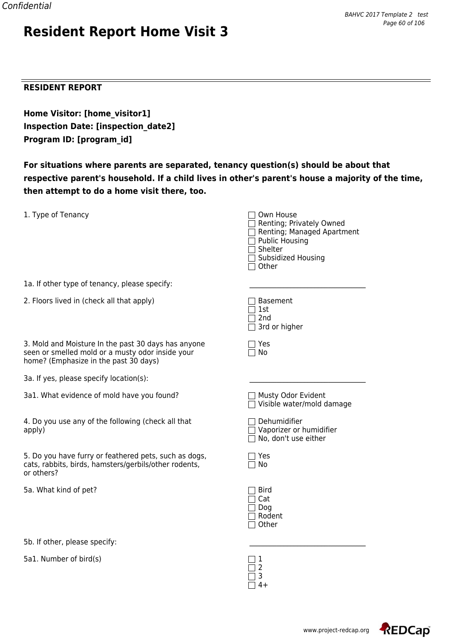#### **RESIDENT REPORT**

**Home Visitor: [home\_visitor1] Inspection Date: [inspection\_date2] Program ID: [program\_id]**

**Resident Report Home Visit 3**

**For situations where parents are separated, tenancy question(s) should be about that respective parent's household. If a child lives in other's parent's house a majority of the time, then attempt to do a home visit there, too.**

| 1. Type of Tenancy                                                                                                                               | Own House<br>Renting; Privately Owned<br>Renting; Managed Apartment<br><b>Public Housing</b><br>Shelter<br>Subsidized Housing<br>Other |
|--------------------------------------------------------------------------------------------------------------------------------------------------|----------------------------------------------------------------------------------------------------------------------------------------|
| 1a. If other type of tenancy, please specify:                                                                                                    |                                                                                                                                        |
| 2. Floors lived in (check all that apply)                                                                                                        | <b>Basement</b><br>1st<br>2 <sub>nd</sub><br>3rd or higher                                                                             |
| 3. Mold and Moisture In the past 30 days has anyone<br>seen or smelled mold or a musty odor inside your<br>home? (Emphasize in the past 30 days) | Yes<br>No                                                                                                                              |
| 3a. If yes, please specify location(s):                                                                                                          |                                                                                                                                        |
| 3a1. What evidence of mold have you found?                                                                                                       | Musty Odor Evident<br>□ Visible water/mold damage                                                                                      |
| 4. Do you use any of the following (check all that<br>apply)                                                                                     | Dehumidifier<br>$\Box$ Vaporizer or humidifier<br>No, don't use either                                                                 |
| 5. Do you have furry or feathered pets, such as dogs,<br>cats, rabbits, birds, hamsters/gerbils/other rodents,<br>or others?                     | Yes<br>No                                                                                                                              |
| 5a. What kind of pet?                                                                                                                            | <b>Bird</b><br>Cat<br>Dog<br>Rodent<br>Other                                                                                           |
| 5b. If other, please specify:                                                                                                                    |                                                                                                                                        |

 $\Box$  2  $\overline{\Box}$  3  $\Box$  4+

5a1. Number of bird(s)  $\Box$  1

www.project-redcap.org

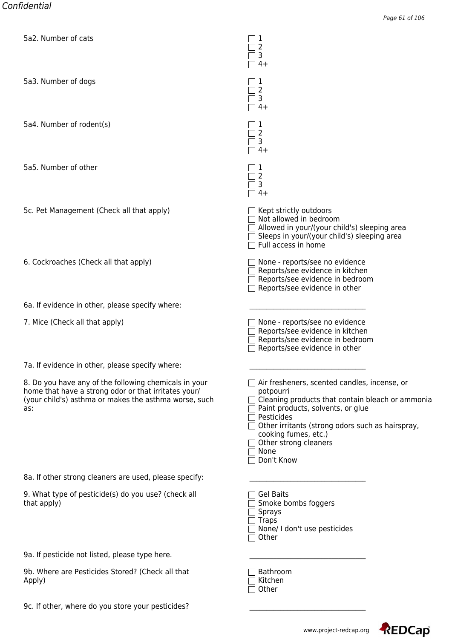| <u> Gaz. Number or cats</u>                                                                                                                                                   | $\Box$<br>2<br>3<br>$4+$                                                                                                                                                                                                                                                                                         |
|-------------------------------------------------------------------------------------------------------------------------------------------------------------------------------|------------------------------------------------------------------------------------------------------------------------------------------------------------------------------------------------------------------------------------------------------------------------------------------------------------------|
| 5a3. Number of dogs                                                                                                                                                           | 1<br>2<br>3<br>$4+$                                                                                                                                                                                                                                                                                              |
| 5a4. Number of rodent(s)                                                                                                                                                      | 1<br>2<br>3<br>$4+$                                                                                                                                                                                                                                                                                              |
| 5a5. Number of other                                                                                                                                                          | 2<br>3<br>$4+$                                                                                                                                                                                                                                                                                                   |
| 5c. Pet Management (Check all that apply)                                                                                                                                     | $\Box$ Kept strictly outdoors<br>$\Box$ Not allowed in bedroom<br>$\Box$ Allowed in your/(your child's) sleeping area<br>Sleeps in your/(your child's) sleeping area<br>Full access in home                                                                                                                      |
| 6. Cockroaches (Check all that apply)                                                                                                                                         | None - reports/see no evidence<br>Reports/see evidence in kitchen<br>Reports/see evidence in bedroom<br>Reports/see evidence in other                                                                                                                                                                            |
| 6a. If evidence in other, please specify where:                                                                                                                               |                                                                                                                                                                                                                                                                                                                  |
| 7. Mice (Check all that apply)                                                                                                                                                | None - reports/see no evidence<br>Reports/see evidence in kitchen<br>Reports/see evidence in bedroom<br>Reports/see evidence in other                                                                                                                                                                            |
| 7a. If evidence in other, please specify where:                                                                                                                               |                                                                                                                                                                                                                                                                                                                  |
| 8. Do you have any of the following chemicals in your<br>home that have a strong odor or that irritates your/<br>(your child's) asthma or makes the asthma worse, such<br>as: | $\Box$ Air fresheners, scented candles, incense, or<br>potpourri<br>Cleaning products that contain bleach or ammonia<br>Paint products, solvents, or glue<br>Pesticides<br>Other irritants (strong odors such as hairspray,<br>cooking fumes, etc.)<br>$\Box$ Other strong cleaners<br>$\Box$ None<br>Don't Know |
| 8a. If other strong cleaners are used, please specify:                                                                                                                        |                                                                                                                                                                                                                                                                                                                  |
| 9. What type of pesticide(s) do you use? (check all<br>that apply)                                                                                                            | <b>Gel Baits</b><br>Smoke bombs foggers<br>$\sqsupset$ Sprays<br>$\Box$ Traps<br>$\Box$ None/ I don't use pesticides<br>Other<br>$\Box$                                                                                                                                                                          |
| 9a. If pesticide not listed, please type here.                                                                                                                                |                                                                                                                                                                                                                                                                                                                  |
| 9b. Where are Pesticides Stored? (Check all that<br>Apply)                                                                                                                    | Bathroom<br>Kitchen<br>Other                                                                                                                                                                                                                                                                                     |
| 9c. If other, where do you store your pesticides?                                                                                                                             |                                                                                                                                                                                                                                                                                                                  |

REDCap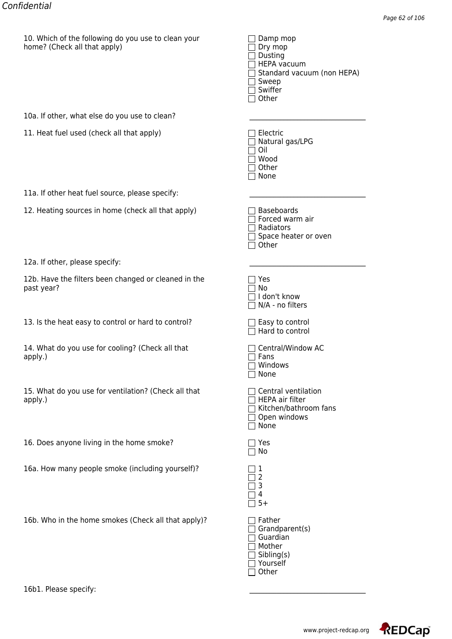| $\Box$ Dry mop                    |
|-----------------------------------|
| $\Box$ Dusting                    |
| $\Box$ HEPA vacuum                |
| $\Box$ Standard vacuum (non HEPA) |
| $\Box$ Sweep                      |
| $\Box$ Swiffer                    |
| $\Box$ Other                      |
|                                   |

| 12a. If other, please specify: |  |  |
|--------------------------------|--|--|
|--------------------------------|--|--|

|                                                                    | ו⊐יט ⊔                                                                                  |
|--------------------------------------------------------------------|-----------------------------------------------------------------------------------------|
| 10a. If other, what else do you use to clean?                      |                                                                                         |
| 11. Heat fuel used (check all that apply)                          | Electric<br>Natural gas/LPG<br>Oil<br>Wood<br>Other<br>None                             |
| 11a. If other heat fuel source, please specify:                    |                                                                                         |
| 12. Heating sources in home (check all that apply)                 | <b>Baseboards</b><br>Forced warm air<br>Radiators<br>Space heater or oven<br>Other      |
| 12a. If other, please specify:                                     |                                                                                         |
| 12b. Have the filters been changed or cleaned in the<br>past year? | Yes<br>No<br>I don't know<br>N/A - no filters                                           |
| 13. Is the heat easy to control or hard to control?                | $\Box$ Easy to control<br>Hard to control                                               |
| 14. What do you use for cooling? (Check all that<br>apply.)        | Central/Window AC<br>Fans<br>Windows<br>None                                            |
| 15. What do you use for ventilation? (Check all that<br>apply.)    | Central ventilation<br>HEPA air filter<br>Kitchen/bathroom fans<br>Open windows<br>None |
| 16. Does anyone living in the home smoke?                          | Yes<br>No                                                                               |
| 16a. How many people smoke (including yourself)?                   | 1<br>2<br>3<br>4<br>$5+$                                                                |
| 16b. Who in the home smokes (Check all that apply)?                | Father<br>Grandparent(s)<br>Guardian<br>Mother<br>Sibling(s)                            |

□ Yourself □ Other

16b1. Please specify:

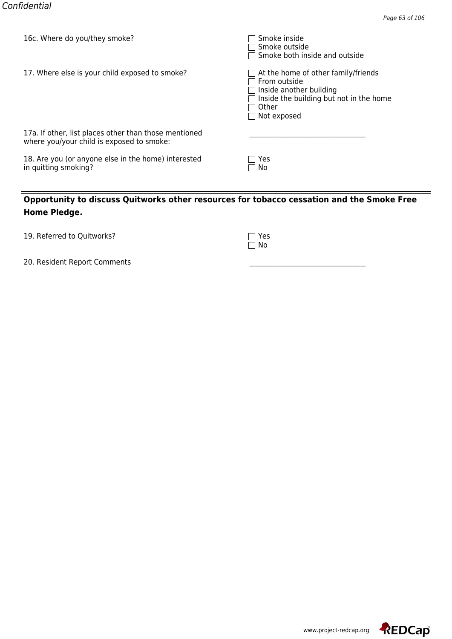| TOC. MILLELE AND ANNITIEM SILLOKE!                                                                 | <b>SHOKE HISIGE</b><br>∃ Smoke outside<br>$\Box$ Smoke both inside and outside                                                                                                  |
|----------------------------------------------------------------------------------------------------|---------------------------------------------------------------------------------------------------------------------------------------------------------------------------------|
| 17. Where else is your child exposed to smoke?                                                     | $\Box$ At the home of other family/friends<br>$\sqcap$ From outside<br>$\Box$ Inside another building<br>Inside the building but not in the home<br>Other<br>$\Box$ Not exposed |
| 17a. If other, list places other than those mentioned<br>where you/your child is exposed to smoke: |                                                                                                                                                                                 |
| 18. Are you (or anyone else in the home) interested<br>in quitting smoking?                        | Yes<br>□ No                                                                                                                                                                     |

| 19. Referred to Quitworks? | $\Box$ Yes |
|----------------------------|------------|
|                            |            |

| ı | ŗ |
|---|---|
| ı |   |

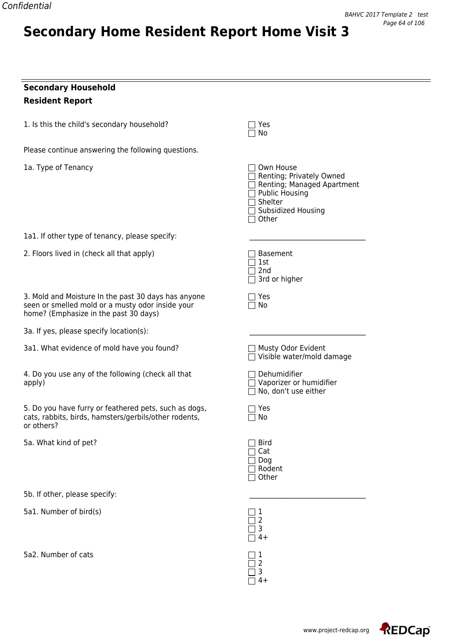## **Secondary Household Resident Report**

1. Is this the child's secondary household?  $\Box$  Yes

Please continue answering the following questions.

**Secondary Home Resident Report Home Visit 3**

1a. Type of Tenancy

1a1. If other type of tenancy, please specify:

2. Floors lived in (check all that apply)

3. Mold and Moisture In the past 30 days has anyone seen or smelled mold or a musty odor inside your home? (Emphasize in the past 30 days)

3a. If yes, please specify location(s):

3a1. What evidence of mold have you found?

4. Do you use any of the following (check all that apply) Vaporizer or humidifier

5. Do you have furry or feathered pets, such as dogs, cats, rabbits, birds, hamsters/gerbils/other rodents, or others?

5a. What kind of pet?

5b. If other, please specify:

5a1. Number of bird(s) 1

5a2. Number of cats  $\Box$  1

| □ Own House<br>Renting; Privately Owned<br>□ Renting, Thouchy Owned<br>□ Renting; Managed Apartment<br>□ Shelter<br>□ Subsidized Housing<br>∩ Other |
|-----------------------------------------------------------------------------------------------------------------------------------------------------|
| Basement<br>$\Box$ 1st<br>$\square$ 2nd<br>$\overline{\Box}$ 3rd or higher                                                                          |
| Yes<br>7 No                                                                                                                                         |
|                                                                                                                                                     |
| □ Musty Odor Evident<br>□ Visible water/mold damage                                                                                                 |
| $\Box$ Dehumidifier<br>Vaporizer or humidifier<br>$\Box$ No, don't use either                                                                       |
| $\sqsupset$ Yes<br>$\Box$ No                                                                                                                        |
| 1 Bird<br>$\Box$ Cat<br>$\Box$ Dog<br>$\exists$ Rodent<br>7 Other                                                                                   |
|                                                                                                                                                     |
|                                                                                                                                                     |

4+

 $\Box$  2  $\Box$  3  $\Box$  4+

 $\Box$  No

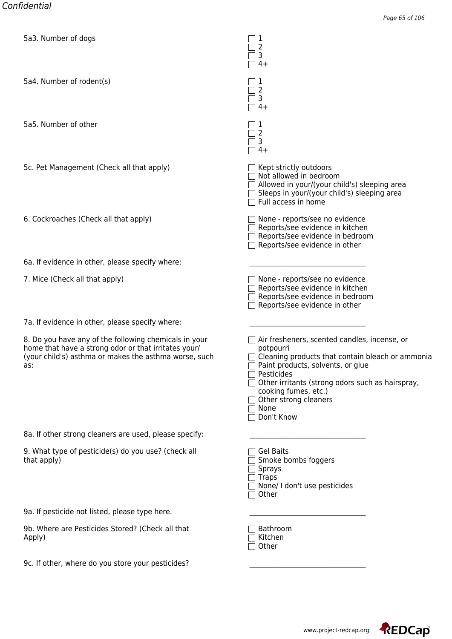| bas. Number or dogs                                                                                                                                                           | ▁▏┸<br>2<br>3<br>$4+$                                                                                                                                                                                                                                                                              |
|-------------------------------------------------------------------------------------------------------------------------------------------------------------------------------|----------------------------------------------------------------------------------------------------------------------------------------------------------------------------------------------------------------------------------------------------------------------------------------------------|
| 5a4. Number of rodent(s)                                                                                                                                                      | 1<br>$\overline{2}$<br>$\overline{3}$<br>$4+$                                                                                                                                                                                                                                                      |
| 5a5. Number of other                                                                                                                                                          | $\perp$<br>2<br>3<br>$4+$                                                                                                                                                                                                                                                                          |
| 5c. Pet Management (Check all that apply)                                                                                                                                     | $\Box$ Kept strictly outdoors<br>$\Box$ Not allowed in bedroom<br>$\Box$ Allowed in your/(your child's) sleeping area<br>$\Box$ Sleeps in your/(your child's) sleeping area<br>$\Box$ Full access in home                                                                                          |
| 6. Cockroaches (Check all that apply)                                                                                                                                         | None - reports/see no evidence<br>Reports/see evidence in kitchen<br>Reports/see evidence in bedroom<br>$\Box$ Reports/see evidence in other                                                                                                                                                       |
| 6a. If evidence in other, please specify where:                                                                                                                               |                                                                                                                                                                                                                                                                                                    |
| 7. Mice (Check all that apply)                                                                                                                                                | $\Box$ None - reports/see no evidence<br>Reports/see evidence in kitchen<br>Reports/see evidence in bedroom<br>Reports/see evidence in other                                                                                                                                                       |
| 7a. If evidence in other, please specify where:                                                                                                                               |                                                                                                                                                                                                                                                                                                    |
| 8. Do you have any of the following chemicals in your<br>home that have a strong odor or that irritates your/<br>(your child's) asthma or makes the asthma worse, such<br>as: | Air fresheners, scented candles, incense, or<br>potpourri<br>$\Box$ Cleaning products that contain bleach or ammonia<br>Paint products, solvents, or glue<br>Pesticides<br>Other irritants (strong odors such as hairspray,<br>cooking fumes, etc.)<br>Other strong cleaners<br>None<br>Don't Know |
| 8a. If other strong cleaners are used, please specify:                                                                                                                        |                                                                                                                                                                                                                                                                                                    |
| 9. What type of pesticide(s) do you use? (check all<br>that apply)                                                                                                            | <b>Gel Baits</b><br>Smoke bombs foggers<br><b>Sprays</b><br>$\exists$ Traps<br>None/ I don't use pesticides<br>Other                                                                                                                                                                               |
| 9a. If pesticide not listed, please type here.                                                                                                                                |                                                                                                                                                                                                                                                                                                    |
| 9b. Where are Pesticides Stored? (Check all that<br>Apply)                                                                                                                    | Bathroom<br>Kitchen<br>Other                                                                                                                                                                                                                                                                       |
| 9c. If other, where do you store your pesticides?                                                                                                                             |                                                                                                                                                                                                                                                                                                    |

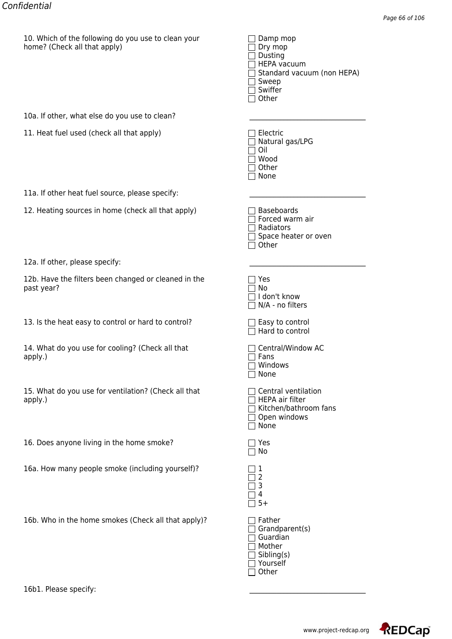| $\Box$ Dry mop                    |
|-----------------------------------|
| $\Box$ Dusting                    |
| $\Box$ HEPA vacuum                |
| $\Box$ Standard vacuum (non HEPA) |
| $\Box$ Sweep                      |
| $\Box$ Swiffer                    |
| $\Box$ Other                      |
|                                   |

| 12a. If other, please specify: |  |  |
|--------------------------------|--|--|
|--------------------------------|--|--|

|                                                                    | ו⊐יט ⊔                                                                                  |
|--------------------------------------------------------------------|-----------------------------------------------------------------------------------------|
| 10a. If other, what else do you use to clean?                      |                                                                                         |
| 11. Heat fuel used (check all that apply)                          | Electric<br>Natural gas/LPG<br>Oil<br>Wood<br>Other<br>None                             |
| 11a. If other heat fuel source, please specify:                    |                                                                                         |
| 12. Heating sources in home (check all that apply)                 | <b>Baseboards</b><br>Forced warm air<br>Radiators<br>Space heater or oven<br>Other      |
| 12a. If other, please specify:                                     |                                                                                         |
| 12b. Have the filters been changed or cleaned in the<br>past year? | Yes<br>No<br>I don't know<br>N/A - no filters                                           |
| 13. Is the heat easy to control or hard to control?                | $\Box$ Easy to control<br>Hard to control                                               |
| 14. What do you use for cooling? (Check all that<br>apply.)        | Central/Window AC<br>Fans<br>Windows<br>None                                            |
| 15. What do you use for ventilation? (Check all that<br>apply.)    | Central ventilation<br>HEPA air filter<br>Kitchen/bathroom fans<br>Open windows<br>None |
| 16. Does anyone living in the home smoke?                          | Yes<br>No                                                                               |
| 16a. How many people smoke (including yourself)?                   | 1<br>2<br>3<br>4<br>$5+$                                                                |
| 16b. Who in the home smokes (Check all that apply)?                | Father<br>Grandparent(s)<br>Guardian<br>Mother<br>Sibling(s)                            |

□ Yourself □ Other

16b1. Please specify:

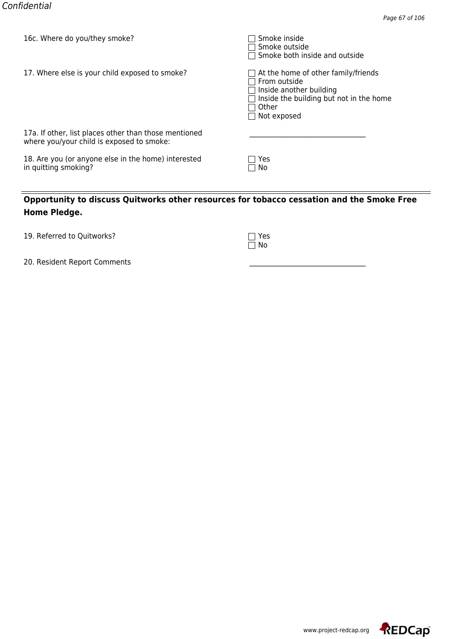| TOC. MILLELE AND ANNITIEM SILLOKE!                                                                 | <b>SHOKE HISIGE</b><br>∃ Smoke outside<br>$\Box$ Smoke both inside and outside                                                                                                  |
|----------------------------------------------------------------------------------------------------|---------------------------------------------------------------------------------------------------------------------------------------------------------------------------------|
| 17. Where else is your child exposed to smoke?                                                     | $\Box$ At the home of other family/friends<br>$\sqcap$ From outside<br>$\Box$ Inside another building<br>Inside the building but not in the home<br>Other<br>$\Box$ Not exposed |
| 17a. If other, list places other than those mentioned<br>where you/your child is exposed to smoke: |                                                                                                                                                                                 |
| 18. Are you (or anyone else in the home) interested<br>in quitting smoking?                        | Yes<br>□ No                                                                                                                                                                     |

| 19. Referred to Quitworks? | $\Box$ Yes |
|----------------------------|------------|
|                            |            |

| ı | ŗ |
|---|---|
| ı |   |

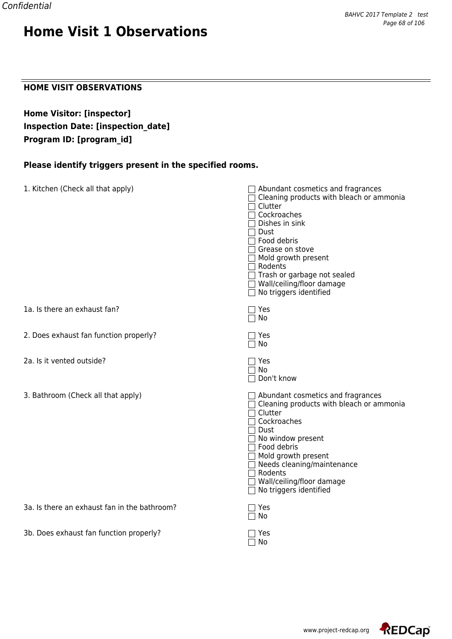#### **HOME VISIT OBSERVATIONS**

**Home Visitor: [inspector] Inspection Date: [inspection\_date] Program ID: [program\_id]**

### **Please identify triggers present in the specified rooms.**

| 1. Kitchen (Check all that apply)            | Abundant cosmetics and fragrances<br>Cleaning products with bleach or ammonia<br>Clutter<br>Cockroaches<br>Dishes in sink<br>Dust<br>Food debris<br>Grease on stove<br>Mold growth present<br>Rodents<br>Trash or garbage not sealed<br>$\Box$ Wall/ceiling/floor damage<br>$\Box$ No triggers identified |
|----------------------------------------------|-----------------------------------------------------------------------------------------------------------------------------------------------------------------------------------------------------------------------------------------------------------------------------------------------------------|
| 1a. Is there an exhaust fan?                 | Yes<br>No                                                                                                                                                                                                                                                                                                 |
| 2. Does exhaust fan function properly?       | ז Yes<br>No                                                                                                                                                                                                                                                                                               |
| 2a. Is it vented outside?                    | Yes<br>No<br>Don't know                                                                                                                                                                                                                                                                                   |
| 3. Bathroom (Check all that apply)           | $\Box$ Abundant cosmetics and fragrances<br>$\Box$ Cleaning products with bleach or ammonia<br>Clutter<br>Cockroaches<br>Dust<br>No window present<br>Food debris<br>Mold growth present<br>Needs cleaning/maintenance<br>$\sqsupset$ Rodents<br>Wall/ceiling/floor damage<br>No triggers identified      |
| 3a. Is there an exhaust fan in the bathroom? | Yes<br>No                                                                                                                                                                                                                                                                                                 |
| 3b. Does exhaust fan function properly?      | Yes<br>No                                                                                                                                                                                                                                                                                                 |

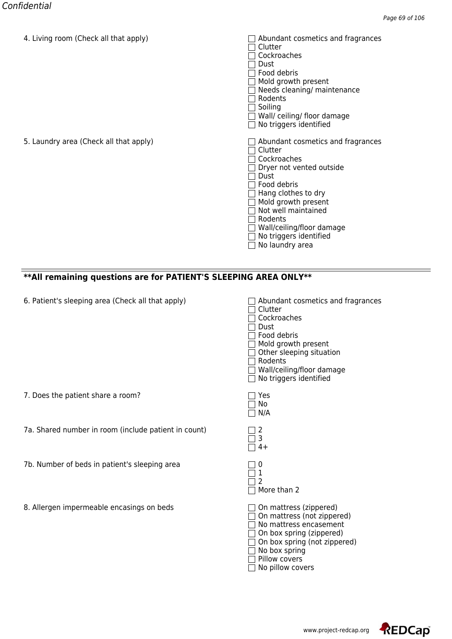| 4. Living Toom (Crieck all that apply) | Abundant Cosmetics and Hagiances<br>Clutter<br>Cockroaches<br>Dust<br>Food debris<br>Mold growth present<br>Needs cleaning/ maintenance<br>Rodents<br>Soiling<br>Wall/ceiling/floor damage<br>No triggers identified                                                     |
|----------------------------------------|--------------------------------------------------------------------------------------------------------------------------------------------------------------------------------------------------------------------------------------------------------------------------|
| 5. Laundry area (Check all that apply) | Abundant cosmetics and fragrances<br>Clutter<br>Cockroaches<br>Dryer not vented outside<br>Dust<br>Food debris<br>Hang clothes to dry<br>Mold growth present<br>Not well maintained<br>Rodents<br>Wall/ceiling/floor damage<br>No triggers identified<br>No laundry area |

### **\*\*All remaining questions are for PATIENT'S SLEEPING AREA ONLY\*\***

| 6. Patient's sleeping area (Check all that apply) | $\Box$ Abundant cosmetics and fragrances |
|---------------------------------------------------|------------------------------------------|
|---------------------------------------------------|------------------------------------------|

7a. Shared number in room (include patient in count) 2

7b. Number of beds in patient's sleeping area

8. Allergen impermeable encasings on beds

7. Does the patient share a room?

| Abundant cosmetics and fragranc<br>Clutter<br>Cockroaches<br>Dust<br>Food debris<br>Mold growth present<br>Other sleeping situation<br>Rodents<br>Wall/ceiling/floor damage<br>No triggers identified |
|-------------------------------------------------------------------------------------------------------------------------------------------------------------------------------------------------------|
| Yes<br>No<br>N/A                                                                                                                                                                                      |
| 3<br>$4+$                                                                                                                                                                                             |
| 1<br>2<br>More than 2                                                                                                                                                                                 |
| On mattress (zippered)<br>On mattress (not zippered)<br>No mattress encasement<br>On box spring (zippered)<br>On box spring (not zippered)<br>No box spring<br>Pillow covers<br>No pillow covers      |

www.project-redcap.org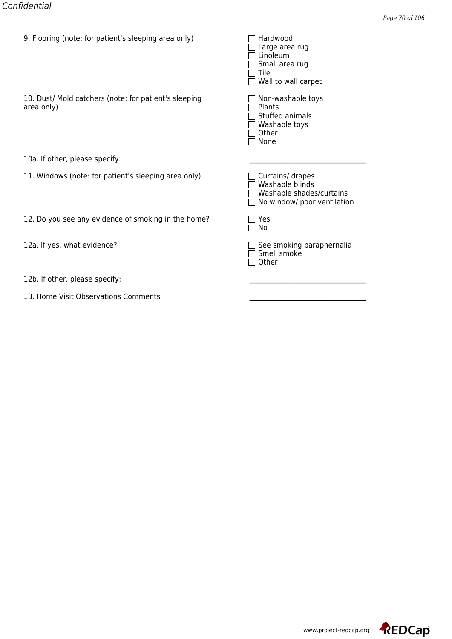| 9. Flooring (note: for patient's sleeping area only)                | <del>naruwoou</del><br>Large area rug<br>Linoleum<br>Small area rug<br>Tile<br>Wall to wall carpet |
|---------------------------------------------------------------------|----------------------------------------------------------------------------------------------------|
| 10. Dust/ Mold catchers (note: for patient's sleeping<br>area only) | Non-washable toys<br>Plants<br>Stuffed animals<br>Washable toys<br>Other<br>None                   |
| 10a. If other, please specify:                                      |                                                                                                    |
| 11. Windows (note: for patient's sleeping area only)                | Curtains/ drapes<br>Washable blinds<br>Washable shades/curtains<br>No window/ poor ventilation     |
| 12. Do you see any evidence of smoking in the home?                 | Yes<br>No                                                                                          |
| 12a. If yes, what evidence?                                         | See smoking paraphernalia<br>Smell smoke<br>Other                                                  |
| 12b. If other, please specify:                                      |                                                                                                    |
| 13. Home Visit Observations Comments                                |                                                                                                    |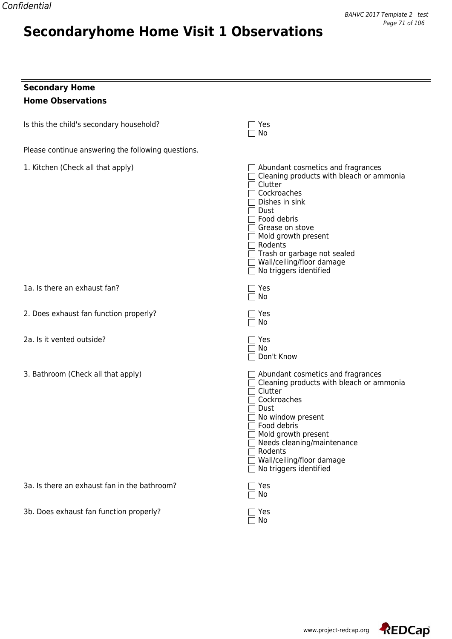## **Secondaryhome Home Visit 1 Observations**

## **Secondary Home Home Observations**

| Is this the child's secondary household?           | Yes<br>No                                                                                                                                                                                                                                                                                                                     |
|----------------------------------------------------|-------------------------------------------------------------------------------------------------------------------------------------------------------------------------------------------------------------------------------------------------------------------------------------------------------------------------------|
| Please continue answering the following questions. |                                                                                                                                                                                                                                                                                                                               |
| 1. Kitchen (Check all that apply)                  | $\Box$ Abundant cosmetics and fragrances<br>$\Box$ Cleaning products with bleach or ammonia<br>Clutter<br>Cockroaches<br>Dishes in sink<br>Dust<br>⊤ Food debris<br>Grease on stove<br>$\Box$ Mold growth present<br>∏ Rodents<br>Trash or garbage not sealed<br>□ Wall/ceiling/floor damage<br>$\Box$ No triggers identified |
| 1a. Is there an exhaust fan?                       | Yes<br>No                                                                                                                                                                                                                                                                                                                     |
| 2. Does exhaust fan function properly?             | Yes<br>∩ No                                                                                                                                                                                                                                                                                                                   |
| 2a. Is it vented outside?                          | Yes<br>No<br>Don't Know                                                                                                                                                                                                                                                                                                       |
| 3. Bathroom (Check all that apply)                 | $\Box$ Abundant cosmetics and fragrances<br>$\Box$ Cleaning products with bleach or ammonia<br>$\sqcap$ Clutter<br>Cockroaches<br>Dust<br>No window present<br>Food debris<br>Mold growth present<br>Needs cleaning/maintenance<br>$\Box$ Rodents<br>Wall/ceiling/floor damage<br>No triggers identified                      |
| 3a. Is there an exhaust fan in the bathroom?       | Yes<br>No                                                                                                                                                                                                                                                                                                                     |
| 3b. Does exhaust fan function properly?            | Yes<br>No                                                                                                                                                                                                                                                                                                                     |

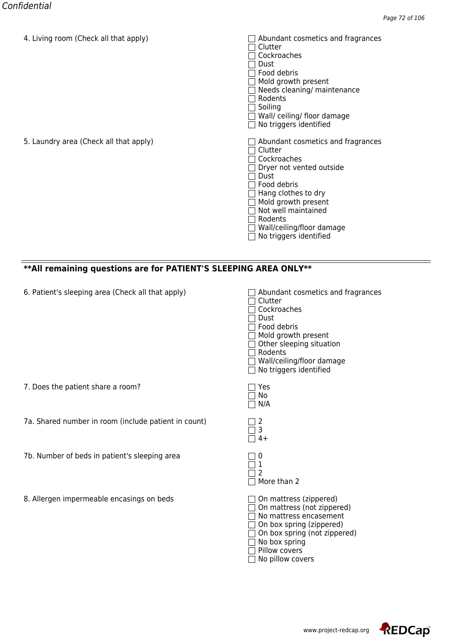| 4. Living Tooni (Crieck all triat apply) | Abundant Cosmetics and Hagiances<br>Clutter<br>Cockroaches<br>Dust<br>Food debris<br>Mold growth present<br>Needs cleaning/ maintenance<br>Rodents<br>Soiling<br>Wall/ceiling/floordamage<br>No triggers identified                                   |
|------------------------------------------|-------------------------------------------------------------------------------------------------------------------------------------------------------------------------------------------------------------------------------------------------------|
| 5. Laundry area (Check all that apply)   | Abundant cosmetics and fragrances<br>Clutter<br>Cockroaches<br>Dryer not vented outside<br>Dust<br>Food debris<br>Hang clothes to dry<br>Mold growth present<br>Not well maintained<br>Rodents<br>Wall/ceiling/floor damage<br>No triggers identified |

## **\*\*All remaining questions are for PATIENT'S SLEEPING AREA ONLY\*\***

| 6. Patient's sleeping area (Check all that apply)    | Abundant cosmetics and fragrances<br>Clutter<br>Cockroaches<br><b>Dust</b><br>Food debris<br>Mold growth present<br>Other sleeping situation<br>Rodents<br>Wall/ceiling/floor damage<br>$\Box$ No triggers identified |
|------------------------------------------------------|-----------------------------------------------------------------------------------------------------------------------------------------------------------------------------------------------------------------------|
| 7. Does the patient share a room?                    | Yes<br>No<br>N/A                                                                                                                                                                                                      |
| 7a. Shared number in room (include patient in count) | 2<br>3<br>$4+$                                                                                                                                                                                                        |
| 7b. Number of beds in patient's sleeping area        | 0<br>More than 2                                                                                                                                                                                                      |
| 8. Allergen impermeable encasings on beds            | On mattress (zippered)<br>On mattress (not zippered)<br>No mattress encasement<br>On box spring (zippered)<br>On box spring (not zippered)<br>No box spring<br>Pillow covers<br>No pillow covers                      |

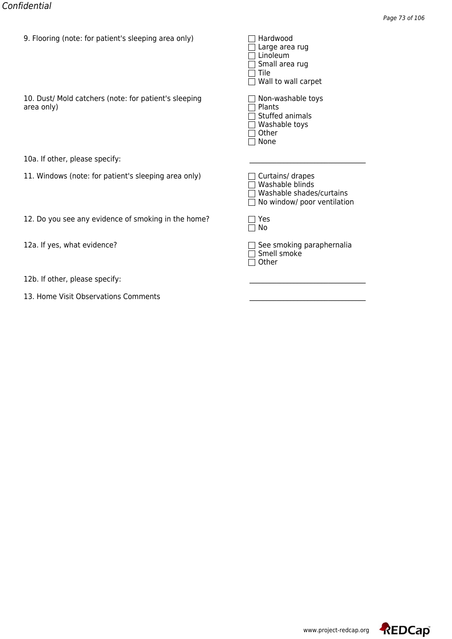| 9. Flooring (note: for patient's sleeping area only)                | <del>naruwoou</del><br>Large area rug<br>Linoleum<br>Small area rug<br>Tile<br>Wall to wall carpet |
|---------------------------------------------------------------------|----------------------------------------------------------------------------------------------------|
| 10. Dust/ Mold catchers (note: for patient's sleeping<br>area only) | Non-washable toys<br>Plants<br>Stuffed animals<br>Washable toys<br>Other<br>None                   |
| 10a. If other, please specify:                                      |                                                                                                    |
| 11. Windows (note: for patient's sleeping area only)                | Curtains/ drapes<br>Washable blinds<br>Washable shades/curtains<br>No window/ poor ventilation     |
| 12. Do you see any evidence of smoking in the home?                 | Yes<br>No                                                                                          |
| 12a. If yes, what evidence?                                         | See smoking paraphernalia<br>Smell smoke<br>Other                                                  |
| 12b. If other, please specify:                                      |                                                                                                    |
| 13. Home Visit Observations Comments                                |                                                                                                    |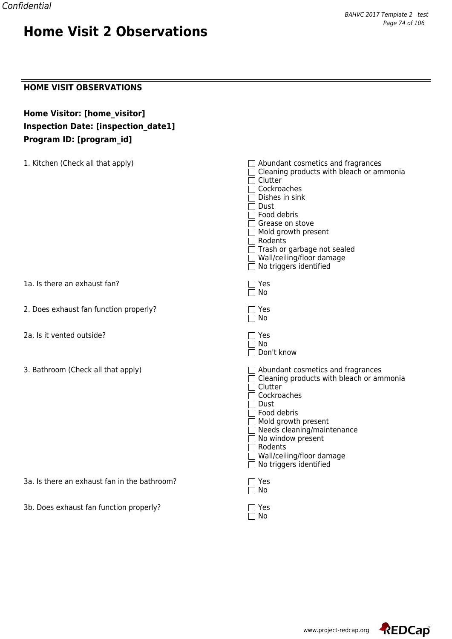### **HOME VISIT OBSERVATIONS**

## **Home Visitor: [home\_visitor] Inspection Date: [inspection\_date1] Program ID: [program\_id]**

| 1. Kitchen (Check all that apply)            | $\Box$ Abundant cosmetics and fragrances<br>$\Box$ Cleaning products with bleach or ammonia<br>Clutter<br>Cockroaches<br>Dishes in sink<br>Dust<br>Food debris<br>□ Grease on stove<br>$\Box$ Mold growth present<br>□ Rodents<br>$\Box$ Trash or garbage not sealed<br>□ Wall/ceiling/floor damage<br>$\Box$ No triggers identified |
|----------------------------------------------|--------------------------------------------------------------------------------------------------------------------------------------------------------------------------------------------------------------------------------------------------------------------------------------------------------------------------------------|
| 1a. Is there an exhaust fan?                 | Yes<br>No                                                                                                                                                                                                                                                                                                                            |
| 2. Does exhaust fan function properly?       | $\Box$ Yes<br>No<br>$\mathsf{L}$                                                                                                                                                                                                                                                                                                     |
| 2a. Is it vented outside?                    | Yes<br>$\Box$ No<br>Don't know                                                                                                                                                                                                                                                                                                       |
| 3. Bathroom (Check all that apply)           | $\Box$ Abundant cosmetics and fragrances<br>$\Box$ Cleaning products with bleach or ammonia<br>$\sqcap$ Clutter<br>Cockroaches<br>Dust<br>$\sqsupset$ Food debris<br>Mold growth present<br>Needs cleaning/maintenance<br>No window present<br>$\sqsupset$ Rodents<br>□ Wall/ceiling/floor damage<br>No triggers identified          |
| 3a. Is there an exhaust fan in the bathroom? | Yes<br>No                                                                                                                                                                                                                                                                                                                            |
| 3b. Does exhaust fan function properly?      | Yes<br>No                                                                                                                                                                                                                                                                                                                            |

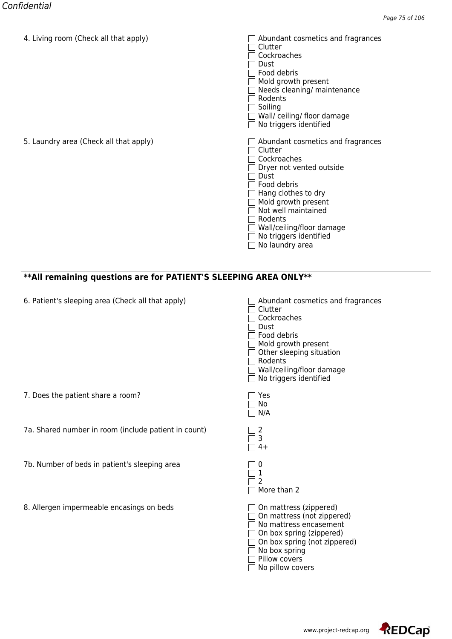| 4. Living Toom (Crieck all that apply) | Abundant Cosmetics and Hagiances<br>Clutter<br>Cockroaches<br>Dust<br>Food debris<br>Mold growth present<br>Needs cleaning/ maintenance<br>Rodents<br>Soiling<br>Wall/ceiling/floor damage<br>No triggers identified                                                     |
|----------------------------------------|--------------------------------------------------------------------------------------------------------------------------------------------------------------------------------------------------------------------------------------------------------------------------|
| 5. Laundry area (Check all that apply) | Abundant cosmetics and fragrances<br>Clutter<br>Cockroaches<br>Dryer not vented outside<br>Dust<br>Food debris<br>Hang clothes to dry<br>Mold growth present<br>Not well maintained<br>Rodents<br>Wall/ceiling/floor damage<br>No triggers identified<br>No laundry area |

### **\*\*All remaining questions are for PATIENT'S SLEEPING AREA ONLY\*\***

| 6. Patient's sleeping area (Check all that apply) | $\Box$ Abundant cosmetics and fragrances |
|---------------------------------------------------|------------------------------------------|
|---------------------------------------------------|------------------------------------------|

7a. Shared number in room (include patient in count) 2

7b. Number of beds in patient's sleeping area

8. Allergen impermeable encasings on beds

7. Does the patient share a room?

| Abundant cosmetics and fragranc<br>Clutter<br>Cockroaches<br>Dust<br>Food debris<br>Mold growth present<br>Other sleeping situation<br>Rodents<br>Wall/ceiling/floor damage<br>No triggers identified |
|-------------------------------------------------------------------------------------------------------------------------------------------------------------------------------------------------------|
| Yes<br>No<br>N/A                                                                                                                                                                                      |
| 3<br>$4+$                                                                                                                                                                                             |
| 1<br>2<br>More than 2                                                                                                                                                                                 |
| On mattress (zippered)<br>On mattress (not zippered)<br>No mattress encasement<br>On box spring (zippered)<br>On box spring (not zippered)<br>No box spring<br>Pillow covers<br>No pillow covers      |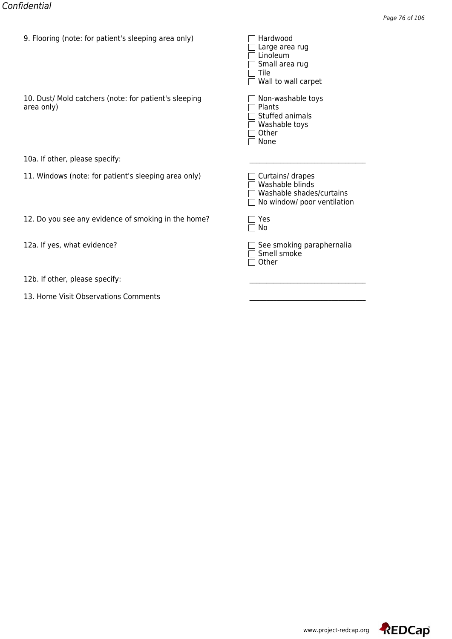| 9. Flooring (note: for patient's sleeping area only)                | <del>naruwoou</del><br>Large area rug<br>Linoleum<br>Small area rug<br>Tile<br>Wall to wall carpet |
|---------------------------------------------------------------------|----------------------------------------------------------------------------------------------------|
| 10. Dust/ Mold catchers (note: for patient's sleeping<br>area only) | Non-washable toys<br>Plants<br>Stuffed animals<br>Washable toys<br>Other<br>None                   |
| 10a. If other, please specify:                                      |                                                                                                    |
| 11. Windows (note: for patient's sleeping area only)                | Curtains/ drapes<br>Washable blinds<br>Washable shades/curtains<br>No window/ poor ventilation     |
| 12. Do you see any evidence of smoking in the home?                 | Yes<br>No                                                                                          |
| 12a. If yes, what evidence?                                         | See smoking paraphernalia<br>Smell smoke<br>Other                                                  |
| 12b. If other, please specify:                                      |                                                                                                    |
| 13. Home Visit Observations Comments                                |                                                                                                    |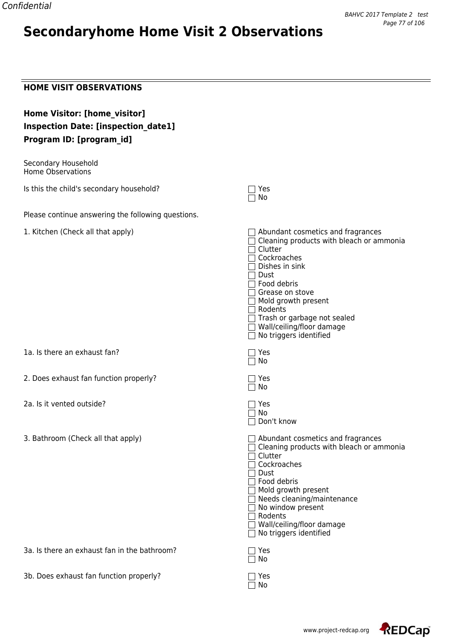# **Secondaryhome Home Visit 2 Observations**

### **HOME VISIT OBSERVATIONS**

| Home Visitor: [home_visitor]<br><b>Inspection Date: [inspection_date1]</b><br>Program ID: [program_id] |                                                                                                                                                                                                                                                                                                 |
|--------------------------------------------------------------------------------------------------------|-------------------------------------------------------------------------------------------------------------------------------------------------------------------------------------------------------------------------------------------------------------------------------------------------|
| Secondary Household<br><b>Home Observations</b>                                                        |                                                                                                                                                                                                                                                                                                 |
| Is this the child's secondary household?                                                               | Yes<br>No                                                                                                                                                                                                                                                                                       |
| Please continue answering the following questions.                                                     |                                                                                                                                                                                                                                                                                                 |
| 1. Kitchen (Check all that apply)                                                                      | Abundant cosmetics and fragrances<br>Cleaning products with bleach or ammonia<br>Clutter<br>Cockroaches<br>Dishes in sink<br>Dust<br>Food debris<br>Grease on stove<br>Mold growth present<br>Rodents<br>Trash or garbage not sealed<br>Wall/ceiling/floor damage<br>No triggers identified     |
| 1a. Is there an exhaust fan?                                                                           | Yes<br>No                                                                                                                                                                                                                                                                                       |
| 2. Does exhaust fan function properly?                                                                 | Yes<br>No                                                                                                                                                                                                                                                                                       |
| 2a. Is it vented outside?                                                                              | Yes<br>No<br>Don't know                                                                                                                                                                                                                                                                         |
| 3. Bathroom (Check all that apply)                                                                     | Abundant cosmetics and fragrances<br>Cleaning products with bleach or ammonia<br>Clutter<br>Cockroaches<br>Dust<br>Food debris<br>$\Box$ Mold growth present<br>$\Box$ Needs cleaning/maintenance<br>No window present<br>Rodents<br>Wall/ceiling/floor damage<br>$\Box$ No triggers identified |
| 3a. Is there an exhaust fan in the bathroom?                                                           | Yes<br>No                                                                                                                                                                                                                                                                                       |
| 3b. Does exhaust fan function properly?                                                                | Yes<br>No                                                                                                                                                                                                                                                                                       |



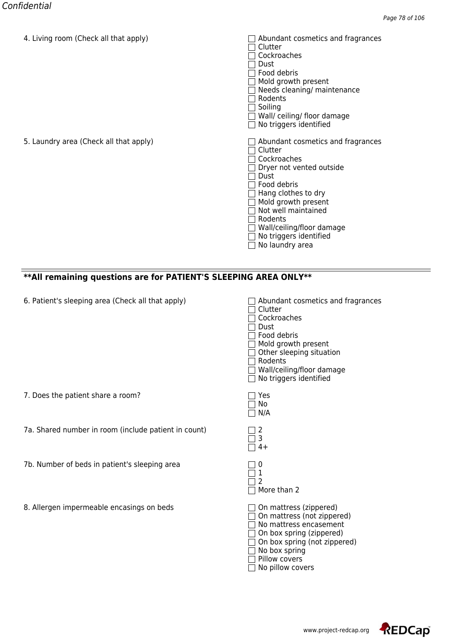| 4. Living Toom (Crieck all that apply) | Abundant Cosmetics and Hagiances<br>Clutter<br>Cockroaches<br>Dust<br>Food debris<br>Mold growth present<br>Needs cleaning/ maintenance<br>Rodents<br>Soiling<br>Wall/ceiling/floor damage<br>No triggers identified                                                     |
|----------------------------------------|--------------------------------------------------------------------------------------------------------------------------------------------------------------------------------------------------------------------------------------------------------------------------|
| 5. Laundry area (Check all that apply) | Abundant cosmetics and fragrances<br>Clutter<br>Cockroaches<br>Dryer not vented outside<br>Dust<br>Food debris<br>Hang clothes to dry<br>Mold growth present<br>Not well maintained<br>Rodents<br>Wall/ceiling/floor damage<br>No triggers identified<br>No laundry area |

### **\*\*All remaining questions are for PATIENT'S SLEEPING AREA ONLY\*\***

| 6. Patient's sleeping area (Check all that apply) | $\Box$ Abundant cosmetics and fragrances |
|---------------------------------------------------|------------------------------------------|
|---------------------------------------------------|------------------------------------------|

7a. Shared number in room (include patient in count) 2

7b. Number of beds in patient's sleeping area

8. Allergen impermeable encasings on beds

7. Does the patient share a room?

| Abundant cosmetics and fragranc<br>Clutter<br>Cockroaches<br>Dust<br>Food debris<br>Mold growth present<br>Other sleeping situation<br>Rodents<br>Wall/ceiling/floor damage<br>No triggers identified |
|-------------------------------------------------------------------------------------------------------------------------------------------------------------------------------------------------------|
| Yes<br>No<br>N/A                                                                                                                                                                                      |
| 3<br>$4+$                                                                                                                                                                                             |
| 1<br>2<br>More than 2                                                                                                                                                                                 |
| On mattress (zippered)<br>On mattress (not zippered)<br>No mattress encasement<br>On box spring (zippered)<br>On box spring (not zippered)<br>No box spring<br>Pillow covers<br>No pillow covers      |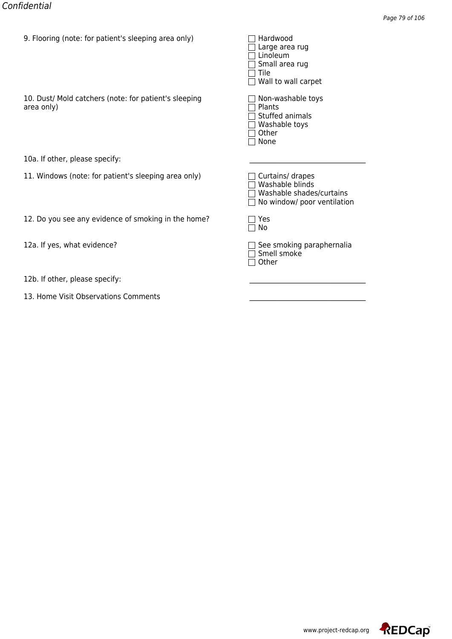| 9. Flooring (note: for patient's sleeping area only)                | <del>naruwoou</del><br>Large area rug<br>Linoleum<br>Small area rug<br>Tile<br>Wall to wall carpet |
|---------------------------------------------------------------------|----------------------------------------------------------------------------------------------------|
| 10. Dust/ Mold catchers (note: for patient's sleeping<br>area only) | Non-washable toys<br>Plants<br>Stuffed animals<br>Washable toys<br>Other<br>None                   |
| 10a. If other, please specify:                                      |                                                                                                    |
| 11. Windows (note: for patient's sleeping area only)                | Curtains/ drapes<br>Washable blinds<br>Washable shades/curtains<br>No window/ poor ventilation     |
| 12. Do you see any evidence of smoking in the home?                 | Yes<br>No                                                                                          |
| 12a. If yes, what evidence?                                         | See smoking paraphernalia<br>Smell smoke<br>Other                                                  |
| 12b. If other, please specify:                                      |                                                                                                    |
| 13. Home Visit Observations Comments                                |                                                                                                    |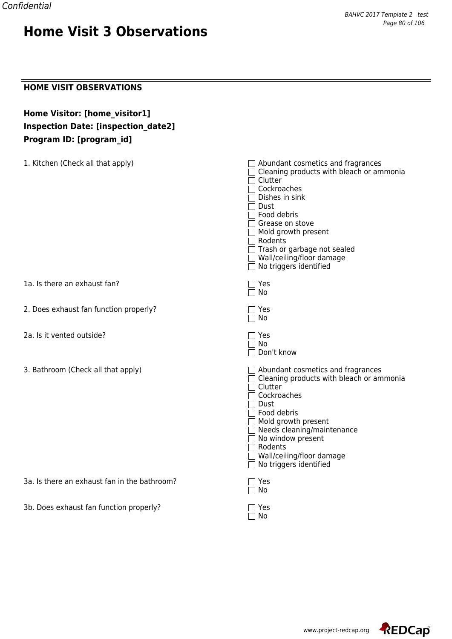### **HOME VISIT OBSERVATIONS**

## **Home Visitor: [home\_visitor1] Inspection Date: [inspection\_date2] Program ID: [program\_id]**

| 1. Kitchen (Check all that apply)            | $\Box$ Abundant cosmetics and fragrances<br>Cleaning products with bleach or ammonia<br>Clutter<br>□ Cockroaches<br>Dishes in sink<br>Dust<br>$\sqcap$ Food debris<br>$\sqcap$ Grease on stove<br>$\Box$ Mold growth present<br>Rodents<br>$\Box$ Trash or garbage not sealed<br>□ Wall/ceiling/floor damage<br>$\Box$ No triggers identified |
|----------------------------------------------|-----------------------------------------------------------------------------------------------------------------------------------------------------------------------------------------------------------------------------------------------------------------------------------------------------------------------------------------------|
| 1a. Is there an exhaust fan?                 | $\Box$ Yes<br>$\Box$ No                                                                                                                                                                                                                                                                                                                       |
| 2. Does exhaust fan function properly?       | $\Box$ Yes<br>$\Box$ No                                                                                                                                                                                                                                                                                                                       |
| 2a. Is it vented outside?                    | ヿ Yes<br>$\Box$ No<br>Don't know                                                                                                                                                                                                                                                                                                              |
| 3. Bathroom (Check all that apply)           | $\Box$ Abundant cosmetics and fragrances<br>□ Cleaning products with bleach or ammonia<br>$\sqcap$ Clutter<br>Cockroaches<br>$\sqsupset$ Dust<br>$\Box$ Food debris<br>$\Box$ Mold growth present<br>Needs cleaning/maintenance<br>No window present<br>□ Rodents<br>□ Wall/ceiling/floor damage<br>No triggers identified                    |
| 3a. Is there an exhaust fan in the bathroom? | $\sqsupset$ Yes<br>No                                                                                                                                                                                                                                                                                                                         |
| 3b. Does exhaust fan function properly?      | Yes<br>No                                                                                                                                                                                                                                                                                                                                     |

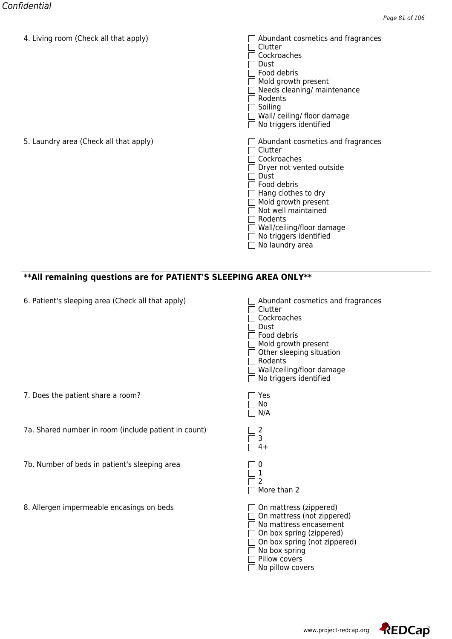| 4. Living Toom (Crieck all that apply) | Abundant Cosmetics and Hagiances<br>Clutter<br>Cockroaches<br>Dust<br>Food debris<br>Mold growth present<br>Needs cleaning/ maintenance<br>Rodents<br>Soiling<br>Wall/ceiling/floor damage<br>No triggers identified                                                     |
|----------------------------------------|--------------------------------------------------------------------------------------------------------------------------------------------------------------------------------------------------------------------------------------------------------------------------|
| 5. Laundry area (Check all that apply) | Abundant cosmetics and fragrances<br>Clutter<br>Cockroaches<br>Dryer not vented outside<br>Dust<br>Food debris<br>Hang clothes to dry<br>Mold growth present<br>Not well maintained<br>Rodents<br>Wall/ceiling/floor damage<br>No triggers identified<br>No laundry area |

### **\*\*All remaining questions are for PATIENT'S SLEEPING AREA ONLY\*\***

| 6. Patient's sleeping area (Check all that apply) | $\Box$ Abundant cosmetics and fragrances |
|---------------------------------------------------|------------------------------------------|
|---------------------------------------------------|------------------------------------------|

7a. Shared number in room (include patient in count) 2

7b. Number of beds in patient's sleeping area

8. Allergen impermeable encasings on beds

7. Does the patient share a room?

| Abundant cosmetics and fragranc<br>Clutter<br>Cockroaches<br>Dust<br>Food debris<br>Mold growth present<br>Other sleeping situation<br>Rodents<br>Wall/ceiling/floor damage<br>No triggers identified |
|-------------------------------------------------------------------------------------------------------------------------------------------------------------------------------------------------------|
| Yes<br>No<br>N/A                                                                                                                                                                                      |
| 3<br>$4+$                                                                                                                                                                                             |
| 1<br>2<br>More than 2                                                                                                                                                                                 |
| On mattress (zippered)<br>On mattress (not zippered)<br>No mattress encasement<br>On box spring (zippered)<br>On box spring (not zippered)<br>No box spring<br>Pillow covers<br>No pillow covers      |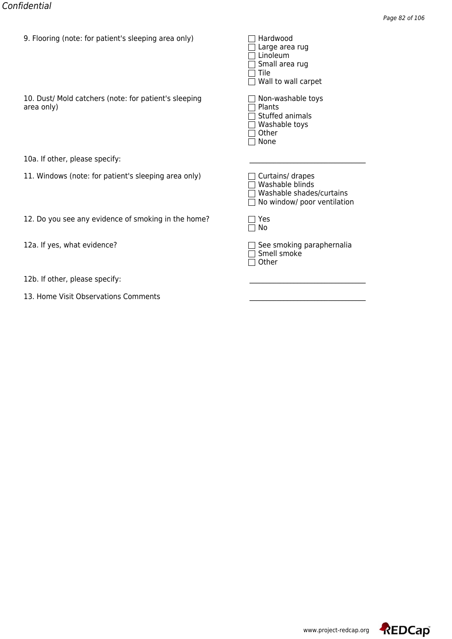| 9. Flooring (note: for patient's sleeping area only)                | <del>naruwoou</del><br>Large area rug<br>Linoleum<br>Small area rug<br>Tile<br>Wall to wall carpet |
|---------------------------------------------------------------------|----------------------------------------------------------------------------------------------------|
| 10. Dust/ Mold catchers (note: for patient's sleeping<br>area only) | Non-washable toys<br>Plants<br>Stuffed animals<br>Washable toys<br>Other<br>None                   |
| 10a. If other, please specify:                                      |                                                                                                    |
| 11. Windows (note: for patient's sleeping area only)                | Curtains/ drapes<br>Washable blinds<br>Washable shades/curtains<br>No window/ poor ventilation     |
| 12. Do you see any evidence of smoking in the home?                 | Yes<br>No                                                                                          |
| 12a. If yes, what evidence?                                         | See smoking paraphernalia<br>Smell smoke<br>Other                                                  |
| 12b. If other, please specify:                                      |                                                                                                    |
| 13. Home Visit Observations Comments                                |                                                                                                    |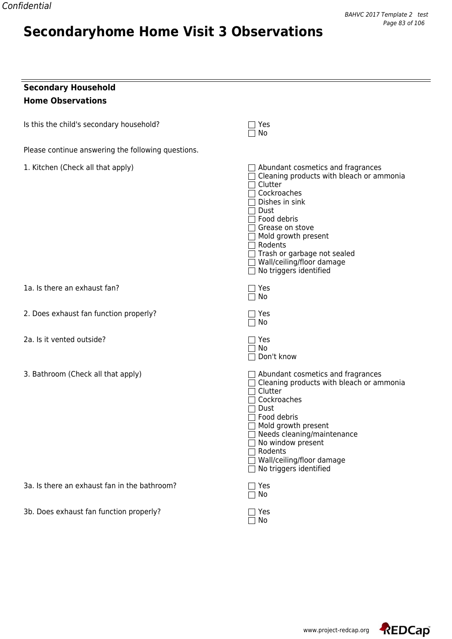# **Secondaryhome Home Visit 3 Observations**

| <b>Secondary Household</b> |
|----------------------------|
| <b>Home Observations</b>   |

| Is this the child's secondary household? | $\Box$ Yes |
|------------------------------------------|------------|
|------------------------------------------|------------|

Please continue answering the following questions.

| 1. Kitchen (Check all that apply)            | $\Box$ Abundant cosmetics and fragrances<br>Cleaning products with bleach or ammonia<br>$\sqcap$ Clutter<br>□ Cockroaches<br>$\sqsupset$ Dishes in sink<br>$\sqcap$ Dust<br>$\sqsupset$ Food debris<br>$\sqcap$ Grease on stove<br>$\Box$ Mold growth present<br>$\Box$ Rodents<br>Trash or garbage not sealed<br>□ Wall/ceiling/floor damage<br>$\Box$ No triggers identified |
|----------------------------------------------|--------------------------------------------------------------------------------------------------------------------------------------------------------------------------------------------------------------------------------------------------------------------------------------------------------------------------------------------------------------------------------|
| 1a. Is there an exhaust fan?                 | $\Box$ Yes<br>$\Box$ No                                                                                                                                                                                                                                                                                                                                                        |
| 2. Does exhaust fan function properly?       | ז Yes<br>No                                                                                                                                                                                                                                                                                                                                                                    |
| 2a. Is it vented outside?                    | 7 Yes<br>No<br>□ Don't know                                                                                                                                                                                                                                                                                                                                                    |
| 3. Bathroom (Check all that apply)           | $\Box$ Abundant cosmetics and fragrances<br>Cleaning products with bleach or ammonia<br>Clutter<br>$\sqcap$ Cockroaches<br>$\sqsupset$ Dust<br>$\sqsupset$ Food debris<br>$\Box$ Mold growth present<br>$\Box$ Needs cleaning/maintenance<br>$\Box$ No window present<br><b>T</b> Rodents<br>□ Wall/ceiling/floor damage<br>$\Box$ No triggers identified                      |
| 3a. Is there an exhaust fan in the bathroom? | ר Yes<br>$\Box$ No                                                                                                                                                                                                                                                                                                                                                             |
| 3b. Does exhaust fan function properly?      | Yes<br>No                                                                                                                                                                                                                                                                                                                                                                      |

 $\Box$  Yes<br> $\Box$  No

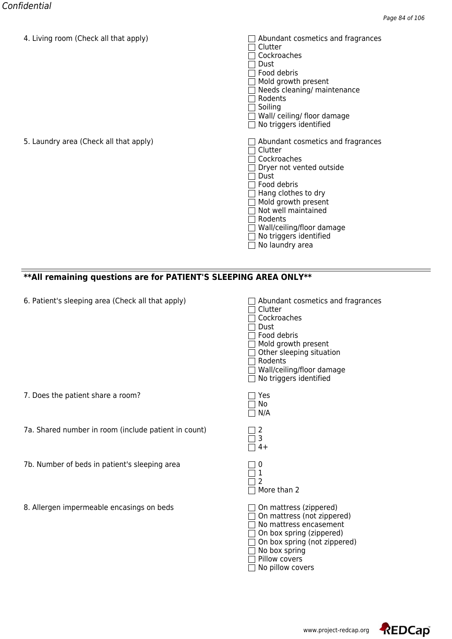| 4. Living Toom (Crieck all that apply) | Abundant Cosmetics and Hagiances<br>Clutter<br>Cockroaches<br>Dust<br>Food debris<br>Mold growth present<br>Needs cleaning/ maintenance<br>Rodents<br>Soiling<br>Wall/ceiling/floor damage<br>No triggers identified                                                     |
|----------------------------------------|--------------------------------------------------------------------------------------------------------------------------------------------------------------------------------------------------------------------------------------------------------------------------|
| 5. Laundry area (Check all that apply) | Abundant cosmetics and fragrances<br>Clutter<br>Cockroaches<br>Dryer not vented outside<br>Dust<br>Food debris<br>Hang clothes to dry<br>Mold growth present<br>Not well maintained<br>Rodents<br>Wall/ceiling/floor damage<br>No triggers identified<br>No laundry area |

### **\*\*All remaining questions are for PATIENT'S SLEEPING AREA ONLY\*\***

| 6. Patient's sleeping area (Check all that apply) | $\Box$ Abundant cosmetics and fragrances |
|---------------------------------------------------|------------------------------------------|
|---------------------------------------------------|------------------------------------------|

7a. Shared number in room (include patient in count) 2

7b. Number of beds in patient's sleeping area

8. Allergen impermeable encasings on beds

7. Does the patient share a room?

| Abundant cosmetics and fragranc<br>Clutter<br>Cockroaches<br>Dust<br>Food debris<br>Mold growth present<br>Other sleeping situation<br>Rodents<br>Wall/ceiling/floor damage<br>No triggers identified |
|-------------------------------------------------------------------------------------------------------------------------------------------------------------------------------------------------------|
| Yes<br>No<br>N/A                                                                                                                                                                                      |
| 3<br>$4+$                                                                                                                                                                                             |
| 1<br>2<br>More than 2                                                                                                                                                                                 |
| On mattress (zippered)<br>On mattress (not zippered)<br>No mattress encasement<br>On box spring (zippered)<br>On box spring (not zippered)<br>No box spring<br>Pillow covers<br>No pillow covers      |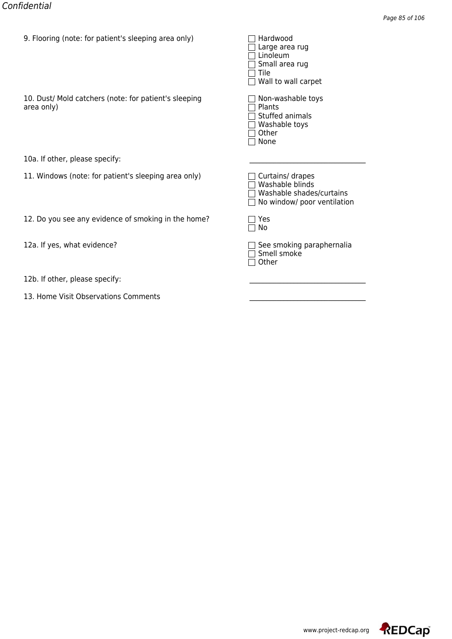| 9. Flooring (note: for patient's sleeping area only)                | <del>naruwoou</del><br>Large area rug<br>Linoleum<br>Small area rug<br>Tile<br>Wall to wall carpet |
|---------------------------------------------------------------------|----------------------------------------------------------------------------------------------------|
| 10. Dust/ Mold catchers (note: for patient's sleeping<br>area only) | Non-washable toys<br>Plants<br>Stuffed animals<br>Washable toys<br>Other<br>None                   |
| 10a. If other, please specify:                                      |                                                                                                    |
| 11. Windows (note: for patient's sleeping area only)                | Curtains/ drapes<br>Washable blinds<br>Washable shades/curtains<br>No window/ poor ventilation     |
| 12. Do you see any evidence of smoking in the home?                 | Yes<br>No                                                                                          |
| 12a. If yes, what evidence?                                         | See smoking paraphernalia<br>Smell smoke<br>Other                                                  |
| 12b. If other, please specify:                                      |                                                                                                    |
| 13. Home Visit Observations Comments                                |                                                                                                    |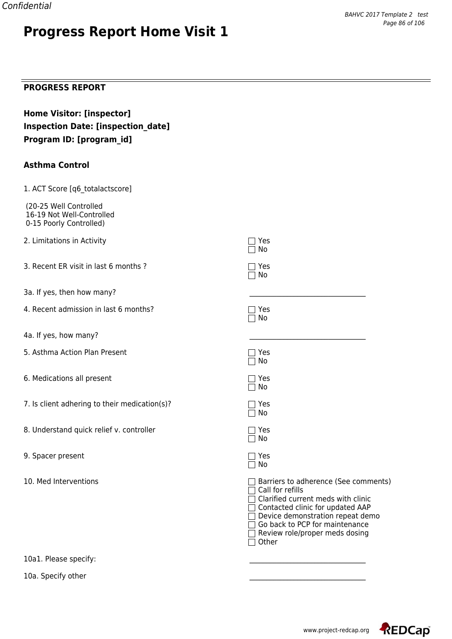# **Progress Report Home Visit 1**

### **PROGRESS REPORT**

| <b>Home Visitor: [inspector]</b>          |
|-------------------------------------------|
| <b>Inspection Date: [inspection date]</b> |
| Program ID: [program id]                  |

### **Asthma Control**

| 1. ACT Score [q6_totalactscore]                                                |                                                                                                                                                                                                                                                                   |
|--------------------------------------------------------------------------------|-------------------------------------------------------------------------------------------------------------------------------------------------------------------------------------------------------------------------------------------------------------------|
| (20-25 Well Controlled<br>16-19 Not Well-Controlled<br>0-15 Poorly Controlled) |                                                                                                                                                                                                                                                                   |
| 2. Limitations in Activity                                                     | $\sqsupset$ Yes<br>No                                                                                                                                                                                                                                             |
| 3. Recent ER visit in last 6 months?                                           | $\exists$ Yes<br>$\Box$ No                                                                                                                                                                                                                                        |
| 3a. If yes, then how many?                                                     |                                                                                                                                                                                                                                                                   |
| 4. Recent admission in last 6 months?                                          | $\sqsupset$ Yes<br>No                                                                                                                                                                                                                                             |
| 4a. If yes, how many?                                                          |                                                                                                                                                                                                                                                                   |
| 5. Asthma Action Plan Present                                                  | $\exists$ Yes<br>$\Box$ No                                                                                                                                                                                                                                        |
| 6. Medications all present                                                     | Yes<br>No                                                                                                                                                                                                                                                         |
| 7. Is client adhering to their medication(s)?                                  | $\sqsupset$ Yes<br>No                                                                                                                                                                                                                                             |
| 8. Understand quick relief v. controller                                       | $\Box$ Yes<br>$\Box$ No                                                                                                                                                                                                                                           |
| 9. Spacer present                                                              | $\sqsupset$ Yes<br>$\Box$ No                                                                                                                                                                                                                                      |
| 10. Med Interventions                                                          | Barriers to adherence (See comments)<br>$\Box$ Call for refills<br>Clarified current meds with clinic<br>Contacted clinic for updated AAP<br>$\Box$ Device demonstration repeat demo<br>Go back to PCP for maintenance<br>Review role/proper meds dosing<br>Other |

10a1. Please specify:

10a. Specify other



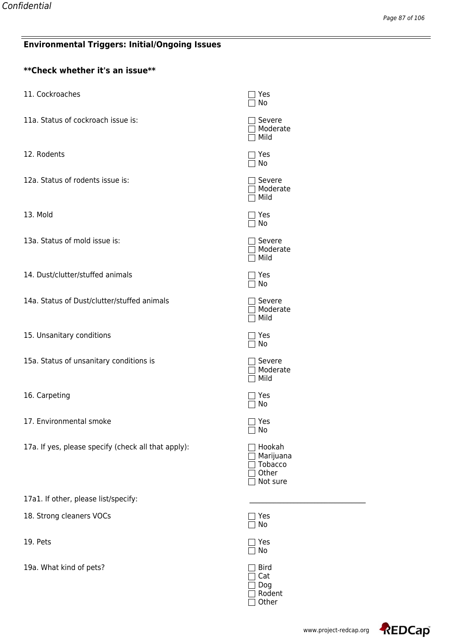# **Environmental Triggers: Initial/Ongoing Issues**

## **\*\*Check whether it's an issue\*\***

| 11. Cockroaches                                     | Yes<br>No                                                  |
|-----------------------------------------------------|------------------------------------------------------------|
| 11a. Status of cockroach issue is:                  | Severe<br>Moderate<br>Mild                                 |
| 12. Rodents                                         | ר Yes<br>No                                                |
| 12a. Status of rodents issue is:                    | Severe<br>Moderate<br>Mild                                 |
| 13. Mold                                            | Yes<br>No                                                  |
| 13a. Status of mold issue is:                       | Severe<br>Moderate<br>Mild                                 |
| 14. Dust/clutter/stuffed animals                    | ] Yes<br>No                                                |
| 14a. Status of Dust/clutter/stuffed animals         | Severe<br>Moderate<br>Mild                                 |
| 15. Unsanitary conditions                           | Yes<br>No                                                  |
| 15a. Status of unsanitary conditions is             | Severe<br>Moderate<br>Mild                                 |
| 16. Carpeting                                       | Yes<br>No                                                  |
| 17. Environmental smoke                             | Yes<br>No                                                  |
| 17a. If yes, please specify (check all that apply): | Hookah<br>Marijuana<br><b>Tobacco</b><br>Other<br>Not sure |
| 17a1. If other, please list/specify:                |                                                            |
| 18. Strong cleaners VOCs                            | Yes<br>No                                                  |
| 19. Pets                                            | Yes<br>No                                                  |
| 19a. What kind of pets?                             | <b>Bird</b><br>Cat                                         |

Dog Rodent Other

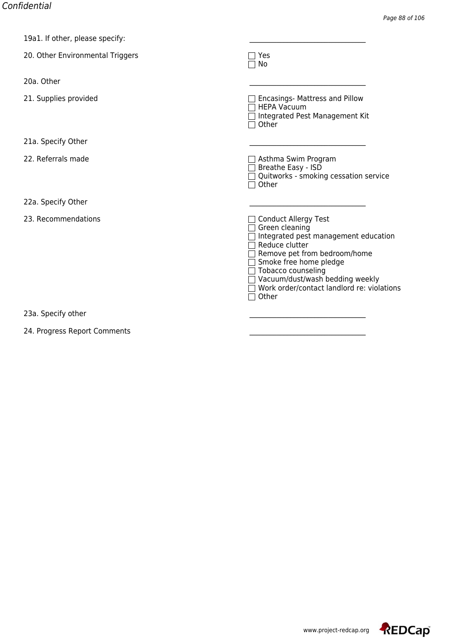| <b>ISAL.</b> II OUTEL, DIEASE SPECITY. |                                                                                                                                                                                                                                                                            |
|----------------------------------------|----------------------------------------------------------------------------------------------------------------------------------------------------------------------------------------------------------------------------------------------------------------------------|
| 20. Other Environmental Triggers       | Yes<br>No                                                                                                                                                                                                                                                                  |
| 20a. Other                             |                                                                                                                                                                                                                                                                            |
| 21. Supplies provided                  | Encasings- Mattress and Pillow<br><b>HEPA Vacuum</b><br>Integrated Pest Management Kit<br>Other                                                                                                                                                                            |
| 21a. Specify Other                     |                                                                                                                                                                                                                                                                            |
| 22. Referrals made                     | Asthma Swim Program<br>Breathe Easy - ISD<br>Quitworks - smoking cessation service<br>Other                                                                                                                                                                                |
| 22a. Specify Other                     |                                                                                                                                                                                                                                                                            |
| 23. Recommendations                    | Conduct Allergy Test<br>Green cleaning<br>Integrated pest management education<br>Reduce clutter<br>Remove pet from bedroom/home<br>Smoke free home pledge<br>Tobacco counseling<br>Vacuum/dust/wash bedding weekly<br>Work order/contact landlord re: violations<br>Other |
| 23a. Specify other                     |                                                                                                                                                                                                                                                                            |

24. Progress Report Comments

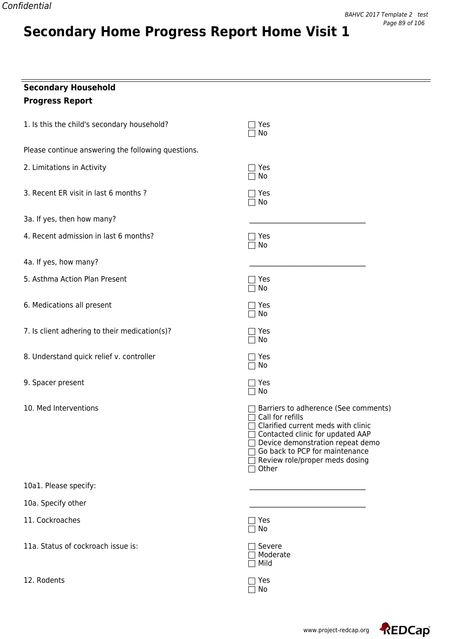# **Secondary Home Progress Report Home Visit 1**

| <b>Secondary Household</b><br><b>Progress Report</b> |                                                                                                                                                                                                                                                                                 |
|------------------------------------------------------|---------------------------------------------------------------------------------------------------------------------------------------------------------------------------------------------------------------------------------------------------------------------------------|
| 1. Is this the child's secondary household?          | Yes<br>No                                                                                                                                                                                                                                                                       |
| Please continue answering the following questions.   |                                                                                                                                                                                                                                                                                 |
| 2. Limitations in Activity                           | Yes<br>No                                                                                                                                                                                                                                                                       |
| 3. Recent ER visit in last 6 months ?                | Yes<br>No                                                                                                                                                                                                                                                                       |
| 3a. If yes, then how many?                           |                                                                                                                                                                                                                                                                                 |
| 4. Recent admission in last 6 months?                | Yes<br>$\Box$ No                                                                                                                                                                                                                                                                |
| 4a. If yes, how many?                                |                                                                                                                                                                                                                                                                                 |
| 5. Asthma Action Plan Present                        | Yes<br>No                                                                                                                                                                                                                                                                       |
| 6. Medications all present                           | Yes<br>No                                                                                                                                                                                                                                                                       |
| 7. Is client adhering to their medication(s)?        | Yes<br>No                                                                                                                                                                                                                                                                       |
| 8. Understand quick relief v. controller             | Yes<br>No                                                                                                                                                                                                                                                                       |
| 9. Spacer present                                    | Yes<br>No                                                                                                                                                                                                                                                                       |
| 10. Med Interventions                                | Barriers to adherence (See comments)<br>Call for refills<br>Clarified current meds with clinic<br>$\Box$ Contacted clinic for updated AAP<br>$\Box$ Device demonstration repeat demo<br>Go back to PCP for maintenance<br>$\Box$ Review role/proper meds dosing<br>$\Box$ Other |
| 10a1. Please specify:                                |                                                                                                                                                                                                                                                                                 |
| 10a. Specify other                                   |                                                                                                                                                                                                                                                                                 |
| 11. Cockroaches                                      | $\sqsupset$ Yes<br>No                                                                                                                                                                                                                                                           |
| 11a. Status of cockroach issue is:                   | Severe<br>Moderate<br>Mild                                                                                                                                                                                                                                                      |
| 12. Rodents                                          | Yes<br>No                                                                                                                                                                                                                                                                       |

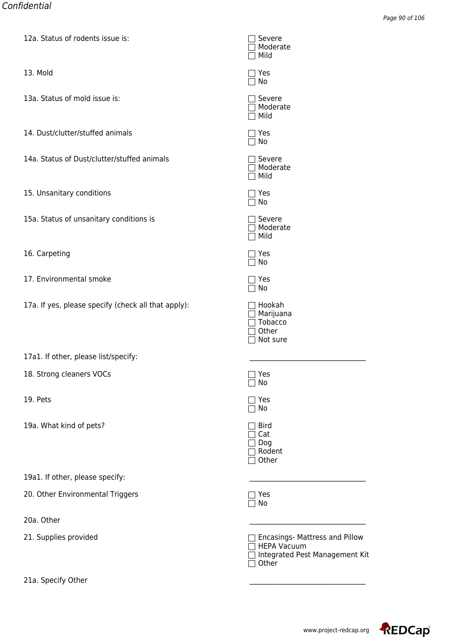| <u>12d. Status of fouents issue is:</u>             | ⊐ ⊃ਦ⊽ਦਾਦ<br>Moderate<br>Mild                                                                           |
|-----------------------------------------------------|--------------------------------------------------------------------------------------------------------|
| 13. Mold                                            | Yes<br>$\Box$ No                                                                                       |
| 13a. Status of mold issue is:                       | $\sqcap$ Severe<br>$\sqsupset$ Moderate<br>$\Box$ Mild                                                 |
| 14. Dust/clutter/stuffed animals                    | 7 Yes<br>$\Box$ No                                                                                     |
| 14a. Status of Dust/clutter/stuffed animals         | $\sqcap$ Severe<br>Moderate<br>$\Box$ Mild                                                             |
| 15. Unsanitary conditions                           | Yes [<br>$\Box$ No                                                                                     |
| 15a. Status of unsanitary conditions is             | $\sqsupset$ Severe<br>$\Box$ Moderate<br>Mild<br>$\mathbf{1}$                                          |
| 16. Carpeting                                       | ]Yes<br>$\Box$ No                                                                                      |
| 17. Environmental smoke                             | $\exists$ Yes<br>No                                                                                    |
| 17a. If yes, please specify (check all that apply): | $\Box$ Hookah<br>$\Box$ Marijuana<br>$\sqcap$ Tobacco<br>Other<br>Not sure                             |
| 17a1. If other, please list/specify:                |                                                                                                        |
| 18. Strong cleaners VOCs                            | $\Box$ Yes<br>No                                                                                       |
| 19. Pets                                            | $\sqsupset$ Yes<br>No                                                                                  |
| 19a. What kind of pets?                             | <b>Bird</b><br>Cat<br>Dog<br>] Rodent<br>Other                                                         |
| 19a1. If other, please specify:                     |                                                                                                        |
| 20. Other Environmental Triggers                    | ]Yes<br>No                                                                                             |
| 20a. Other                                          |                                                                                                        |
| 21. Supplies provided                               | $\Box$ Encasings- Mattress and Pillow<br><b>HEPA Vacuum</b><br>Integrated Pest Management Kit<br>Other |
| 21a. Specify Other                                  |                                                                                                        |

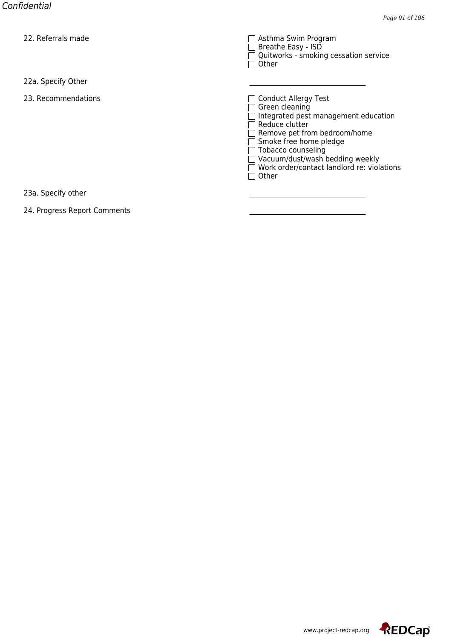| 22. Referrals filage | ASUIIIId JWIIII PIUYIdIII<br>Breathe Easy - ISD<br>Quitworks - smoking cessation service<br>Other                                                                                                                                                                                                   |
|----------------------|-----------------------------------------------------------------------------------------------------------------------------------------------------------------------------------------------------------------------------------------------------------------------------------------------------|
| 22a. Specify Other   |                                                                                                                                                                                                                                                                                                     |
| 23. Recommendations  | <b>Conduct Allergy Test</b><br>$\blacksquare$<br>Green cleaning<br>Integrated pest management education<br>Reduce clutter<br>Remove pet from bedroom/home<br>Smoke free home pledge<br>Tobacco counseling<br>Vacuum/dust/wash bedding weekly<br>Work order/contact landlord re: violations<br>Other |
| 23a. Specify other   |                                                                                                                                                                                                                                                                                                     |

24. Progress Report Comments

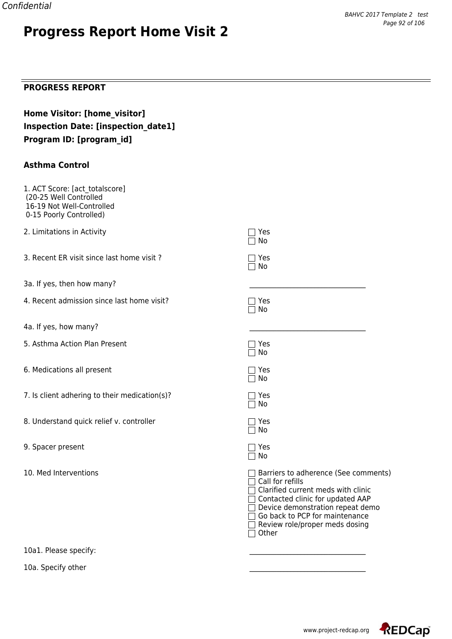# **Progress Report Home Visit 2**

### **PROGRESS REPORT**

| Home Visitor: [home visitor]               |
|--------------------------------------------|
| <b>Inspection Date: [inspection date1]</b> |
| Program ID: [program id]                   |

#### **Asthma Control**

| 1. ACT Score: [act_totalscore]<br>(20-25 Well Controlled<br>16-19 Not Well-Controlled<br>0-15 Poorly Controlled) |                                                                                                                                                                                                                                                     |
|------------------------------------------------------------------------------------------------------------------|-----------------------------------------------------------------------------------------------------------------------------------------------------------------------------------------------------------------------------------------------------|
| 2. Limitations in Activity                                                                                       | Yes<br>No                                                                                                                                                                                                                                           |
| 3. Recent ER visit since last home visit?                                                                        | Yes<br>No                                                                                                                                                                                                                                           |
| 3a. If yes, then how many?                                                                                       |                                                                                                                                                                                                                                                     |
| 4. Recent admission since last home visit?                                                                       | 7 Yes<br>No                                                                                                                                                                                                                                         |
| 4a. If yes, how many?                                                                                            |                                                                                                                                                                                                                                                     |
| 5. Asthma Action Plan Present                                                                                    | 7 Yes<br>No                                                                                                                                                                                                                                         |
| 6. Medications all present                                                                                       | $\Box$ Yes<br>$\Box$ No                                                                                                                                                                                                                             |
| 7. Is client adhering to their medication(s)?                                                                    | ר Yes<br>No                                                                                                                                                                                                                                         |
| 8. Understand quick relief v. controller                                                                         | $\sqsupset$ Yes<br>$\Box$ No                                                                                                                                                                                                                        |
| 9. Spacer present                                                                                                | $\sqsupset$ Yes<br>$\Box$ No                                                                                                                                                                                                                        |
| 10. Med Interventions                                                                                            | Barriers to adherence (See comments)<br>Call for refills<br>Clarified current meds with clinic<br>Contacted clinic for updated AAP<br>Device demonstration repeat demo<br>Go back to PCP for maintenance<br>Review role/proper meds dosing<br>Other |

10a1. Please specify:

10a. Specify other

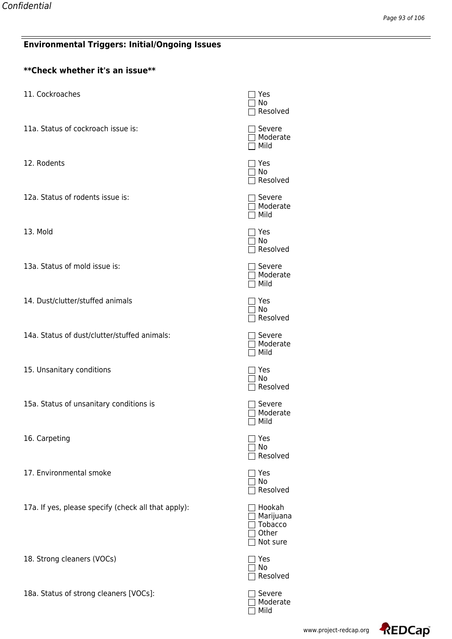### **Environmental Triggers: Initial/Ongoing Issues**

| <b>Environmental Triggers: Initial/Ongoing Issues</b> |                                                  |
|-------------------------------------------------------|--------------------------------------------------|
| **Check whether it's an issue**                       |                                                  |
| 11. Cockroaches                                       | Yes<br>No<br>Resolve                             |
| 11a. Status of cockroach issue is:                    | Severe<br>] Modera<br>$\neg$ Mild                |
| 12. Rodents                                           | Yes<br>No<br>Resolve                             |
| 12a. Status of rodents issue is:                      | Severe<br>  Modera<br>Mild                       |
| 13. Mold                                              | Yes<br>  No<br>Resolve                           |
| 13a. Status of mold issue is:                         | Severe<br>$\sqcap$ Modera<br>$\Box$ Mild         |
| 14. Dust/clutter/stuffed animals                      | Yes<br>No<br>Resolve                             |
| 14a. Status of dust/clutter/stuffed animals:          | Severe<br>Modera<br>Mild                         |
| 15. Unsanitary conditions                             | Yes<br>$\Box$ No<br>] Resolve                    |
| 15a. Status of unsanitary conditions is               | Severe<br>Modera<br>Mild                         |
| 16. Carpeting                                         | Yes<br>No<br>Resolve                             |
| 17. Environmental smoke                               | Yes<br>No<br>Resolve                             |
| 17a. If yes, please specify (check all that apply):   | Hookah<br>Marijua<br>Tobacco<br>Other<br>Not sur |
| 18. Strong cleaners (VOCs)                            | Yes<br>No                                        |

18a. Status of strong cleaners [VOCs]:

| □ Yes<br>□ No<br>□ Resolved                                   |
|---------------------------------------------------------------|
| $\square$ Severe<br>□ Moderate<br>$\Box$ Mild                 |
| □ Yes<br>□ No<br>□ Resolved                                   |
| $\Box$ Severe<br>□ Moderate<br>$\Box$ Mild                    |
| $\mathbf{r}$ Yes<br>□ No<br>□ Resolved                        |
| $\Box$ Severe<br>$\overline{\Box}$ Moderate<br>$\Box$ Mild    |
| □ Yes<br>□ No<br>$\Box$ Resolved                              |
| □ Severe<br>□ Moderate<br>$\overline{\Box}$ Mild              |
| $\Box$ Yes<br>$\Box$ No<br>□ Resolved                         |
| □ Severe<br>□ Moderate<br>□ Mild                              |
| Yes<br>No<br>$\Box$<br>Resolved                               |
| Yes<br>No<br>$\Box$<br>Resolved                               |
| Hookah<br>Marijuana<br>$\Box$<br>Tobacco<br>Other<br>Not sure |
| $\Box$ Yes<br>$\Box$ No<br>Resolved<br>1                      |

Moderate Mild

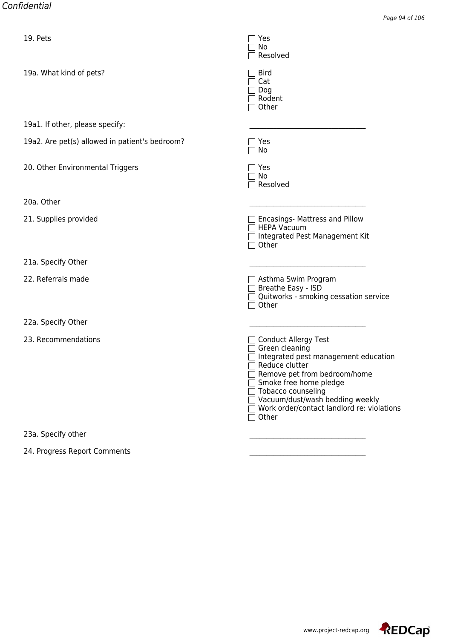| 19. rets                                       | $\Box$ Tes<br>No<br>Resolved                                                                                                                                                                                                                                                                        |
|------------------------------------------------|-----------------------------------------------------------------------------------------------------------------------------------------------------------------------------------------------------------------------------------------------------------------------------------------------------|
| 19a. What kind of pets?                        | <b>Bird</b><br>Cat<br>$\sqsupset$ Dog<br>∏ Rodent<br>$\sqsupset$ Other                                                                                                                                                                                                                              |
| 19a1. If other, please specify:                |                                                                                                                                                                                                                                                                                                     |
| 19a2. Are pet(s) allowed in patient's bedroom? | Yes<br>No                                                                                                                                                                                                                                                                                           |
| 20. Other Environmental Triggers               | Yes<br>No<br>Resolved                                                                                                                                                                                                                                                                               |
| 20a. Other                                     |                                                                                                                                                                                                                                                                                                     |
| 21. Supplies provided                          | Encasings- Mattress and Pillow<br>□ HEPA Vacuum<br>□ Integrated Pest Management Kit<br>Other                                                                                                                                                                                                        |
| 21a. Specify Other                             |                                                                                                                                                                                                                                                                                                     |
| 22. Referrals made                             | $\Box$ Asthma Swim Program<br>Breathe Easy - ISD<br>Quitworks - smoking cessation service<br>Other                                                                                                                                                                                                  |
| 22a. Specify Other                             |                                                                                                                                                                                                                                                                                                     |
| 23. Recommendations                            | □ Conduct Allergy Test<br>$\Box$ Green cleaning<br>Integrated pest management education<br>Reduce clutter<br>Remove pet from bedroom/home<br>□ Smoke free home pledge<br>Tobacco counseling<br>Vacuum/dust/wash bedding weekly<br>√ Work order/contact landlord re: violations<br>$\sqsupset$ Other |
| 23a. Specify other                             |                                                                                                                                                                                                                                                                                                     |
| 24. Progress Report Comments                   |                                                                                                                                                                                                                                                                                                     |

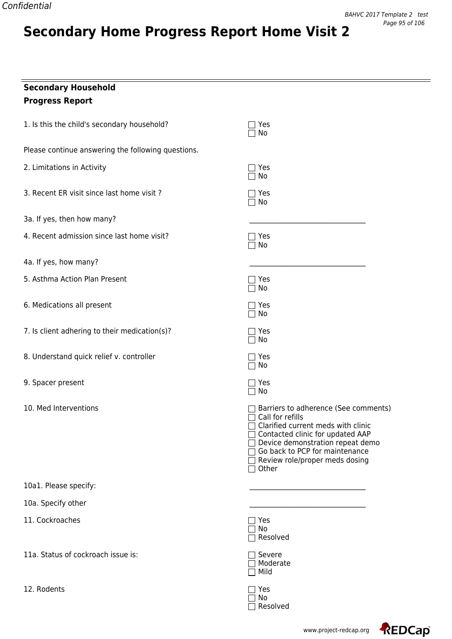# **Secondary Home Progress Report Home Visit 2**

| <b>Secondary Household</b>                         |                                                                                                                                                                                                                                                                 |
|----------------------------------------------------|-----------------------------------------------------------------------------------------------------------------------------------------------------------------------------------------------------------------------------------------------------------------|
| <b>Progress Report</b>                             |                                                                                                                                                                                                                                                                 |
| 1. Is this the child's secondary household?        | Yes<br>No                                                                                                                                                                                                                                                       |
| Please continue answering the following questions. |                                                                                                                                                                                                                                                                 |
| 2. Limitations in Activity                         | Yes<br>No                                                                                                                                                                                                                                                       |
| 3. Recent ER visit since last home visit?          | Yes<br>No                                                                                                                                                                                                                                                       |
| 3a. If yes, then how many?                         |                                                                                                                                                                                                                                                                 |
| 4. Recent admission since last home visit?         | Yes<br>No                                                                                                                                                                                                                                                       |
| 4a. If yes, how many?                              |                                                                                                                                                                                                                                                                 |
| 5. Asthma Action Plan Present                      | Yes<br>No                                                                                                                                                                                                                                                       |
| 6. Medications all present                         | Yes<br>No                                                                                                                                                                                                                                                       |
| 7. Is client adhering to their medication(s)?      | Yes<br>No                                                                                                                                                                                                                                                       |
| 8. Understand quick relief v. controller           | Yes<br>No                                                                                                                                                                                                                                                       |
| 9. Spacer present                                  | Yes<br>No                                                                                                                                                                                                                                                       |
| 10. Med Interventions                              | Barriers to adherence (See comments)<br>Call for refills<br>Clarified current meds with clinic<br>Contacted clinic for updated AAP<br>Device demonstration repeat demo<br>Go back to PCP for maintenance<br>Review role/proper meds dosing<br>$\sqsupset$ Other |
| 10a1. Please specify:                              |                                                                                                                                                                                                                                                                 |
| 10a. Specify other                                 |                                                                                                                                                                                                                                                                 |
| 11. Cockroaches                                    | Yes<br>No<br>Resolved                                                                                                                                                                                                                                           |
| 11a. Status of cockroach issue is:                 | Severe<br>Moderate<br>Mild                                                                                                                                                                                                                                      |

12. Rodents

No Resolved

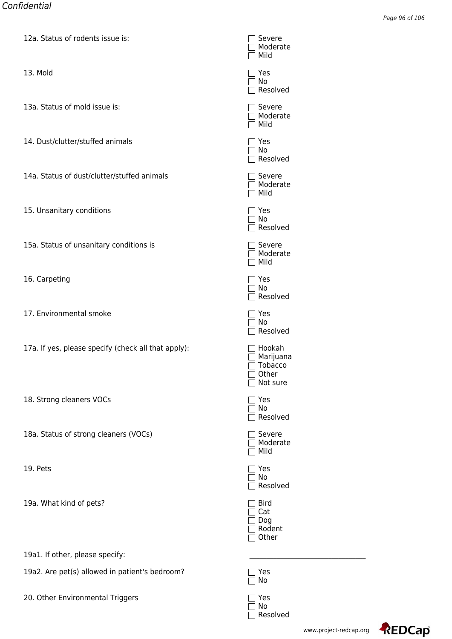| IZA. Status of Todents ISSUE IS:                    | ⊐ ਤਞ⊽ਞਾਞ<br>Moderate<br>Mild                        |
|-----------------------------------------------------|-----------------------------------------------------|
| 13. Mold                                            | ] Yes<br>No<br>Resolved                             |
| 13a. Status of mold issue is:                       | Severe<br>Moderate<br>Mild                          |
| 14. Dust/clutter/stuffed animals                    | Yes<br>No<br>Resolved                               |
| 14a. Status of dust/clutter/stuffed animals         | Severe<br>Moderate<br>Mild                          |
| 15. Unsanitary conditions                           | ז Yes<br>No<br>Resolved                             |
| 15a. Status of unsanitary conditions is             | Severe<br>Moderate<br>Mild                          |
| 16. Carpeting                                       | Yes<br>∣ No<br>Resolved                             |
| 17. Environmental smoke                             | ז Yes<br>No<br>Resolved                             |
| 17a. If yes, please specify (check all that apply): | Hookah<br>Marijuana<br>Tobacco<br>Other<br>Not sure |
| 18. Strong cleaners VOCs                            | Yes<br>No<br>Resolved                               |
| 18a. Status of strong cleaners (VOCs)               | Severe<br>Moderate<br>Mild                          |
| 19. Pets                                            | ] Yes<br>No<br>Resolved                             |
| 19a. What kind of pets?                             | <b>Bird</b><br>Cat<br>Dog<br>Rodent<br>Other        |
| 19a1. If other, please specify:                     |                                                     |
| 19a2. Are pet(s) allowed in patient's bedroom?      | Yes<br>No                                           |
| 20. Other Environmental Triggers                    | Yes                                                 |

| www.project-redcap. |  |  |
|---------------------|--|--|

No Resolved

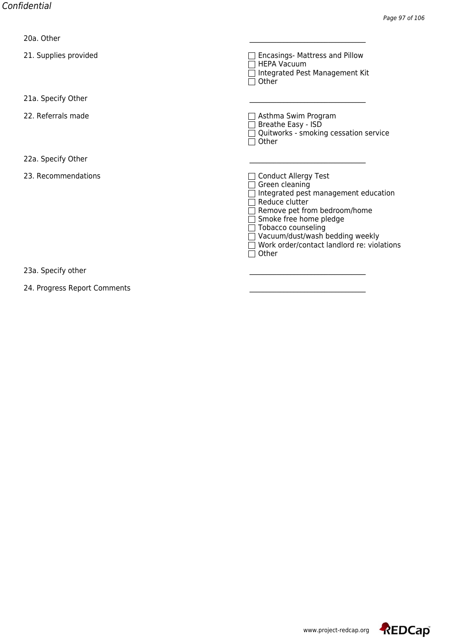| zva. Other                   |                                                                                                                                                                                                                                                                                   |
|------------------------------|-----------------------------------------------------------------------------------------------------------------------------------------------------------------------------------------------------------------------------------------------------------------------------------|
| 21. Supplies provided        | Encasings- Mattress and Pillow<br><b>HEPA Vacuum</b><br>Integrated Pest Management Kit<br>Other                                                                                                                                                                                   |
| 21a. Specify Other           |                                                                                                                                                                                                                                                                                   |
| 22. Referrals made           | Asthma Swim Program<br>Breathe Easy - ISD<br>Quitworks - smoking cessation service<br>Other                                                                                                                                                                                       |
| 22a. Specify Other           |                                                                                                                                                                                                                                                                                   |
| 23. Recommendations          | <b>Conduct Allergy Test</b><br>Green cleaning<br>Integrated pest management education<br>Reduce clutter<br>Remove pet from bedroom/home<br>Smoke free home pledge<br>Tobacco counseling<br>Vacuum/dust/wash bedding weekly<br>Work order/contact landlord re: violations<br>Other |
| 23a. Specify other           |                                                                                                                                                                                                                                                                                   |
| 24. Progress Report Comments |                                                                                                                                                                                                                                                                                   |

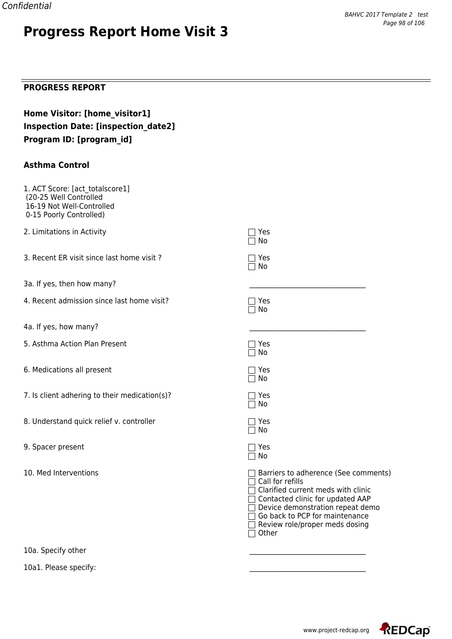# **Progress Report Home Visit 3**

### **PROGRESS REPORT**

| Home Visitor: [home visitor1]              |
|--------------------------------------------|
| <b>Inspection Date: [inspection date2]</b> |
| Program ID: [program id]                   |

#### **Asthma Control**

| 1. ACT Score: [act totalscore1]<br>(20-25 Well Controlled<br>16-19 Not Well-Controlled<br>0-15 Poorly Controlled) |                                                                                                                                                                                                                                                       |
|-------------------------------------------------------------------------------------------------------------------|-------------------------------------------------------------------------------------------------------------------------------------------------------------------------------------------------------------------------------------------------------|
| 2. Limitations in Activity                                                                                        | Yes<br>No                                                                                                                                                                                                                                             |
| 3. Recent ER visit since last home visit?                                                                         | Yes<br>$\sqcap$ No                                                                                                                                                                                                                                    |
| 3a. If yes, then how many?                                                                                        |                                                                                                                                                                                                                                                       |
| 4. Recent admission since last home visit?                                                                        | Yes<br>No                                                                                                                                                                                                                                             |
| 4a. If yes, how many?                                                                                             |                                                                                                                                                                                                                                                       |
| 5. Asthma Action Plan Present                                                                                     | $\sqsupset$ Yes<br>$\sqcap$ No                                                                                                                                                                                                                        |
| 6. Medications all present                                                                                        | ר Yes<br>No                                                                                                                                                                                                                                           |
| 7. Is client adhering to their medication(s)?                                                                     | $\sqsupset$ Yes<br>$\Box$ No                                                                                                                                                                                                                          |
| 8. Understand quick relief v. controller                                                                          | $\sqsupset$ Yes<br>$\Box$ No                                                                                                                                                                                                                          |
| 9. Spacer present                                                                                                 | ר Yes<br>No                                                                                                                                                                                                                                           |
| 10. Med Interventions                                                                                             | Barriers to adherence (See comments)<br>Call for refills<br>Clarified current meds with clinic<br>□ Contacted clinic for updated AAP<br>Device demonstration repeat demo<br>Go back to PCP for maintenance<br>Review role/proper meds dosing<br>Other |

10a. Specify other

10a1. Please specify:

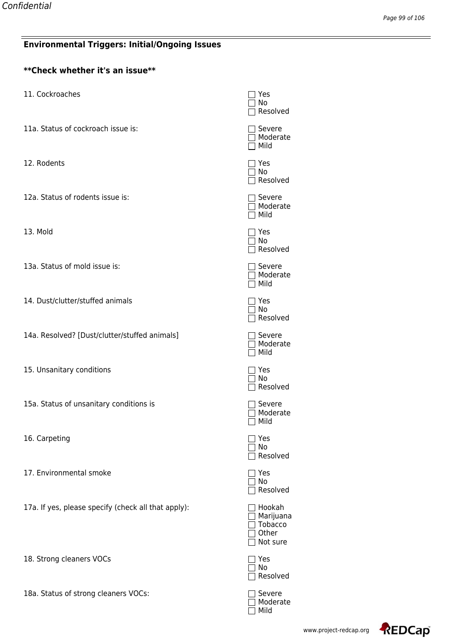### **Environmental Triggers: Initial/Ongoing Issues**

| <b>Environmental Triggers: Initial/Ongoing Issues</b> |                                                  |  |
|-------------------------------------------------------|--------------------------------------------------|--|
| **Check whether it's an issue**                       |                                                  |  |
| 11. Cockroaches                                       | Yes<br>No<br>Resolve                             |  |
| 11a. Status of cockroach issue is:                    | Severe<br>Modera<br>Mild                         |  |
| 12. Rodents                                           | Yes<br>No<br>Resolve                             |  |
| 12a. Status of rodents issue is:                      | Severe<br>7 Modera<br>Mild                       |  |
| 13. Mold                                              | Yes<br>  No<br>Resolve                           |  |
| 13a. Status of mold issue is:                         | Severe<br>  Modera<br>$\sqcap$ Mild              |  |
| 14. Dust/clutter/stuffed animals                      | Yes<br>No<br>Resolve                             |  |
| 14a. Resolved? [Dust/clutter/stuffed animals]         | Severe<br>Modera<br>Mild                         |  |
| 15. Unsanitary conditions                             | Yes<br>  No<br>$\Box$ Resolve                    |  |
| 15a. Status of unsanitary conditions is               | Severe<br>Modera<br>Mild                         |  |
| 16. Carpeting                                         | Yes<br>No<br>Resolve                             |  |
| 17. Environmental smoke                               | Yes<br>No<br>Resolve                             |  |
| 17a. If yes, please specify (check all that apply):   | Hookah<br>Marijua<br>Tobacco<br>Other<br>Not sur |  |
| 18. Strong cleaners VOCs                              | Yes<br>No<br>Resolve                             |  |

18a. Status of strong cleaners VOCs:<br>
<br>
<br> Moderate Mild

|                                   | _ Mild                                              |
|-----------------------------------|-----------------------------------------------------|
|                                   | ]Yes<br>]No<br>]Resolved                            |
|                                   | ]Severe<br>]Moderate<br>]Mild                       |
|                                   | ]Yes<br>]No<br>]Resolved                            |
|                                   | ]Severe<br>]Moderate<br>]Mild                       |
|                                   | ]Yes<br>]No<br>]Resolved                            |
|                                   | ]Severe<br>]Moderate<br>]Mild                       |
|                                   | ]Yes<br>]No<br>]Resolved                            |
|                                   | ]Severe<br>]Moderate<br>]Mild                       |
|                                   | ]Yes<br>]No<br>]Resolved                            |
| ן                                 | ]Yes<br>]No<br>Resolved                             |
| ٦                                 | Hookah<br>Marijuana<br>Tobacco<br>Other<br>Not sure |
| 1<br>٦<br>ן                       | Yes<br>No<br>Resolved                               |
| ]<br>1<br>$\overline{\mathsf{I}}$ | Severe<br>Moderate<br>Mild                          |

No Resolved

Moderate

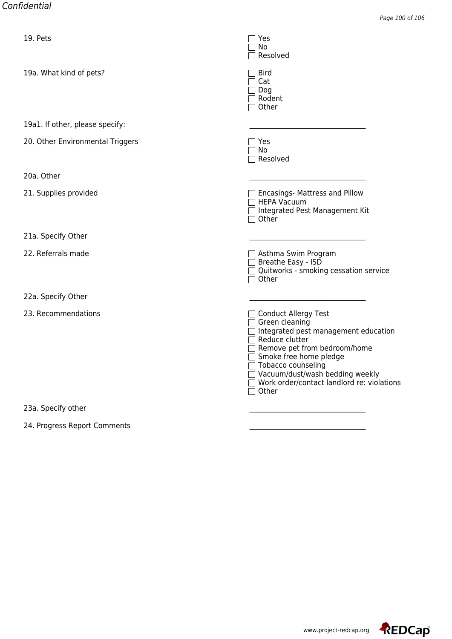| 19. Pets                         | ⊟ाਞऽ<br>$\sqsupset$ No<br>Resolved                                                                                                                                                                                                                                                                                         |
|----------------------------------|----------------------------------------------------------------------------------------------------------------------------------------------------------------------------------------------------------------------------------------------------------------------------------------------------------------------------|
| 19a. What kind of pets?          | <b>Bird</b><br>$\sqsupset$ Cat<br>$\sqsupset$ Dog<br>□ Rodent<br>$\sqsupset$ Other                                                                                                                                                                                                                                         |
| 19a1. If other, please specify:  |                                                                                                                                                                                                                                                                                                                            |
| 20. Other Environmental Triggers | $\sqsupset$ Yes<br>$\sqcap$ No<br>Resolved                                                                                                                                                                                                                                                                                 |
| 20a. Other                       |                                                                                                                                                                                                                                                                                                                            |
| 21. Supplies provided            | $\Box$ Encasings- Mattress and Pillow<br>$\Box$ HEPA Vacuum<br>□ Integrated Pest Management Kit<br>$\Box$ Other                                                                                                                                                                                                            |
| 21a. Specify Other               |                                                                                                                                                                                                                                                                                                                            |
| 22. Referrals made               | $\Box$ Asthma Swim Program<br>□ Breathe Easy - ISD<br>Quitworks - smoking cessation service<br>$\Box$ Other                                                                                                                                                                                                                |
| 22a. Specify Other               |                                                                                                                                                                                                                                                                                                                            |
| 23. Recommendations              | □ Conduct Allergy Test<br>$\Box$ Green cleaning<br>$\Box$ Integrated pest management education<br>$\sqsupset$ Reduce clutter<br>Remove pet from bedroom/home<br>□ Smoke free home pledge<br>□ Tobacco counseling<br>□ Vacuum/dust/wash bedding weekly<br>□ Work order/contact landlord re: violations<br>$\sqsupset$ Other |
| 23a. Specify other               |                                                                                                                                                                                                                                                                                                                            |
|                                  |                                                                                                                                                                                                                                                                                                                            |

24. Progress Report Comments

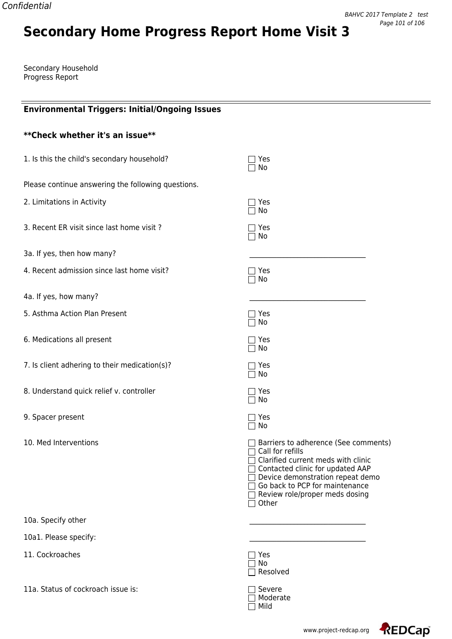# **Secondary Home Progress Report Home Visit 3**

Secondary Household Progress Report

| <b>Environmental Triggers: Initial/Ongoing Issues</b> |                                                                                                                                                                                                                                                                |
|-------------------------------------------------------|----------------------------------------------------------------------------------------------------------------------------------------------------------------------------------------------------------------------------------------------------------------|
| ** Check whether it's an issue**                      |                                                                                                                                                                                                                                                                |
| 1. Is this the child's secondary household?           | Yes<br>No                                                                                                                                                                                                                                                      |
| Please continue answering the following questions.    |                                                                                                                                                                                                                                                                |
| 2. Limitations in Activity                            | Yes<br>No                                                                                                                                                                                                                                                      |
| 3. Recent ER visit since last home visit?             | Yes<br>No                                                                                                                                                                                                                                                      |
| 3a. If yes, then how many?                            |                                                                                                                                                                                                                                                                |
| 4. Recent admission since last home visit?            | Yes<br>No                                                                                                                                                                                                                                                      |
| 4a. If yes, how many?                                 |                                                                                                                                                                                                                                                                |
| 5. Asthma Action Plan Present                         | Yes<br>No                                                                                                                                                                                                                                                      |
| 6. Medications all present                            | Yes<br>No                                                                                                                                                                                                                                                      |
| 7. Is client adhering to their medication(s)?         | Yes<br>No                                                                                                                                                                                                                                                      |
| 8. Understand quick relief v. controller              | Yes<br>No                                                                                                                                                                                                                                                      |
| 9. Spacer present                                     | Yes<br>No                                                                                                                                                                                                                                                      |
| 10. Med Interventions                                 | Barriers to adherence (See comments)<br>Call for refills<br>Clarified current meds with clinic<br>□ Contacted clinic for updated AAP<br>Device demonstration repeat demo<br>Go back to PCP for maintenance<br>$\Box$ Review role/proper meds dosing<br>□ Other |
| 10a. Specify other                                    |                                                                                                                                                                                                                                                                |
| 10a1. Please specify:                                 |                                                                                                                                                                                                                                                                |
| 11. Cockroaches                                       | Yes<br>No<br>Resolved                                                                                                                                                                                                                                          |
| 11a. Status of cockroach issue is:                    | $\exists$ Severe                                                                                                                                                                                                                                               |

Moderate Mild



 $=$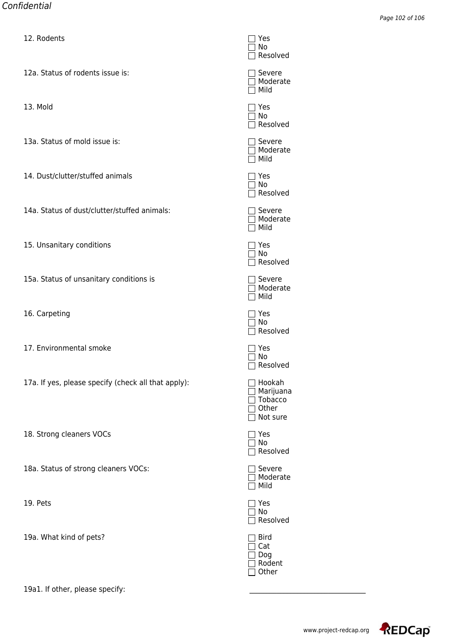| <u>12. Rouents</u>                                  | णाएऽ<br>No<br>Resolve                            |
|-----------------------------------------------------|--------------------------------------------------|
| 12a. Status of rodents issue is:                    | Severe<br>Modera<br>Mild                         |
| 13. Mold                                            | Yes<br>No<br>Resolve                             |
| 13a. Status of mold issue is:                       | Severe<br>Modera<br>Mild                         |
| 14. Dust/clutter/stuffed animals                    | Yes<br>No<br>Resolve                             |
| 14a. Status of dust/clutter/stuffed animals:        | Severe<br>  Modera<br>Mild                       |
| 15. Unsanitary conditions                           | Yes<br>No<br>Resolve                             |
| 15a. Status of unsanitary conditions is             | Severe<br>Modera<br>Mild                         |
| 16. Carpeting                                       | Yes<br>No<br>Resolve                             |
| 17. Environmental smoke                             | Yes<br>No<br>Resolve                             |
| 17a. If yes, please specify (check all that apply): | Hookah<br>Marijua<br>Tobacco<br>Other<br>Not sur |
| 18. Strong cleaners VOCs                            | Yes<br>No<br>Resolve                             |
| 18a. Status of strong cleaners VOCs:                | Severe                                           |

19. Pets

19a. What kind of pets?

19a1. If other, please specify:

| $\Box$                                     | TES<br>1 No<br>  Resolved                           |
|--------------------------------------------|-----------------------------------------------------|
| ᄓ                                          | Severe<br>Moderate<br>Mild                          |
|                                            | ]Yes<br>]No<br>$\Box$ Resolved                      |
| $\overline{\phantom{a}}$                   | $\Box$ Severe<br>□ Moderate<br>Mild                 |
| $\Box$                                     | Yes<br>No<br>Resolved                               |
| П                                          | $\Box$ Severe<br>Moderate<br>Mild                   |
| $\Box$<br>ᄀ                                | Yes<br>No<br>Resolved                               |
| $\overline{\phantom{a}}$                   | $\Box$ Severe<br>□ Moderate<br>Mild                 |
| ┐                                          | Yes<br>No<br>Resolved                               |
| I                                          | Yes<br>No<br>Resolved                               |
| $\lrcorner$                                | Hookah<br>Marijuana<br>Tobacco<br>Other<br>Not sure |
| $\blacksquare$<br>$\overline{\phantom{a}}$ | Yes<br>No<br>Resolved                               |
|                                            | Severe<br>Moderate<br>Mild                          |
|                                            | Yes<br>$\overline{\sqcap}$ No<br>Resolved           |
|                                            | <b>Bird</b><br>Cat<br>Dog<br>Rodent<br>Other        |

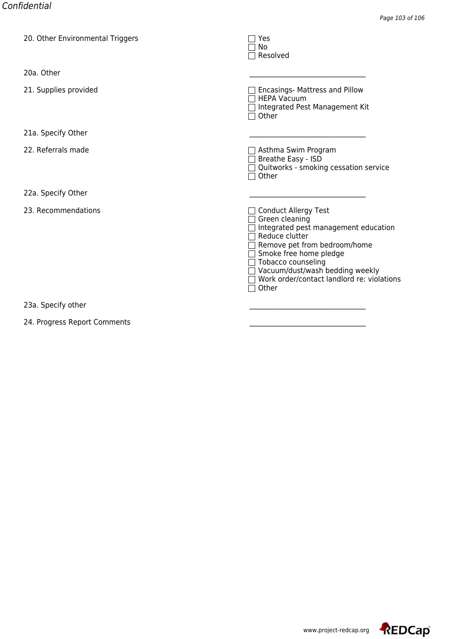| zu. Other Environmental Triggers | TTES<br>No<br>Resolved                                                                                                                                                                                                                                                            |
|----------------------------------|-----------------------------------------------------------------------------------------------------------------------------------------------------------------------------------------------------------------------------------------------------------------------------------|
| 20a. Other                       |                                                                                                                                                                                                                                                                                   |
| 21. Supplies provided            | Encasings- Mattress and Pillow<br><b>HEPA Vacuum</b><br>Integrated Pest Management Kit<br>Other                                                                                                                                                                                   |
| 21a. Specify Other               |                                                                                                                                                                                                                                                                                   |
| 22. Referrals made               | Asthma Swim Program<br>Breathe Easy - ISD<br>Quitworks - smoking cessation service<br>Other                                                                                                                                                                                       |
| 22a. Specify Other               |                                                                                                                                                                                                                                                                                   |
| 23. Recommendations              | <b>Conduct Allergy Test</b><br>Green cleaning<br>Integrated pest management education<br>Reduce clutter<br>Remove pet from bedroom/home<br>Smoke free home pledge<br>Tobacco counseling<br>Vacuum/dust/wash bedding weekly<br>Work order/contact landlord re: violations<br>Other |
| 23a. Specify other               |                                                                                                                                                                                                                                                                                   |

24. Progress Report Comments

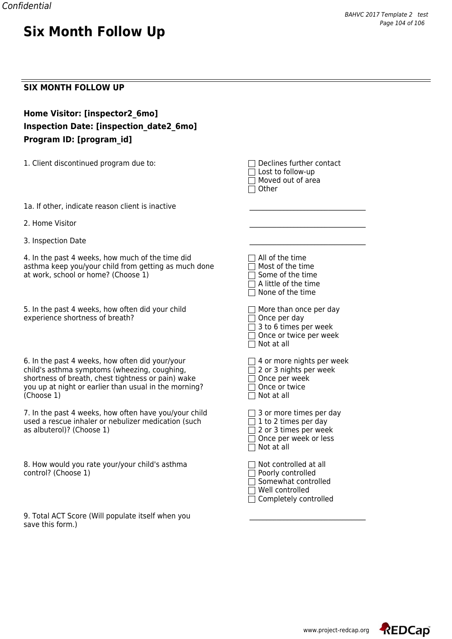#### **SIX MONTH FOLLOW UP**

| Home Visitor: [inspector2 6mo]          |
|-----------------------------------------|
| Inspection Date: [inspection date2 6mo] |
| Program ID: [program id]                |

1. Client discontinued program due to: Declines further contact

**Six Month Follow Up**

 $\Box$  Lost to follow-up  $\Box$  Moved out of area  $\Box$  Other

1a. If other, indicate reason client is inactive

2. Home Visitor

3. Inspection Date

4. In the past 4 weeks, how much of the time did asthma keep you/your child from getting as much done at work, school or home? (Choose 1)

5. In the past 4 weeks, how often did your child experience shortness of breath?

6. In the past 4 weeks, how often did your/your child's asthma symptoms (wheezing, coughing, shortness of breath, chest tightness or pain) wake you up at night or earlier than usual in the morning?  $(Choose 1)$ 

7. In the past 4 weeks, how often have you/your child used a rescue inhaler or nebulizer medication (such as albuterol)? (Choose 1)

8. How would you rate your/your child's asthma control? (Choose 1)

9. Total ACT Score (Will populate itself when you save this form.)

| $\sqcap$ All of the time<br>$\Box$ Most of the time<br>$\Box$ Some of the time<br>$\Box$ A little of the time                                                    |
|------------------------------------------------------------------------------------------------------------------------------------------------------------------|
| $\Box$ None of the time<br>$\Box$ More than once per day<br>$\Box$ Once per day<br>$\Box$ 3 to 6 times per week<br>□ Once or twice per week<br>$\Box$ Not at all |
| $\Box$ 4 or more nights per week<br>□ 2 or 3 nights per week<br>□ Once per week<br>$\Box$ Once or twice<br>$\Box$ Not at all                                     |
| $\Box$ 3 or more times per day<br>$\Box$ 1 to 2 times per day<br>$\Box$ 2 or 3 times per week<br>□ Once per week or less<br>$\Box$ Not at all                    |
| $\sqcap$ Not controlled at all<br>□ Poorly controlled<br>Somewhat controlled<br>$\sqcap$ Well controlled<br>$\Box$ Completely controlled                         |

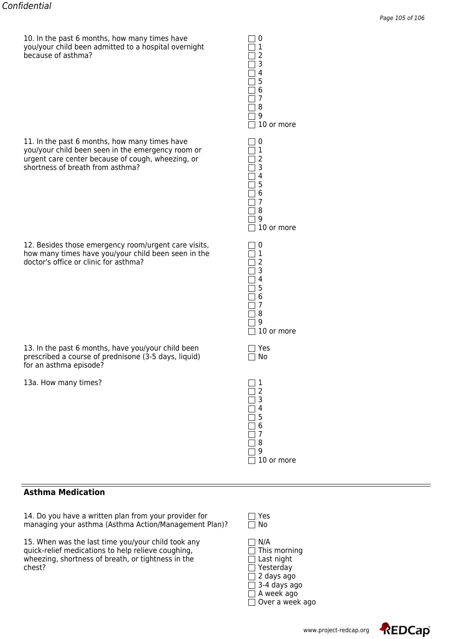10. In the past 6 months, how many times have 0 you/your child been admitted to a hospital overnight 1 because of asthma? 2

11. In the past 6 months, how many times have you/your child been seen in the emergency room or 1 urgent care center because of cough, wheezing, or 2 shortness of breath from asthma?

12. Besides those emergency room/urgent care visits, how many times have you/your child been seen in the 1 doctor's office or clinic for asthma? 2

13. In the past 6 months, have you/your child been prescribed a course of prednisone (3-5 days, liquid) for an asthma episode?

13a. How many times?

#### **Asthma Medication**

14. Do you have a written plan from your provider for  $\square$  Yes managing your asthma (Asthma Action/Management Plan)?  $\square$  No managing your asthma (Asthma Action/Management Plan)?

15. When was the last time you/your child took any  $\Box$  N/A quick-relief medications to help relieve coughing,  $\Box$  This morning wheezing, shortness of breath, or tightness in the  $\Box$  Last night chest? The South of the South of the South of the South of the South of the South of the South of the South of the South of the South of the South of the South of the South of the South of the South of the South of the So

| 1                                                                   |           | 1<br>1<br>Ι<br>1<br>1                          | 1<br>1<br>1<br>1<br>Ι                                                         | ı<br>1<br>Ι<br>$\overline{\phantom{a}}$                                             |
|---------------------------------------------------------------------|-----------|------------------------------------------------|-------------------------------------------------------------------------------|-------------------------------------------------------------------------------------|
| $\mathbf{1}$<br>$\frac{2}{3}$<br>$\overline{4}$<br>5<br>6<br>7<br>8 | Yes<br>No | 0<br>1<br>2<br>3<br>4<br>5<br>6<br>7<br>8<br>9 | 0<br>$\begin{array}{c} 1 \\ 2 \\ 3 \end{array}$<br>4<br>5<br>6<br>7<br>8<br>9 | U<br>$\mathbf{1}$<br>$\overline{c}$<br>$\overline{3}$<br>4<br>5<br>6<br>7<br>8<br>9 |
|                                                                     |           |                                                |                                                                               | $10$ or                                                                             |
| 9<br>10 or more                                                     |           | 10 or more                                     | 10 or more                                                                    | more                                                                                |
|                                                                     |           |                                                |                                                                               |                                                                                     |



Over a week ago